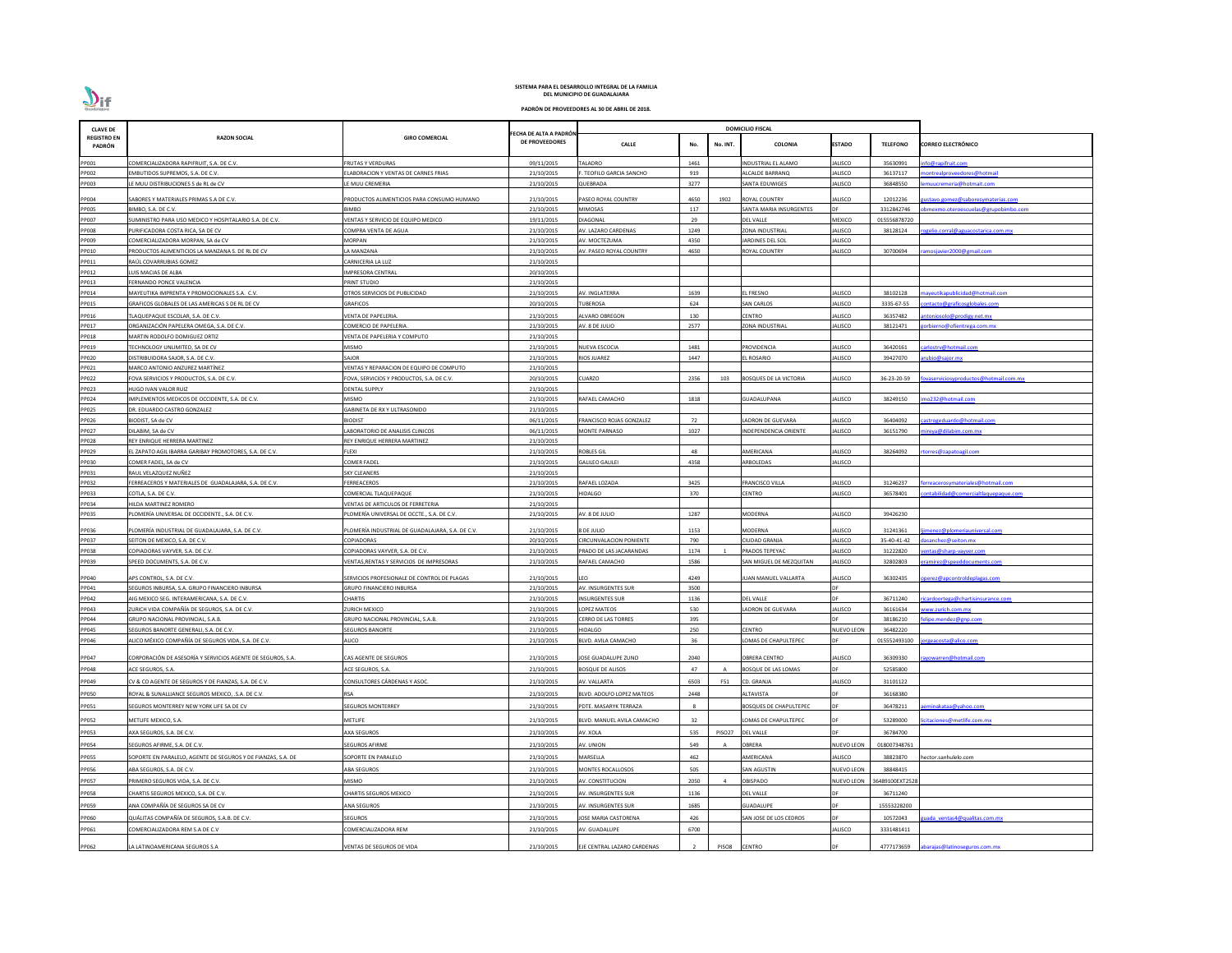| <b>CLAVE DE</b>              |                                                                         |                                                  |                                         | <b>DOMICILIO FISCAL</b>        |              |          |                               |                |                 |                                            |
|------------------------------|-------------------------------------------------------------------------|--------------------------------------------------|-----------------------------------------|--------------------------------|--------------|----------|-------------------------------|----------------|-----------------|--------------------------------------------|
| <b>REGISTRO EN</b><br>PADRÓN | <b>RAZON SOCIAL</b>                                                     | <b>GIRO COMERCIAL</b>                            | ECHA DE ALTA A PADRÓN<br>DE PROVEEDORES | <b>CALLE</b>                   | No.          | No. INT. | <b>COLONIA</b>                | <b>ESTADO</b>  | <b>TELEFONO</b> | <b>CORREO ELECTRÓNICO</b>                  |
| PP001                        | COMERCIALIZADORA RAPIFRUIT, S.A. DE C.V.                                | <b>FRUTAS Y VERDURAS</b>                         | 09/11/2015                              | TALADRO                        | 1461         |          | INDUSTRIAL EL ALAMO           | JALISCO        | 35630991        | fo@rapifruit.com                           |
| PP002                        | EMBUTIDOS SUPREMOS, S.A. DE C.V.                                        | LABORACION Y VENTAS DE CARNES FRIAS              | 21/10/2015                              | . TEOFILO GARCIA SANCHO        | 919          |          | ALCALDE BARRANQ               | ALISCO         | 36137117        | ontrealproveedores@hotmail                 |
| PP003                        | E MUU DISTRIBUCIONES S de RL de CV                                      | LE MUU CREMERIA                                  | 21/10/2015                              | QUEBRADA                       | 3277         |          | <b>SANTA EDUWIGES</b>         | <b>JALISCO</b> | 36848550        | nuucremeria@hotmait.com                    |
| PP004                        | SABORES Y MATERIALES PRIMAS S.A DE C.V.                                 | PRODUCTOS ALIMENTICIOS PARA CONSUMO HUMANO       | 21/10/2015                              | PASEO ROYAL COUNTRY            | 4650         | 1902     | ROYAL COUNTRY                 | JALISCO        | 12012236        | <u>istavo.gomez@saboresymaterias.com</u>   |
| PP005                        | BIMBO, S.A. DE C.V.                                                     | <b>BIMBO</b>                                     | 21/10/2015                              | MIMOSAS                        | 117          |          | SANTA MARIA INSURGENTES       |                | 3312842746      | <u>omexmo.oteroescuelas@grupobimbo.com</u> |
| PP007                        | UMINISTRO PARA USO MEDICO Y HOSPITALARIO S.A. DE C.V.                   | VENTAS Y SERVICIO DE EQUIPO MEDICO               | 19/11/2015                              | <b>DIAGONAL</b>                | 29           |          | <b>DEL VALLE</b>              | MEXICO         | 015556878720    |                                            |
| PP008                        | PURIFICADORA COSTA RICA, SA DE CV                                       | COMPRA VENTA DE AGUA                             | 21/10/2015                              | AV. LAZARO CARDENAS            | 1249         |          | <b>ZONA INDUSTRIAL</b>        | ALISCO         | 38128124        | <u>gelio.corral@aguacostarica.com.mx</u>   |
| PP009                        | COMERCIALIZADORA MORPAN, SA de CV                                       | MORPAN                                           | 21/10/2015                              | AV. MOCTEZUMA                  | 4350         |          | <b>JARDINES DEL SOL</b>       | ALISCO         |                 |                                            |
| PP010                        | PRODUCTOS ALIMENTICIOS LA MANZANA S. DE RL DE CV                        | A MANZANA                                        | 21/10/2015                              | AV. PASEO ROYAL COUNTRY        | 4650         |          | ROYAL COUNTRY                 | ALISCO         | 30700694        | mosjavier 2000@gmail.com                   |
| PP011                        | RAÚL COVARRUBIAS GOMEZ                                                  | CARNICERIA LA LUZ                                | 21/10/2015                              |                                |              |          |                               |                |                 |                                            |
| PP012                        | UIS MACIAS DE ALBA                                                      | <b>IMPRESORA CENTRAL</b>                         | 20/10/2015                              |                                |              |          |                               |                |                 |                                            |
| PP013<br>PP014               | FERNANDO PONCE VALENCIA<br>MAYEUTIKA IMPRENTA Y PROMOCIONALES S.A. C.V. | PRINT STUDIO<br>OTROS SERVICIOS DE PUBLICIDAD    | 21/10/2015<br>21/10/2015                | AV. INGLATERRA                 | 1639         |          | <b>L FRESNO</b>               | ALISCO         | 38102128        | ayeutikapublicidad@hotmail.com             |
| PP015                        | GRAFICOS GLOBALES DE LAS AMERICAS S DE RL DE CV                         | <b>GRAFICOS</b>                                  | 20/10/2015                              | <b>TUBEROSA</b>                | 624          |          | SAN CARLOS                    | ALISCO         | 3335-67-55      | ntacto@graficosglobales.com                |
| PP016                        | <b>FLAQUEPAQUE ESCOLAR, S.A. DE C.V.</b>                                | VENTA DE PAPELERIA.                              | 21/10/2015                              | ALVARO OBREGON                 | 130          |          | CENTRO                        | ALISCO         | 36357482        | toniosolo@prodigy.net.mx                   |
| PP017                        | ORGANIZACIÓN PAPELERA OMEGA, S.A. DE C.V.                               | COMERCIO DE PAPELERIA.                           | 21/10/2015                              | AV. 8 DE JULIO                 | 2577         |          | ZONA INDUSTRIAL               | ALISCO         | 38121471        | vrbierno@ofientrega.com.mx                 |
| PP018                        | MARTIN RODOLFO DOMIGUEZ ORTIZ                                           | VENTA DE PAPELERIA Y COMPUTO                     | 21/10/2015                              |                                |              |          |                               |                |                 |                                            |
| PP019                        | <b>FECHNOLOGY UNLIMITED, SA DE CV</b>                                   | MISMO                                            | 21/10/2015                              | NUEVA ESCOCIA                  | 1481         |          | PROVIDENCIA                   | ALISCO         | 36420161        | arlostrv@hotmail.com                       |
| PP020                        | DISTRIBUIDORA SAJOR, S.A. DE C.V.                                       | SAJOR                                            | 21/10/2015                              | <b>RIOS JUAREZ</b>             | 1447         |          | L ROSARIO                     | ALISCO         | 39427070        | ubio@sajor.mx                              |
| PP021                        | MARCO ANTONIO ANZUREZ MARTÍNEZ                                          | VENTAS Y REPARACION DE EQUIPO DE COMPUTO         | 21/10/2015                              |                                |              |          |                               |                |                 |                                            |
| PP022                        | FOVA SERVICIOS Y PRODUCTOS, S.A. DE C.V.                                | FOVA, SERVICIOS Y PRODUCTOS, S.A. DE C.V.        | 20/10/2015                              | CUARZO                         | 2356         | 103      | <b>BOSQUES DE LA VICTORIA</b> | ALISCO         | 36-23-20-59     | vaserviciosyproductos@hotmail.com.mx       |
| PP023                        | HUGO IVAN VALOR RUIZ                                                    | DENTAL SUPPLY                                    | 21/10/2015                              |                                |              |          |                               |                |                 |                                            |
| PP024                        | IMPLEMENTOS MEDICOS DE OCCIDENTE, S.A. DE C.V.                          | <b>MISMO</b>                                     | 21/10/2015                              | RAFAEL CAMACHO                 | 1818         |          | <b>GUADALUPANA</b>            | ALISCO         | 38249150        | no232@hotmail.com                          |
| PP025                        | DR. EDUARDO CASTRO GONZALEZ                                             | GABINETA DE RX Y ULTRASONIDO                     | 21/10/2015                              |                                |              |          |                               |                |                 |                                            |
| PP026                        | BIODIST, SA de CV                                                       | <b>BIODIST</b>                                   | 06/11/2015                              | FRANCISCO ROJAS GONZALEZ       | 72           |          | ADRON DE GUEVARA              | JALISCO        | 36404092        | astrogeduardo@hotmail.com                  |
| PP027                        | DILABIM, SA de CV<br>REY ENRIQUE HERRERA MARTINEZ                       | LABORATORIO DE ANALISIS CLINICOS                 | 06/11/2015<br>21/10/2015                | MONTE PARNASO                  | 1027         |          | INDEPENDENCIA ORIENTE         | ALISCO         | 36151790        | ireya@dilabim.com.mx                       |
| PP028<br>PP029               | EL ZAPATO AGIL IBARRA GARIBAY PROMOTORES, S.A. DE C.V.                  | REY ENRIQUE HERRERA MARTINEZ<br>FLEXI            | 21/10/2015                              | <b>ROBLES GIL</b>              | 48           |          | AMERICANA                     | ALISCO         | 38264092        | orres@zapatoagil.com                       |
| PP030                        | COMER FADEL, SA de CV                                                   | <b>COMER FADEL</b>                               | 21/10/2015                              | <b>GALILEO GALILEI</b>         | 4358         |          | ARBOLEDAS                     | ALISCO         |                 |                                            |
| PP031                        | RAUL VELAZQUEZ NUÑEZ                                                    | <b>SKY CLEANERS</b>                              | 21/10/2015                              |                                |              |          |                               |                |                 |                                            |
| PP032                        | FERREACEROS Y MATERIALES DE GUADALAJARA, S.A. DE C.V.                   | FERREACEROS                                      | 21/10/2015                              | RAFAEL LOZADA                  | 3425         |          | <b>FRANCISCO VILLA</b>        | ALISCO         | 31246237        | <u>rreacerosymateriales@hotmail.com</u>    |
| PP033                        | COTLA, S.A. DE C.V.                                                     | COMERCIAL TLAQUEPAQUE                            | 21/10/2015                              | <b>HIDALGO</b>                 | 370          |          | CENTRO                        | ALISCO         | 36578401        | ntabilidad@comercialtlaquepaque.com        |
| PP034                        | HILDA MARTINEZ ROMERO                                                   | VENTAS DE ARTICULOS DE FERRETERIA                | 21/10/2015                              |                                |              |          |                               |                |                 |                                            |
| PP035                        | PLOMERÍA UNIVERSAL DE OCCIDENTE., S.A. DE C.V.                          | PLOMERÍA UNIVERSAL DE OCCTE., S.A. DE C.V.       | 21/10/2015                              | AV. 8 DE JULIO                 | 1287         |          | <b>MODERNA</b>                | ALISCO         | 39426230        |                                            |
| PP036                        | PLOMERÍA INDUSTRIAL DE GUADALAJARA, S.A. DE C.V.                        | PLOMERÍA INDUSTRIAL DE GUADALAJARA, S.A. DE C.V. | 21/10/2015                              | 8 DE JULIO                     | 1153         |          | MODERNA                       | <b>JALISCO</b> | 31241361        | menez@plomeriauniversal.com                |
| PP037                        | SEITON DE MEXICO, S.A. DE C.V.                                          | COPIADORAS                                       | 20/10/2015                              | <b>CIRCUNVALACION PONIENTE</b> | 790          |          | <b>CIUDAD GRANJA</b>          | ALISCO         | 35-40-41-42     | sanchez@seiton.mx                          |
| PP038                        | COPIADORAS VAYVER, S.A. DE C.V.                                         | COPIADORAS VAYVER, S.A. DE C.V.                  | 21/10/2015                              | PRADO DE LAS JACARANDAS        | 1174         |          | PRADOS TEPEYAC                | ALISCO         | 31222820        | ntas@sharp-vayver.com                      |
| PP039                        | SPEED DOCUMENTS, S.A. DE C.V.                                           | VENTAS, RENTAS Y SERVICIOS DE IMPRESORAS         | 21/10/2015                              | RAFAEL CAMACHO                 | 1586         |          | SAN MIGUEL DE MEZQUITAN       | ALISCO         | 32802803        | amirez@speeddocuments.com                  |
| PP040                        | APS CONTROL, S.A. DE C.V.                                               | SERVICIOS PROFESIONALE DE CONTROL DE PLAGAS      | 21/10/2015                              | LEO                            | 4249         |          | <b>JUAN MANUEL VALLARTA</b>   | <b>JALISCO</b> | 36302435        | perez@apcontroldeplagas.com                |
| PP041                        | SEGUROS INBURSA, S.A. GRUPO FINANCIERO INBURSA                          | <b>GRUPO FINANCIERO INBURSA</b>                  | 21/10/2015                              | AV. INSURGENTES SUR            | 3500         |          |                               | DE.            |                 |                                            |
| PP042                        | AIG MEXICO SEG. INTERAMERICANA, S.A. DE C.V.                            | <b>CHARTIS</b>                                   | 21/10/2015                              | <b>INSURGENTES SUR</b>         | 1136         |          | <b>DEL VALLE</b>              | <b>DE</b>      | 36711240        | cardoortega@chartisinsurance.com           |
| PP043                        | ZURICH VIDA COMPAÑÍA DE SEGUROS, S.A. DE C.V.                           | ZURICH MEXICO                                    | 21/10/2015                              | LOPEZ MATEOS                   | 530          |          | ADRON DE GUEVARA              | ALISCO         | 36161634        | ww.zurich.com.mx                           |
| PP044                        | GRUPO NACIONAL PROVINCIAL, S.A.B.                                       | GRUPO NACIONAL PROVINCIAL, S.A.B.                | 21/10/2015                              | <b>CERRO DE LAS TORRES</b>     | 395          |          |                               |                | 38186210        | lipe.mendez@gnp.com                        |
| PP045                        | SEGUROS BANORTE GENERALI, S.A. DE C.V.                                  | <b>SEGUROS BANORTE</b>                           | 21/10/2015                              | <b>HIDALGO</b>                 | 250          |          | CENTRO                        | NUEVO LEON     | 36482220        |                                            |
| PP046                        | ALICO MÉXICO COMPAÑÍA DE SEGUROS VIDA, S.A. DE C.V.                     | ALICO                                            | 21/10/2015                              | BLVD. AVILA CAMACHO            | 36           |          | LOMAS DE CHAPULTEPEC          |                | 015552493100    | rgeacosta@alico.com                        |
| PP047                        | CORPORACIÓN DE ASESORÍA Y SERVICIOS AGENTE DE SEGUROS, S.A.             | CAS AGENTE DE SEGUROS                            | 21/10/2015                              | JOSE GUADALUPE ZUNO            | 2040         |          | <b>OBRERA CENTRO</b>          | <b>JALISCO</b> | 36309330        | wowarren@hotmail.com                       |
| PP048                        | <b>ACE SEGUROS, S.A.</b>                                                | ACE SEGUROS, S.A.                                | 21/10/2015                              | <b>BOSQUE DE ALISOS</b>        | 47           |          | BOSQUE DE LAS LOMAS           | <b>DF</b>      | 52585800        |                                            |
| PP049                        | CV & CO AGENTE DE SEGUROS Y DE FIANZAS, S.A. DE C.V.                    | CONSULTORES CÁRDENAS Y ASOC.                     | 21/10/2015                              | AV. VALLARTA                   | 6503         | F51      | CD. GRANJA                    | ALISCO         | 31101122        |                                            |
|                              |                                                                         |                                                  |                                         |                                |              |          |                               |                |                 |                                            |
| PP050                        | ROYAL & SUNALLIANCE SEGUROS MEXICO, .S.A. DE C.V.                       | <b>RSA</b>                                       | 21/10/2015                              | BLVD. ADOLFO LOPEZ MATEOS      | 2448         |          | ALTAVISTA                     |                | 36168380        |                                            |
| PP051                        | SEGUROS MONTERREY NEW YORK LIFE SA DE CV                                | <b>SEGUROS MONTERREY</b>                         | 21/10/2015                              | PDTE. MASARYK TERRAZA          | $\mathbf{R}$ |          | BOSQUES DE CHAPULTEPEC        | DF             | 36478211        | minakataa@yahoo.com                        |
| PP052                        | METLIFE MEXICO, S.A.                                                    | METLIFE                                          | 21/10/2015                              | BLVD. MANUEL AVILA CAMACHO     | 32           |          | OMAS DE CHAPULTEPEC           | <b>DF</b>      | 53289000        | itaciones@metlife.com.mx                   |
| PP053                        | AXA SEGUROS, S.A. DE C.V.                                               | AXA SEGUROS                                      | 21/10/2015                              | AV. XOLA                       | 535          | PISO27   | <b>DEL VALLE</b>              | DF             | 36784700        |                                            |
| PP054                        | SEGUROS AFIRME, S.A. DE C.V.                                            | SEGUROS AFIRME                                   | 21/10/2015                              | AV. UNION                      | 549          |          | OBRERA                        | NUEVO LEON     | 018007348761    |                                            |
| PP055                        | SOPORTE EN PARALELO, AGENTE DE SEGUROS Y DE FIANZAS, S.A. DE            | SOPORTE EN PARALELO                              | 21/10/2015                              | MARSELLA                       | 462          |          | AMERICANA                     | JALISCO        | 38823870        | hector.sanhulelo.com                       |
| PP056                        | ABA SEGUROS, S.A. DE C.V.                                               | ABA SEGUROS                                      | 21/10/2015                              | MONTES ROCALLOSOS              | 505          |          | <b>SAN AGUSTIN</b>            | NUEVO LEON     | 38848415        |                                            |
| PP057                        | PRIMERO SEGUROS VIDA, S.A. DE C.V.                                      | <b>MISMO</b>                                     | 21/10/2015                              | AV. CONSTITUCION               | 2050         |          | <b>OBISPADO</b>               | NUEVO LEON     | 36489100EXT2528 |                                            |
| PP058                        | CHARTIS SEGUROS MEXICO, S.A. DE C.V.                                    | CHARTIS SEGUROS MEXICO                           | 21/10/2015                              | AV. INSURGENTES SUR            | 1136         |          | <b>DEL VALLE</b>              | DF             | 36711240        |                                            |
| PP059                        | ANA COMPAÑÍA DE SEGUROS SA DE CV                                        | ANA SEGUROS                                      | 21/10/2015                              | <b>AV. INSURGENTES SUR</b>     | 1685         |          | <b>GUADALUPE</b>              | DE             | 15553228200     |                                            |
| PP060                        | QUÁLITAS COMPAÑÍA DE SEGUROS, S.A.B. DE C.V.                            | <b>SEGUROS</b>                                   | 21/10/2015                              | JOSE MARIA CASTORENA           | 426          |          | SAN JOSE DE LOS CEDROS        | <b>DF</b>      | 10572043        | ada ventas4@qualitas.com.mx                |
| PP061                        | COMERCIALIZADORA REM S.A DE C.V                                         | COMERCIALIZADORA REM                             | 21/10/2015                              | AV. GUADALUPE                  | 6700         |          |                               | ALISCO         | 3331481411      |                                            |
|                              |                                                                         |                                                  |                                         |                                |              |          |                               |                |                 |                                            |
| PP062                        | A LATINOAMERICANA SEGUROS S.A                                           | VENTAS DE SEGUROS DE VIDA                        | 21/10/2015                              | EJE CENTRAL LAZARO CARDENAS    |              | PISO8    | <b>CENTRO</b>                 |                | 4777173659      | abarajas@latinoseguros.com.mx              |

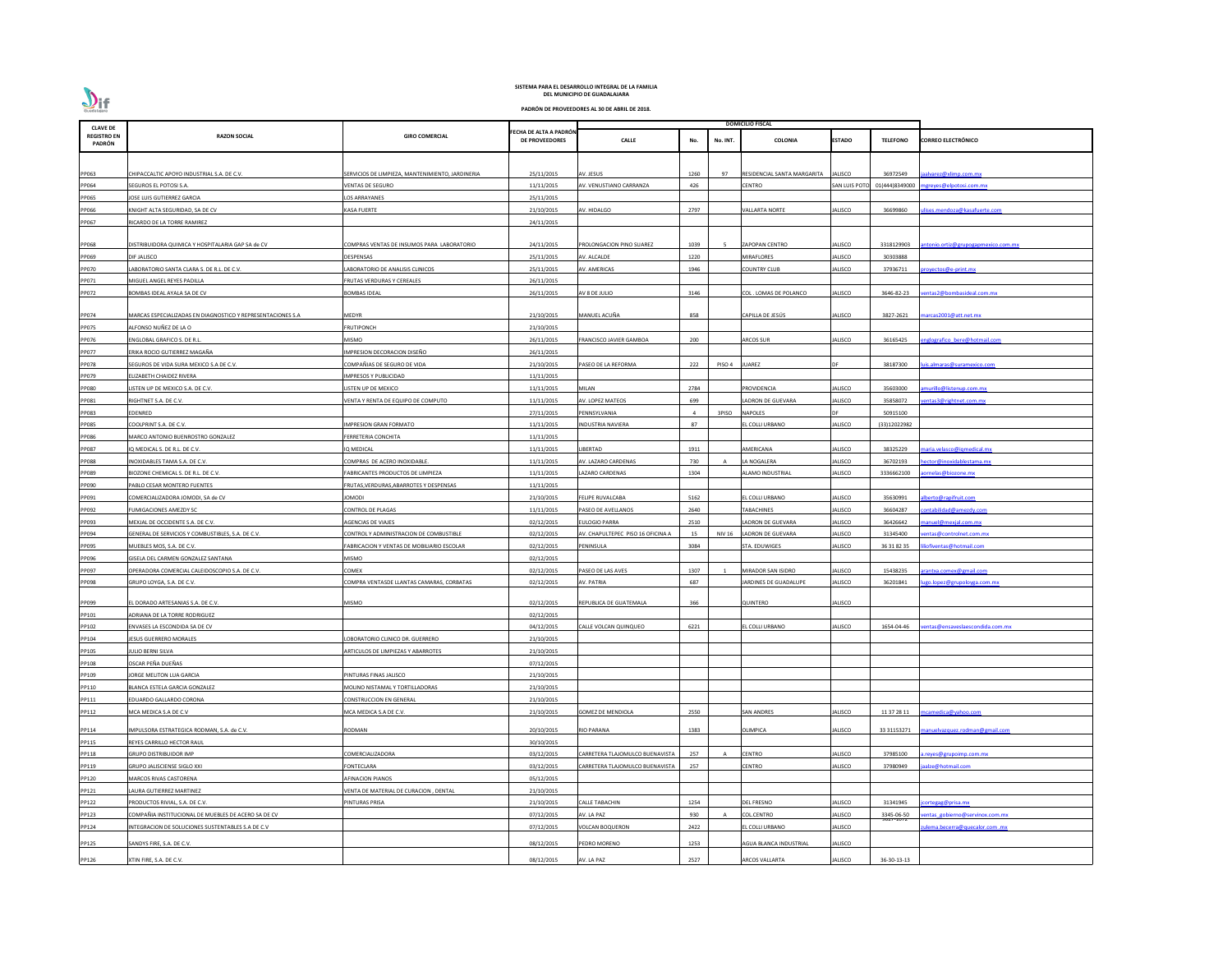

| <b>CLAVE DE</b>              |                                                             |                                                  |                                                 |                                   |      |               | <b>DOMICILIO FISCAL</b>     |                |                         |                                     |
|------------------------------|-------------------------------------------------------------|--------------------------------------------------|-------------------------------------------------|-----------------------------------|------|---------------|-----------------------------|----------------|-------------------------|-------------------------------------|
| <b>REGISTRO EN</b><br>PADRÓN | <b>RAZON SOCIAL</b>                                         | <b>GIRO COMERCIAL</b>                            | FECHA DE ALTA A PADRÓN<br><b>DE PROVEEDORES</b> | <b>CALLE</b>                      | No.  | No. INT.      | <b>COLONIA</b>              | ESTADO         | <b>TELEFONO</b>         | <b>CORREO ELECTRÓNICO</b>           |
|                              |                                                             |                                                  |                                                 |                                   |      |               |                             |                |                         |                                     |
| PP063                        | CHIPACCALTIC APOYO INDUSTRIAL S.A. DE C.V.                  | SERVICIOS DE LIMPIEZA, MANTENIMIENTO, JARDINERIA | 25/11/2015                                      | AV. JESUS                         | 1260 | 97            | RESIDENCIAL SANTA MARGARITA | JALISCO        | 36972549                | jaalvarez@xlimp.com.mx              |
| PP064                        | SEGUROS EL POTOSI S.A.                                      | VENTAS DE SEGURO                                 | 11/11/2015                                      | AV. VENUSTIANO CARRANZA           | 426  |               | CENTRO                      | SAN LUIS POT   | 01(444)8349000          | mgreyes@elpotosi.com.mx             |
| PP065                        | JOSE LUIS GUTIERREZ GARCIA                                  | LOS ARRAYANES                                    | 25/11/2015                                      |                                   |      |               |                             |                |                         |                                     |
| PP066                        | KNIGHT ALTA SEGURIDAD, SA DE CV                             | <b>KASA FUERTE</b>                               | 21/10/2015                                      | AV. HIDALGO                       | 2797 |               | <b>VALLARTA NORTE</b>       | JALISCO        | 36699860                | lises.mendoza@kasafuerte.com        |
| PP067                        | RICARDO DE LA TORRE RAMIREZ                                 |                                                  | 24/11/2015                                      |                                   |      |               |                             |                |                         |                                     |
|                              |                                                             |                                                  |                                                 |                                   |      |               |                             |                |                         |                                     |
| PP068                        | )ISTRIBUIDORA QUIMICA Y HOSPITALARIA GAP SA de CV           | COMPRAS VENTAS DE INSUMOS PARA LABORATORIO       | 24/11/2015                                      | PROLONGACION PINO SUAREZ          | 1039 | 5             | <b>ZAPOPAN CENTRO</b>       | JALISCO        | 3318129903              | antonio.ortiz@grupogapmexico.com.mx |
| PP069                        | DIF JALISCO                                                 | DESPENSAS                                        | 25/11/2015                                      | AV. ALCALDE                       | 1220 |               | MIRAFLORES                  | JALISCO        | 30303888                |                                     |
| PP070                        | ABORATORIO SANTA CLARA S. DE R.L. DE C.V.                   | LABORATORIO DE ANALISIS CLINICOS                 | 25/11/2015                                      | AV. AMERICAS                      | 1946 |               | COUNTRY CLUB                | JALISCO        | 37936711                | oroyectos@e-print.mx                |
| PP071                        | MIGUEL ANGEL REYES PADILLA                                  | FRUTAS VERDURAS Y CEREALES                       | 26/11/2015                                      |                                   |      |               |                             |                |                         |                                     |
| PP072                        | BOMBAS IDEAL AYALA SA DE CV                                 | <b>BOMBAS IDEAL</b>                              | 26/11/2015                                      | AV 8 DE JULIO                     | 3146 |               | COL . LOMAS DE POLANCO      | JALISCO        | 3646-82-23              | entas2@bombasideal.com.mx           |
|                              |                                                             |                                                  |                                                 |                                   |      |               |                             |                |                         |                                     |
| PP074                        | MARCAS ESPECIALIZADAS EN DIAGNOSTICO Y REPRESENTACIONES S.A | MEDYR                                            | 21/10/2015                                      | MANUEL ACUÑA                      | 858  |               | CAPILLA DE JESÚS            | <b>JALISCO</b> | 3827-2621               | marcas2001@att.net.mx               |
| PP075                        | ALFONSO NUÑEZ DE LA O                                       | <b>FRUTIPONCH</b>                                | 21/10/2015                                      |                                   |      |               |                             |                |                         |                                     |
| PP076                        | ENGLOBAL GRAFICO S. DE R.L                                  | <b>MISMO</b>                                     | 26/11/2015                                      | FRANCISCO JAVIER GAMBOA           | 200  |               | <b>ARCOS SUR</b>            | IALISCO        | 36165425                | nglografico bere@hotmail.com        |
| PP077                        | ERIKA ROCIO GUTIERREZ MAGAÑA                                | IMPRESION DECORACION DISEÑO                      | 26/11/2015                                      |                                   |      |               |                             |                |                         |                                     |
| <b>PP078</b>                 | SEGUROS DE VIDA SURA MEXICO S.A DE C.V.                     | COMPAÑIAS DE SEGURO DE VIDA                      | 21/10/2015                                      | ASEO DE LA REFORMA                | 222  | PISO 4        | UAREZ                       |                | 38187300                | uis.almaras@suramexico.com          |
| PP079                        | ELIZABETH CHAIDEZ RIVERA                                    | <b>IMPRESOS Y PUBLICIDAD</b>                     | 11/11/2015                                      |                                   |      |               |                             |                |                         |                                     |
| <b>PP080</b>                 | ISTEN UP DE MEXICO S.A. DE C.V.                             | LISTEN UP DE MEXICO                              | 11/11/2015                                      | MILAN                             | 2784 |               | PROVIDENCIA                 | ALISCO         | 35603000                | murillo@listenup.com.mx             |
| PP081                        | RIGHTNET S.A. DE C.V.                                       | VENTA Y RENTA DE EQUIPO DE COMPUTO               | 11/11/2015                                      | AV. LOPEZ MATEOS                  | 699  |               | ADRON DE GUEVARA            | <b>IALISCO</b> | 35858072                | entas3@rightnet.com.mx              |
| PP083                        | EDENRED                                                     |                                                  | 27/11/2015                                      | PENNSYLVANIA                      |      | 3PISO         | NAPOLES                     |                | 50915100                |                                     |
| <b>PP085</b>                 | COOLPRINT S.A. DE C.V.                                      | <b>IMPRESION GRAN FORMATO</b>                    | 11/11/2015                                      | <b>NDUSTRIA NAVIERA</b>           | 87   |               | EL COLLI URBANO             | JALISCO        | (33)12022982            |                                     |
| PP086                        | MARCO ANTONIO BUENROSTRO GONZALEZ                           | FERRETERIA CONCHITA                              | 11/11/2015                                      |                                   |      |               |                             |                |                         |                                     |
| PP087                        | IQ MEDICAL S. DE R.L. DE C.V.                               | IQ MEDICAL                                       | 11/11/2015                                      | LIBERTAD                          | 1911 |               | AMERICANA                   | JALISCO        | 38325229                | maria.velasco@igmedical.mx          |
| <b>PP088</b>                 | INOXIDABLES TAMA S.A. DE C.V.                               | COMPRAS DE ACERO INOXIDABLE.                     | 11/11/2015                                      | AV. LAZARO CARDENAS               | 730  |               | LA NOGALERA                 | IALISCO        | 36702193                | hector@inoxidablestama.mx           |
| PP089                        | BIOZONE CHEMICAL S. DE R.L. DE C.V.                         | FABRICANTES PRODUCTOS DE LIMPIEZA                | 11/11/2015                                      | LAZARO CARDENAS                   | 1304 |               | <b>ILAMO INDUSTRIAL</b>     | <b>JALISCO</b> | 3336662100              | aornelas@biozone.mx                 |
| PP090                        | <b>PABLO CESAR MONTERO FUENTES</b>                          | FRUTAS, VERDURAS, ABARROTES Y DESPENSAS          | 11/11/2015                                      |                                   |      |               |                             |                |                         |                                     |
| PP091                        | COMERCIALIZADORA JOMODI, SA de CV                           | <b>JOMODI</b>                                    | 21/10/2015                                      | <b>FELIPE RUVALCABA</b>           | 5162 |               | EL COLLI URBANO             | <b>JALISCO</b> | 35630991                | alberto@rapifruit.com               |
| PP092                        | FUMIGACIONES AMEZDY SC                                      | <b>CONTROL DE PLAGAS</b>                         | 11/11/2015                                      | PASEO DE AVELLANOS                | 2640 |               | TABACHINES                  | <b>JALISCO</b> | 36604287                | contabilidad@amezdy.com             |
| PP093                        | MEXJAL DE OCCIDENTE S.A. DE C.V.                            | AGENCIAS DE VIAJES                               | 02/12/2015                                      | <b>ULOGIO PARRA</b>               | 2510 |               | <b>LADRON DE GUEVARA</b>    | <b>IALISCO</b> | 36426642                | manuel@mexjal.com.mx                |
| PP094                        | GENERAL DE SERVICIOS Y COMBUSTIBLES, S.A. DE C.V.           | CONTROL Y ADMINISTRACION DE COMBUSTIBLE          | 02/12/2015                                      | AV. CHAPULTEPEC PISO 16 OFICINA A | 15   | <b>NIV 16</b> | LADRON DE GUEVARA           | <b>JALISCO</b> | 31345400                | entas@controlnet.com.mx             |
| PP095                        | MUEBLES MOS. S.A. DE C.V.                                   | FABRICACION Y VENTAS DE MOBILIARIO ESCOLAR       | 02/12/2015                                      | PENINSULA                         | 3084 |               | STA. EDUWIGES               | <b>JALISCO</b> | 36 31 82 35             | iofiventas@hotmail.com              |
| PP096                        | GISELA DEL CARMEN GONZALEZ SANTANA                          | <b>MISMO</b>                                     | 02/12/2015                                      |                                   |      |               |                             |                |                         |                                     |
| PP097                        | OPERADORA COMERCIAL CALEIDOSCOPIO S.A. DE C.V.              | COMEX                                            | 02/12/2015                                      | ASEO DE LAS AVES                  | 1307 |               | MIRADOR SAN ISIDRO          | <b>ALISCO</b>  | 15438235                | arantxa.comex@gmail.com             |
| PP098                        | GRUPO LOYGA, S.A. DE C.V.                                   | COMPRA VENTASDE LLANTAS CAMARAS, CORBATAS        | 02/12/2015                                      | AV. PATRIA                        | 687  |               | <b>ARDINES DE GUADALUPE</b> | JALISCO        | 36201841                | ugo.lopez@grupoloyga.com.mx         |
| PP099                        | EL DORADO ARTESANIAS S.A. DE C.V.                           | <b>MISMO</b>                                     | 02/12/2015                                      | REPUBLICA DE GUATEMALA            | 366  |               | QUINTERO                    | <b>JALISCO</b> |                         |                                     |
| PP101                        | ADRIANA DE LA TORRE RODRIGUEZ                               |                                                  | 02/12/2015                                      |                                   |      |               |                             |                |                         |                                     |
| PP102                        | <b>ENVASES LA ESCONDIDA SA DE CV</b>                        |                                                  | 04/12/2015                                      | ALLE VOLCAN QUINQUEO              | 6221 |               | L COLLI URBANO              | <b>JALISCO</b> | 1654-04-46              | entas@ensaveslaescondida.com.mx     |
| PP104                        | JESUS GUERRERO MORALES                                      | LOBORATORIO CLINICO DR. GUERRERO                 | 21/10/2015                                      |                                   |      |               |                             |                |                         |                                     |
| PP105                        | ULIO BERNI SILVA                                            | ARTICULOS DE LIMPIEZAS Y ABARROTES               | 21/10/2015                                      |                                   |      |               |                             |                |                         |                                     |
| PP108                        | OSCAR PEÑA DUEÑAS                                           |                                                  | 07/12/2015                                      |                                   |      |               |                             |                |                         |                                     |
| PP109                        | JORGE MELITON LUA GARCIA                                    | PINTURAS FINAS JALISCO                           | 21/10/2015                                      |                                   |      |               |                             |                |                         |                                     |
| PP110                        | BLANCA ESTELA GARCIA GONZALEZ                               | MOLINO NISTAMAL Y TORTILLADORAS                  | 21/10/2015                                      |                                   |      |               |                             |                |                         |                                     |
| PP111                        | EDUARDO GALLARDO CORONA                                     | <b>CONSTRUCCION EN GENERAL</b>                   | 21/10/2015                                      |                                   |      |               |                             |                |                         |                                     |
| PP112                        | VICA MEDICA S.A DE C.V                                      | MCA MEDICA S.A DE C.V.                           | 21/10/2015                                      | <b>GOMEZ DE MENDIOLA</b>          | 2550 |               | SAN ANDRES                  | IALISCO        | 11 37 28 11             | mcamedica@yahoo.com                 |
|                              |                                                             |                                                  |                                                 |                                   |      |               |                             |                |                         |                                     |
| PP114                        | IMPULSORA ESTRATEGICA RODMAN, S.A. de C.V.                  | <b>RODMAN</b>                                    | 20/10/2015                                      | <b>RIO PARANA</b>                 | 1383 |               | OLIMPICA                    | JALISCO        | 33 31153271             | manuelvazquez.rodman@gmail.com      |
| PP115                        | REYES CARRILLO HECTOR RAUL                                  |                                                  | 30/10/2015                                      |                                   |      |               |                             |                |                         |                                     |
| PP118                        | GRUPO DISTRIBUIDOR IMP                                      | COMERCIALIZADORA                                 | 03/12/2015                                      | CARRETERA TLAJOMULCO BUENAVISTA   | 257  | A             | <b>CENTRO</b>               | <b>JALISCO</b> | 37985100                | a.reyes@grupoimp.com.mx             |
| PP119                        | <b>GRUPO JALISCIENSE SIGLO XXI</b>                          | <b>FONTECLARA</b>                                | 03/12/2015                                      | ARRETERA TLAJOMULCO BUENAVISTA    | 257  |               | CENTRO                      | <b>JALISCO</b> | 37980949                | aalze@hotmail.com                   |
| PP120                        | <b>MARCOS RIVAS CASTORENA</b>                               | <b>AFINACION PIANOS</b>                          | 05/12/2015                                      |                                   |      |               |                             |                |                         |                                     |
| PP121                        | AURA GUTIERREZ MARTINEZ                                     | VENTA DE MATERIAL DE CURACION, DENTAL            | 21/10/2015                                      |                                   |      |               |                             |                |                         |                                     |
| PP122                        | PRODUCTOS RIVIAL, S.A. DE C.V.                              | PINTURAS PRISA                                   | 21/10/2015                                      | <b>CALLE TABACHIN</b>             | 1254 |               | DEL FRESNO                  | JALISCO        | 31341945                | jcortegag@prisa.mx                  |
| PP123                        | COMPAÑIA INSTITUCIONAL DE MUEBLES DE ACERO SA DE CV         |                                                  | 07/12/2015                                      | AV. LA PAZ                        | 930  |               | COL.CENTRO                  | JALISCO        | 3345-06-50<br>9027-1072 | entas gobierno@servinox.com.mx      |
| PP124                        | INTEGRACION DE SOLUCIONES SUSTENTABLES S.A DE C.V           |                                                  | 07/12/2015                                      | VOLCAN BOQUERON                   | 2422 |               | L COLLI URBANO              | JALISCO        |                         | ulema.becerra@quecalor.com.mx       |
| PP125                        | SANDYS FIRE, S.A. DE C.V.                                   |                                                  | 08/12/2015                                      | PEDRO MORENO                      | 1253 |               | AGUA BLANCA INDUSTRIAL      | <b>JALISCO</b> |                         |                                     |
| PP126                        | XTIN FIRE, S.A. DE C.V.                                     |                                                  | 08/12/2015                                      | AV. LA PAZ                        | 2527 |               | ARCOS VALLARTA              | <b>JALISCO</b> | 36-30-13-13             |                                     |
|                              |                                                             |                                                  |                                                 |                                   |      |               |                             |                |                         |                                     |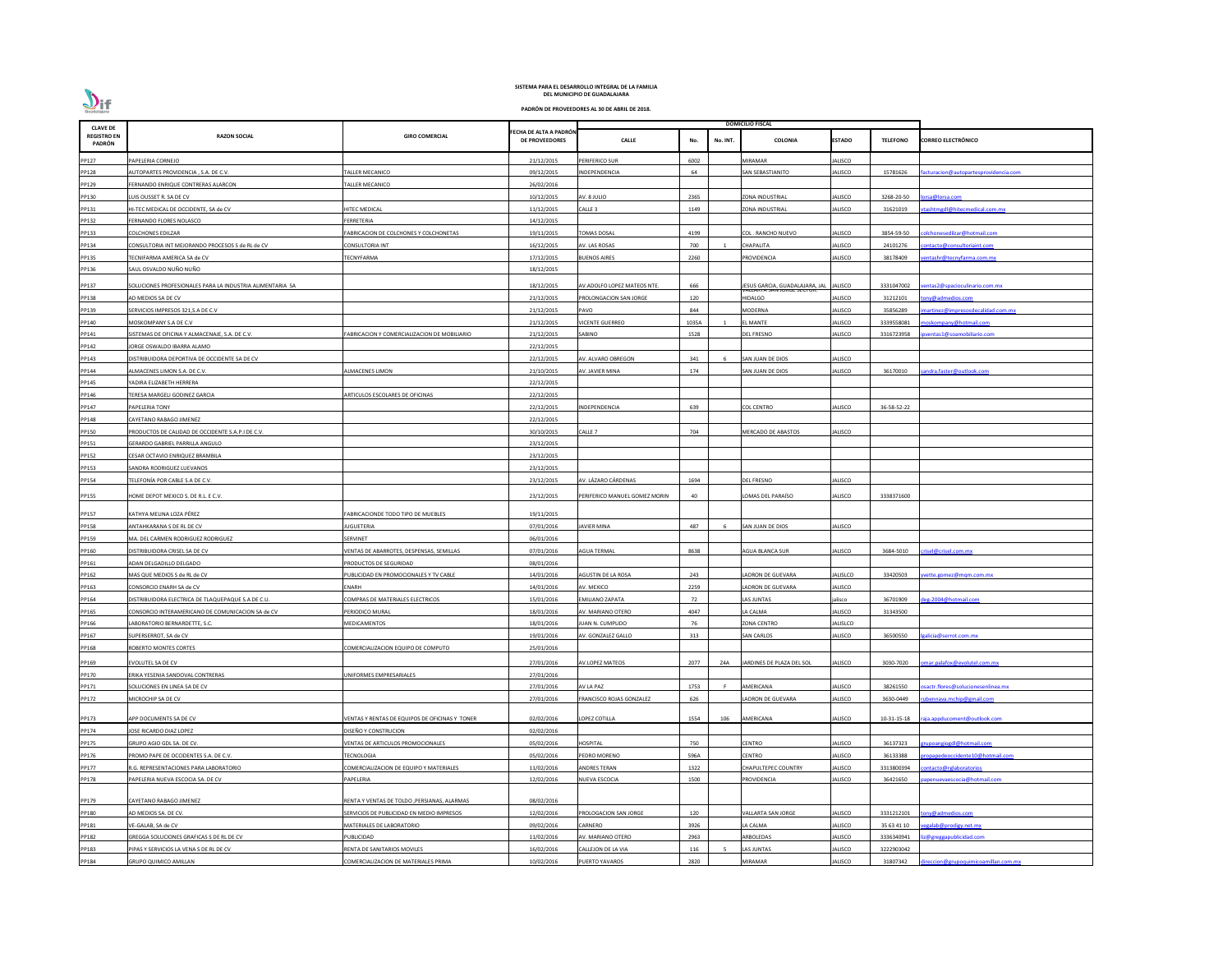| <b>CLAVE DE</b>              |                                                           |                                                |                                                 |                               |                 | <b>DOMICILIO FISCAL</b>        |                |                 |                                       |
|------------------------------|-----------------------------------------------------------|------------------------------------------------|-------------------------------------------------|-------------------------------|-----------------|--------------------------------|----------------|-----------------|---------------------------------------|
| <b>REGISTRO EN</b><br>PADRÓN | <b>RAZON SOCIAL</b>                                       | <b>GIRO COMERCIAL</b>                          | FECHA DE ALTA A PADRÓN<br><b>DE PROVEEDORES</b> | <b>CALLE</b>                  | No.<br>No. INT. | COLONIA                        | <b>ESTADO</b>  | <b>TELEFONO</b> | <b>CORREO ELECTRÓNICO</b>             |
| PP127                        | PAPELERIA CORNEJO                                         |                                                | 21/12/2015                                      | PERIFERICO SUR                | 6002            | <b>MIRAMAR</b>                 | JALISCO        |                 |                                       |
| PP128                        | AUTOPARTES PROVIDENCIA, S.A. DE C.V.                      | ALLER MECANICO                                 | 09/12/2015                                      | INDEPENDENCIA                 | 64              | SAN SEBASTIANITO               | JALISCO        | 15781626        | facturacion@autopartesprovidencia.com |
| PP129                        | ERNANDO ENRIQUE CONTRERAS ALARCON                         | ALLER MECANICO                                 | 26/02/2016                                      |                               |                 |                                |                |                 |                                       |
| PP130                        | LUIS OUSSET R. SA DE CV                                   |                                                | 10/12/2015                                      | AV. 8 JULIO                   | 2365            | <b>ZONA INDUSTRIAL</b>         | <b>JALISCO</b> | 3268-20-50      | orsa@lorsa.com                        |
| PP131                        | HI-TEC MEDICAL DE OCCIDENTE, SA de CV                     | <b>IITEC MEDICAL</b>                           | 11/12/2015                                      | CALLE <sub>3</sub>            | 1149            | ZONA INDUSTRIAL                | JALISCO        | 31621019        | tashtmgdl@hitecmedical.com.mx         |
| PP132                        | FERNANDO FLORES NOLASCO                                   | FERRETERIA                                     | 14/12/2015                                      |                               |                 |                                |                |                 |                                       |
| PP133                        | COLCHONES EDILZAR                                         | ABRICACION DE COLCHONES Y COLCHONETAS          | 19/11/2015                                      | <b>OMAS DOSAL</b>             | 4199            | COL . RANCHO NUEVO             | JALISCO        | 3854-59-50      | olchonesedilzar@hotmail.com           |
| PP134                        | CONSULTORIA INT MEJORANDO PROCESOS S de RL de CV          | CONSULTORIA INT                                | 16/12/2015                                      | AV. LAS ROSAS                 | 700             | <b>CHAPALITA</b>               | JALISCO        | 24101276        | ontacto@consultoriaint.com            |
| PP135                        | TECNIFARMA AMERICA SA de CV                               | ECNYFARMA                                      | 17/12/2015                                      | <b>BUENOS AIRES</b>           | 2260            | <b>ROVIDENCIA</b>              | ALISCO         | 38178409        | entashr@tecnyfarma.com.mx             |
| PP136                        | SAUL OSVALDO NUÑO NUÑO                                    |                                                | 18/12/2015                                      |                               |                 |                                |                |                 |                                       |
| PP137                        | SOLUCIONES PROFESIONALES PARA LA INDUSTRIA ALIMENTARIA SA |                                                | 18/12/2015                                      | AV.ADOLFO LOPEZ MATEOS NTE.   | 666             | JESUS GARCIA, GUADALAJARA, JAL | <b>JALISCO</b> | 3331047002      | entas 2@spacioculinario.com.mx        |
| PP138                        | AD MEDIOS SA DE CV                                        |                                                | 21/12/2015                                      | PROLONGACION SAN JORGE        | 120             | HIDALGO                        | JALISCO        | 31212101        | ony@admedios.com                      |
| PP139                        | SERVICIOS IMPRESOS 321, S.A DE C.V                        |                                                | 21/12/2015                                      | PAVO                          | 844             | <b>MODERNA</b>                 | JALISCO        | 35856289        | nartinez@impresosdecalidad.com.mx     |
| PP140                        | MOSKOMPANY S.A DE C.V                                     |                                                | 21/12/2015                                      | <b>VICENTE GUERREO</b>        | 1035A           | L MANTE                        | JALISCO        | 3339558081      | noskompany@hotmail.com                |
| PP141                        | SISTEMAS DE OFICINA Y ALMACENAJE, S.A. DE C.V.            | ABRICACION Y COMERCIALIZACION DE MOBILIARIO    | 21/12/2015                                      | SABINO                        | 1528            | DEL FRESNO                     | ALISCO         | 3316723958      | ventas1@soamobiliario.com             |
| PP142                        | <b>JORGE OSWALDO IBARRA ALAMO</b>                         |                                                | 22/12/2015                                      |                               |                 |                                |                |                 |                                       |
| PP143                        | DISTRIBUIDORA DEPORTIVA DE OCCIDENTE SA DE CV             |                                                | 22/12/2015                                      | AV. ALVARO OBREGON            | 341             | SAN JUAN DE DIOS               | JALISCO        |                 |                                       |
| PP144                        | ALMACENES LIMON S.A. DE C.V.                              | <b>LMACENES LIMON</b>                          | 21/10/2015                                      | AV. JAVIER MINA               | 174             | SAN JUAN DE DIOS               | JALISCO        | 36170010        | andra.faster@outlook.com              |
| PP145                        | YADIRA ELIZABETH HERRERA                                  |                                                | 22/12/2015                                      |                               |                 |                                |                |                 |                                       |
| PP146                        | FERESA MARGELI GODINEZ GARCIA                             | ARTICULOS ESCOLARES DE OFICINAS                | 22/12/2015                                      |                               |                 |                                |                |                 |                                       |
| PP147                        | PAPELERIA TONY                                            |                                                | 22/12/2015                                      | INDEPENDENCIA                 | 639             | <b>COL CENTRO</b>              | JALISCO        | 36-58-52-22     |                                       |
| PP148                        | CAYETANO RABAGO JIMENEZ                                   |                                                | 22/12/2015                                      |                               |                 |                                |                |                 |                                       |
| PP150                        | PRODUCTOS DE CALIDAD DE OCCIDENTE S.A.P.I DE C.V.         |                                                | 30/10/2015                                      | Calle 7                       | 704             | MERCADO DE ABASTOS             | JALISCO        |                 |                                       |
| PP151                        | GERARDO GABRIEL PARRILLA ANGULO                           |                                                | 23/12/2015                                      |                               |                 |                                |                |                 |                                       |
| PP152                        | CESAR OCTAVIO ENRIQUEZ BRAMBILA                           |                                                | 23/12/2015                                      |                               |                 |                                |                |                 |                                       |
| PP153                        | SANDRA RODRIGUEZ LUEVANOS                                 |                                                | 23/12/2015                                      |                               |                 |                                |                |                 |                                       |
| PP154                        | TELEFONÍA POR CABLE S.A DE C.V.                           |                                                | 23/12/2015                                      | AV. LÁZARO CÁRDENAS           | 1694            | DEL FRESNO                     | JALISCO        |                 |                                       |
| PP155                        | HOME DEPOT MEXICO S. DE R.L. E C.V.                       |                                                | 23/12/2015                                      | PERIFERICO MANUEL GOMEZ MORIN | 40              | LOMAS DEL PARAÍSO              | JALISCO        | 3338371600      |                                       |
| PP157                        | KATHYA MELINA LOZA PÉREZ                                  | FABRICACIONDE TODO TIPO DE MUEBLES             | 19/11/2015                                      |                               |                 |                                |                |                 |                                       |
| PP158                        | ANTAHKARANA S DE RL DE CV                                 | JUGUETERIA                                     | 07/01/2016                                      | <b>JAVIER MINA</b>            | 487<br>-6       | SAN JUAN DE DIOS               | JALISCO        |                 |                                       |
| PP159                        | MA. DEL CARMEN RODRIGUEZ RODRIGUEZ                        | SERVINET                                       | 06/01/2016                                      |                               |                 |                                |                |                 |                                       |
| PP160                        | DISTRIBUIDORA CRISEL SA DE CV                             | VENTAS DE ABARROTES, DESPENSAS, SEMILLAS       | 07/01/2016                                      | <b>AGUA TERMAL</b>            | 8638            | <b>AGUA BLANCA SUR</b>         | JALISCO        | 3684-5010       | risel@crisel.com.mx                   |
| PP161                        | ADAN DELGADILLO DELGADO                                   | RODUCTOS DE SEGURIDAD                          | 08/01/2016                                      |                               |                 |                                |                |                 |                                       |
| PP162                        | MAS QUE MEDIOS S de RL de CV                              | UBLICIDAD EN PROMOCIONALES Y TV CABLE          | 14/01/2016                                      | AGUSTIN DE LA ROSA            | 243             | LADRON DE GUEVARA              | JALISLCO       | 33420503        | vette.gomez@mgm.com.mx                |
| PP163                        | CONSORCIO ENARH SA de CV                                  | ENARH                                          | 14/01/2016                                      | AV. MEXICO                    | 2259            | LADRON DE GUEVARA              | JALISCO        |                 |                                       |
| PP164                        | DISTRIBUIDORA ELECTRICA DE TLAQUEPAQUE S.A DE C.U.        | COMPRAS DE MATERIALES ELECTRICOS               | 15/01/2016                                      | EMILIANO ZAPATA               | 72              | LAS JUNTAS                     | jalisco        | 36701909        | eg-2004@hotmail.com                   |
| PP165                        | CONSORCIO INTERAMERICANO DE COMUNICACION SA de CV         | PERIODICO MURAL                                | 18/01/2016                                      | AV. MARIANO OTERO             | 4047            | LA CALMA                       | <b>JALISCO</b> | 31343500        |                                       |
| PP166                        | LABORATORIO BERNARDETTE, S.C.                             | MEDICAMENTOS                                   | 18/01/2016                                      | UAN N. CUMPLIDO               | 76              | ZONA CENTRO                    | JALISLCO       |                 |                                       |
| PP167                        | SUPERSERROT, SA de CV                                     |                                                | 19/01/2016                                      | AV. GONZALEZ GALLO            | 313             | <b>SAN CARLOS</b>              | <b>JALISCO</b> | 36500550        | alicia@serrot.com.mx                  |
| PP168                        | ROBERTO MONTES CORTES                                     | COMERCIALIZACION EQUIPO DE COMPUTO             | 25/01/2016                                      |                               |                 |                                |                |                 |                                       |
| PP169                        | EVOLUTEL SA DE CV                                         |                                                | 27/01/2016                                      | AV.LOPEZ MATEOS               | 2077<br>Z4A     | JARDINES DE PLAZA DEL SOL      | JALISCO        | 3030-7020       | mar.palafox@evolutel.com.mx           |
| PP170                        | ERIKA YESENIA SANDOVAL CONTRERAS                          | <b>INIFORMES EMPRESARIALES</b>                 | 27/01/2016                                      |                               |                 |                                |                |                 |                                       |
| PP171                        | SOLUCIONES EN LINEA SA DE CV                              |                                                | 27/01/2016                                      | AV LA PAZ                     | 1753            | AMERICANA                      | <b>JALISCO</b> | 38261550        | sactr.flores@solucionesenlinea.mx     |
| PP172                        | MICROCHIP SA DE CV                                        |                                                | 27/01/2016                                      | RANCISCO ROJAS GONZALEZ       | 626             | ADRON DE GUEVARA               | JALISCO        | 3630-0449       | bennava.mchip@gmail.com               |
| PP173                        | APP DOCUMENTS SA DE CV                                    | VENTAS Y RENTAS DE EQUIPOS DE OFICINAS Y TONER | 02/02/2016                                      | LOPEZ COTILLA                 | 1554<br>106     | AMERICANA                      | JALISCO        | 10-31-15-18     | aja.appducoment@outlook.com           |
| PP174                        | <b>JOSE RICARDO DIAZ LOPEZ</b>                            | DISEÑO Y CONSTRUCION                           | 02/02/2016                                      |                               |                 |                                |                |                 |                                       |
| PP175                        | GRUPO AGIO GDL SA. DE CV.                                 | VENTAS DE ARTICULOS PROMOCIONALES              | 05/02/2016                                      | HOSPITAL                      | 750             | CENTRO                         | ALISCO         | 36137323        | rupoangiogdl@hotmail.com              |
| PP176                        | PROMO PAPE DE OCCIDENTES S.A. DE C.V.                     | <b>ECNOLOGIA</b>                               | 05/02/2016                                      | PEDRO MORENO                  | 596A            | CENTRO                         | <b>ALISCO</b>  | 36133388        | ropapedeoccidente10@hotmail.com       |
| PP177                        | R.G. REPRESENTACIONES PARA LABORATORIO                    | COMERCIALIZACION DE EQUIPO Y MATERIALES        | 11/02/2016                                      | ANDRES TERAN                  | 1322            | CHAPULTEPEC COUNTRY            | JALISCO        | 3313800394      | ontacto@rglaboratorios                |
| PP178                        | PAPELERIA NUEVA ESCOCIA SA. DE CV                         | PAPELERIA                                      | 12/02/2016                                      | NUEVA ESCOCIA                 | 1500            | PROVIDENCIA                    | <b>JALISCO</b> | 36421650        | ipenuevaescocia@hotmail.com           |
| PP179                        | CAYETANO RABAGO JIMENEZ                                   | RENTA Y VENTAS DE TOLDO , PERSIANAS, ALARMAS   | 08/02/2016                                      |                               |                 |                                |                |                 |                                       |
| PP180                        | AD MEDIOS SA. DE CV.                                      | SERVICIOS DE PUBLICIDAD EN MEDIO IMPRESOS      | 12/02/2016                                      | PROLOGACION SAN JORGE         | 120             | /ALLARTA SAN JORGE             | <b>JALISCO</b> | 3331212101      | ony@admedios.com                      |
| PP181                        | VE-GALAB, SA de CV                                        | MATERIALES DE LABORATORIO                      | 09/02/2016                                      | CARNERO                       | 3926            | LA CALMA                       | JALISCO        | 35 63 41 10     | egalab@prodigy.net.mx                 |
| PP182                        | GREGGA SOLUCIONES GRAFICAS S DE RL DE CV                  | PUBLICIDAD                                     | 11/02/2016                                      | AV. MARIANO OTERO             | 2963            | ARBOLEDAS                      | JALISCO        | 3336340941      | z@greggapublicidad.com                |
| PP183                        | PIPAS Y SERVICIOS LA VENA S DE RL DE CV                   | RENTA DE SANITARIOS MOVILES                    | 16/02/2016                                      | CALLEJON DE LA VIA            | 116             | AS JUNTAS                      | JALISCO        | 3222903042      |                                       |
| PP184                        | GRUPO QUIMICO AMILLAN                                     | COMERCIALIZACION DE MATERIALES PRIMA           | 10/02/2016                                      | PUERTO YAVAROS                | 2820            | <b>MIRAMAR</b>                 | <b>JALISCO</b> | 31807342        | lireccion@grupoquimicoamillan.com.mx  |

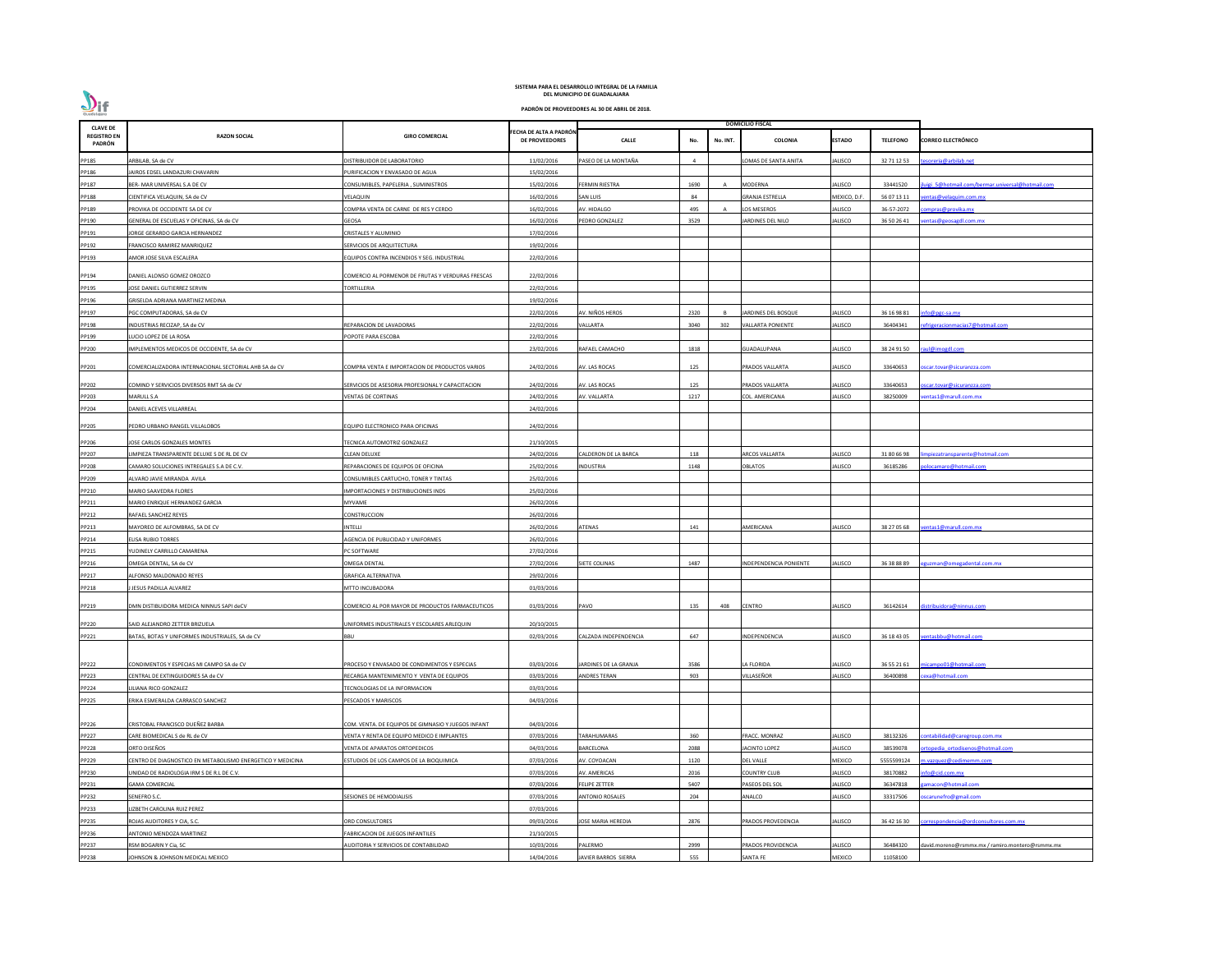| <b>CLAVE DE</b>              |                                                                            |                                                                          |                                                 |                           |              |          | <b>DOMICILIO FISCAL</b>                  |                  |                        |                                                            |
|------------------------------|----------------------------------------------------------------------------|--------------------------------------------------------------------------|-------------------------------------------------|---------------------------|--------------|----------|------------------------------------------|------------------|------------------------|------------------------------------------------------------|
| <b>REGISTRO EN</b><br>PADRÓN | <b>RAZON SOCIAL</b>                                                        | <b>GIRO COMERCIAL</b>                                                    | FECHA DE ALTA A PADRÓN<br><b>DE PROVEEDORES</b> | <b>CALLE</b>              | No.          | No. INT. | <b>COLONIA</b>                           | <b>ESTADO</b>    | <b>TELEFONO</b>        | <b>CORREO ELECTRÓNICO</b>                                  |
| PP185                        | ARBILAB, SA de CV                                                          | DISTRIBUIDOR DE LABORATORIO                                              | 11/02/2016                                      | PASEO DE LA MONTAÑA       |              |          | LOMAS DE SANTA ANITA                     | ALISCO           | 32 71 12 53            | esoreria@arbilab.net                                       |
| PP186                        | AIROS EDSEL LANDAZURI CHAVARIN                                             | <b>URIFICACION Y ENVASADO DE AGUA</b>                                    | 15/02/2016                                      |                           |              |          |                                          |                  |                        |                                                            |
| PP187                        | BER- MAR UNIVERSAL S.A DE CV                                               | CONSUMIBLES, PAPELERIA, SUMINISTROS                                      | 15/02/2016                                      | FERMIN RIESTRA            | 1690         | A        | <b>MODERNA</b>                           | ALISCO           | 33441520               | uigi 5@hotmail.com/bermar.universal@hotmail.com            |
| PP188                        | CIENTIFICA VELAQUIN, SA de CV                                              | VELAQUIN                                                                 | 16/02/2016                                      | SAN LUIS                  | 84           |          | <b>GRANJA ESTRELLA</b>                   | MEXICO, D.F      | 56 07 13 11            | entas@velaquim.com.mx                                      |
| PP189                        | PROVIKA DE OCCIDENTE SA DE CV                                              | COMPRA VENTA DE CARNE DE RES Y CERDO                                     | 16/02/2016                                      | AV. HIDALGO               | 495          |          | LOS MESEROS                              | ALISCO           | 36-57-2072             | ompras@provika.mx                                          |
| PP190                        | GENERAL DE ESCUELAS Y OFICINAS, SA de CV                                   | GEOSA                                                                    | 16/02/2016                                      | PEDRO GONZALEZ            | 3529         |          | JARDINES DEL NILO                        | <b>ALISCO</b>    | 36 50 26 41            | entas@geosagdl.com.mx                                      |
| PP191                        | JORGE GERARDO GARCIA HERNANDEZ                                             | CRISTALES Y ALUMINIO                                                     | 17/02/2016                                      |                           |              |          |                                          |                  |                        |                                                            |
| PP192                        | FRANCISCO RAMIREZ MANRIQUEZ                                                | SERVICIOS DE ARQUITECTURA                                                | 19/02/2016                                      |                           |              |          |                                          |                  |                        |                                                            |
| PP193                        | AMOR JOSE SILVA ESCALERA                                                   | <b>QUIPOS CONTRA INCENDIOS Y SEG. INDUSTRIAL</b>                         | 22/02/2016                                      |                           |              |          |                                          |                  |                        |                                                            |
| PP194                        | DANIEL ALONSO GOMEZ OROZCO                                                 | COMERCIO AL PORMENOR DE FRUTAS Y VERDURAS FRESCAS                        | 22/02/2016                                      |                           |              |          |                                          |                  |                        |                                                            |
| PP195                        | <b>JOSE DANIEL GUTIERREZ SERVIN</b>                                        | TORTILLERIA                                                              | 22/02/2016                                      |                           |              |          |                                          |                  |                        |                                                            |
| PP196                        | GRISELDA ADRIANA MARTINEZ MEDINA                                           |                                                                          | 19/02/2016                                      |                           |              |          |                                          |                  |                        |                                                            |
| PP197                        | PGC COMPUTADORAS, SA de CV                                                 |                                                                          | 22/02/2016                                      | AV. NIÑOS HEROS           | 2320         |          | JARDINES DEL BOSQUE                      | ALISCO           | 36 16 98 81            | info@pgc-sa.mx                                             |
| PP198                        | INDUSTRIAS RECIZAP, SA de CV                                               | REPARACION DE LAVADORAS                                                  | 22/02/2016                                      | /ALLARTA                  | 3040         | 302      | <b>VALLARTA PONIENTE</b>                 | ALISCO           | 36404341               | efrigeracionmacias7@hotmail.com                            |
| PP199                        | LUCIO LOPEZ DE LA ROSA                                                     | <b>POPOTE PARA ESCOBA</b>                                                | 22/02/2016                                      |                           |              |          |                                          |                  |                        |                                                            |
| PP200                        | IMPLEMENTOS MEDICOS DE OCCIDENTE, SA de CV                                 |                                                                          | 23/02/2016                                      | RAFAEL CAMACHO            | 1818         |          | GUADALUPANA                              | ALISCO           | 38 24 91 50            | raul@imogdl.com                                            |
| PP201                        | COMERCIALIZADORA INTERNACIONAL SECTORIAL AHB SA de CV                      | COMPRA VENTA E IMPORTACION DE PRODUCTOS VARIOS                           | 24/02/2016                                      | AV. LAS ROCAS             | 125          |          | PRADOS VALLARTA                          | ALISCO           | 33640653               | scar.tovar@sicuranzza.com                                  |
|                              |                                                                            |                                                                          |                                                 |                           |              |          |                                          |                  |                        |                                                            |
| PP202                        | COMIND Y SERVICIOS DIVERSOS RMT SA de CV                                   | SERVICIOS DE ASESORIA PROFESIONAL Y CAPACITACION                         | 24/02/2016                                      | AV. LAS ROCAS             | 125          |          | PRADOS VALLARTA                          | ALISCO           | 33640653               | scar.tovar@sicuranzza.com                                  |
| PP203                        | MARULL S.A                                                                 | VENTAS DE CORTINAS                                                       | 24/02/2016                                      | AV. VALLARTA              | 1217         |          | COL. AMERICANA                           | ALISCO           | 38250009               | entas1@marull.com.mx                                       |
| PP204                        | DANIEL ACEVES VILLARREAL                                                   |                                                                          | 24/02/2016                                      |                           |              |          |                                          |                  |                        |                                                            |
| PP205                        | PEDRO URBANO RANGEL VILLALOBOS                                             | <b>QUIPO ELECTRONICO PARA OFICINAS</b>                                   | 24/02/2016                                      |                           |              |          |                                          |                  |                        |                                                            |
| PP206                        | JOSE CARLOS GONZALES MONTES                                                | TECNICA AUTOMOTRIZ GONZALEZ                                              | 21/10/2015                                      |                           |              |          |                                          |                  |                        |                                                            |
| PP207                        | LIMPIEZA TRANSPARENTE DELUXE S DE RL DE CV                                 | CLEAN DELUXE                                                             | 24/02/2016                                      | ALDERON DE LA BARCA       | 118          |          | <b>ARCOS VALLARTA</b>                    | ALISCO           | 31 80 66 98            | npiezatransparente@hotmail.com                             |
| PP208                        | CAMARO SOLUCIONES INTREGALES S.A DE C.V.                                   | REPARACIONES DE EQUIPOS DE OFICINA                                       | 25/02/2016                                      | INDUSTRIA                 | 1148         |          | OBLATOS                                  | ALISCO           | 36185286               | olocamaro@hotmail.com                                      |
| PP209                        | ALVARO JAVIE MIRANDA AVILA                                                 | CONSUMIBLES CARTUCHO, TONER Y TINTAS                                     | 25/02/2016                                      |                           |              |          |                                          |                  |                        |                                                            |
| PP210                        | MARIO SAAVEDRA FLORES                                                      | <b>IMPORTACIONES Y DISTRIBUCIONES INDS</b>                               | 25/02/2016                                      |                           |              |          |                                          |                  |                        |                                                            |
| PP211                        | MARIO ENRIQUE HERNANDEZ GARCIA                                             | MYVAME                                                                   | 26/02/2016                                      |                           |              |          |                                          |                  |                        |                                                            |
| PP212                        | RAFAEL SANCHEZ REYES                                                       | CONSTRUCCION                                                             | 26/02/2016                                      |                           |              |          |                                          |                  |                        |                                                            |
| PP213                        | MAYOREO DE ALFOMBRAS. SA DE CV                                             | INTELLI                                                                  | 26/02/2016                                      | <b>ATENAS</b>             | 141          |          | AMERICANA                                | ALISCO           | 38 27 05 68            | entas1@marull.com.mx                                       |
| PP214                        | <b>ELISA RUBIO TORRES</b>                                                  | AGENCIA DE PUBLICIDAD Y UNIFORMES                                        | 26/02/2016                                      |                           |              |          |                                          |                  |                        |                                                            |
| PP215                        | YUDINELY CARRILLO CAMARENA                                                 | PC SOFTWARE                                                              | 27/02/2016                                      |                           |              |          |                                          |                  |                        |                                                            |
| PP216                        | OMEGA DENTAL, SA de CV                                                     | <b>OMEGA DENTAL</b>                                                      | 27/02/2016                                      | SIETE COLINAS             | 1487         |          | NDEPENDENCIA PONIENTE                    | ALISCO           | 36 38 88 89            | guzman@omegadental.com.mx                                  |
| PP217                        | <b>LEONSO MALDONADO REYES</b>                                              | <b>GRAFICA ALTERNATIVA</b>                                               | 29/02/2016                                      |                           |              |          |                                          |                  |                        |                                                            |
| PP218                        | JESUS PADILLA ALVAREZ                                                      | MTTO INCUBADORA                                                          | 01/03/2016                                      |                           |              |          |                                          |                  |                        |                                                            |
| PP219                        | DMN DISTIBUIDORA MEDICA NINNUS SAPI deCV                                   | COMERCIO AL POR MAYOR DE PRODUCTOS FARMACEUTICOS                         | 01/03/2016                                      | PAVO                      | 135          | 408      | <b>CENTRO</b>                            | <b>ALISCO</b>    | 36142614               | distribuidora@ninnus.com                                   |
|                              | SAID ALEJANDRO ZETTER BRIZUELA                                             | UNIFORMES INDUSTRIALES Y ESCOLARES ARLEQUIN                              |                                                 |                           |              |          |                                          |                  |                        |                                                            |
| PP220                        |                                                                            |                                                                          | 20/10/2015                                      |                           | 647          |          |                                          |                  |                        | ventasbbu@hotmail.com                                      |
| PP221                        | BATAS, BOTAS Y UNIFORMES INDUSTRIALES, SA de CV                            | <b>BBU</b>                                                               | 02/03/2016                                      | CALZADA INDEPENDENCIA     |              |          | INDEPENDENCIA                            | ALISCO           | 36 18 43 05            |                                                            |
| PP222                        | CONDIMENTOS Y ESPECIAS MI CAMPO SA de CV                                   | PROCESO Y ENVASADO DE CONDIMENTOS Y ESPECIAS                             | 03/03/2016                                      | JARDINES DE LA GRANJA     | 3586         |          | LA FLORIDA                               | <b>ALISCO</b>    | 36 55 21 61            | micampo01@hotmail.com                                      |
| PP223                        | CENTRAL DE EXTINGUIDORES SA de CV                                          | RECARGA MANTENIMIENTO Y VENTA DE EQUIPOS                                 | 03/03/2016                                      | <b>ANDRES TERAN</b>       | 903          |          | VILLASEÑOR                               | ALISCO           | 36400898               | exa@hotmail.com                                            |
| PP224                        | LILIANA RICO GONZALEZ                                                      | TECNOLOGIAS DE LA INFORMACION                                            | 03/03/2016                                      |                           |              |          |                                          |                  |                        |                                                            |
| PP225                        | ERIKA ESMERALDA CARRASCO SANCHEZ                                           | PESCADOS Y MARISCOS                                                      | 04/03/2016                                      |                           |              |          |                                          |                  |                        |                                                            |
| PP226                        | CRISTOBAL FRANCISCO DUEÑEZ BARBA                                           | COM. VENTA. DE EQUIPOS DE GIMNASIO Y JUEGOS INFANT                       | 04/03/2016                                      |                           |              |          |                                          |                  |                        |                                                            |
|                              | CARE BIOMEDICAL S de RL de CV                                              |                                                                          | 07/03/2016                                      | <b>ARAHUMARAS</b>         | 360          |          | FRACC. MONRAZ                            | ALISCO           | 38132326               | contabilidad@caregroup.com.mx                              |
| PP227                        |                                                                            | /ENTA Y RENTA DE EQUIPO MEDICO E IMPLANTES                               |                                                 |                           |              |          |                                          |                  |                        |                                                            |
| PP228<br>PP229               | ORTO DISEÑOS<br>CENTRO DE DIAGNOSTICO EN METABOLISMO ENERGETICO Y MEDICINA | VENTA DE APARATOS ORTOPEDICOS<br>ESTUDIOS DE LOS CAMPOS DE LA BIOQUIMICA | 04/03/2016<br>07/03/2016                        | BARCELONA<br>AV. COYOACAN | 2088<br>1120 |          | <b>JACINTO LOPEZ</b><br><b>DEL VALLE</b> | ALISCO<br>MEXICO | 38539078<br>5555599124 | rtopedia ortodisenos@hotmail.com<br>n.vazquez@cedimemm.com |
|                              |                                                                            |                                                                          |                                                 |                           |              |          |                                          |                  |                        |                                                            |
| PP230                        | UNIDAD DE RADIOLOGIA IRM S DE R.L DE C.V.                                  |                                                                          | 07/03/2016                                      | AV. AMERICAS              | 2016         |          | <b>COUNTRY CLUB</b>                      | ALISCO           | 38170882               | nfo@cid.com.mx<br>amacon@hotmail.com                       |
| PP231                        | <b>GAMA COMERCIAL</b>                                                      |                                                                          | 07/03/2016                                      | FELIPE ZETTER             | 5407         |          | PASEOS DEL SOL                           | ALISCO           | 36347818               |                                                            |
| PP232                        | SENEFRO S.C.                                                               | ESIONES DE HEMODIALISIS                                                  | 07/03/2016                                      | <b>ANTONIO ROSALES</b>    | 204          |          | ANALCO                                   | ALISCO           | 33317506               | oscarunefro@gmail.com                                      |
| PP233                        | LIZBETH CAROLINA RUIZ PEREZ                                                |                                                                          | 07/03/2016                                      |                           |              |          |                                          |                  |                        |                                                            |
| PP235                        | ROJAS AUDITORES Y CIA, S.C.                                                | ORD CONSULTORES                                                          | 09/03/2016                                      | <b>JOSE MARIA HEREDIA</b> | 2876         |          | PRADOS PROVEDENCIA                       | ALISCO           | 36 42 16 30            | orrespondencia@ordconsultores.com.mx                       |
| PP236                        | ANTONIO MENDOZA MARTINEZ                                                   | FABRICACION DE JUEGOS INFANTILES                                         | 21/10/2015                                      |                           |              |          |                                          |                  |                        |                                                            |
| PP237                        | RSM BOGARIN Y Cia, SC                                                      | <b>NUDITORIA Y SERVICIOS DE CONTABILIDAD</b>                             | 10/03/2016                                      | ALERMO                    | 2999         |          | PRADOS PROVIDENCIA                       | ALISCO           | 36484320               | david.moreno@rsmmx.mx / ramiro.montero@rsmmx.mx            |
| PP238                        | JOHNSON & JOHNSON MEDICAL MEXICO                                           |                                                                          | 14/04/2016                                      | JAVIER BARROS SIERRA      | 555          |          | <b>SANTA FE</b>                          | MEXICO           | 11058100               |                                                            |

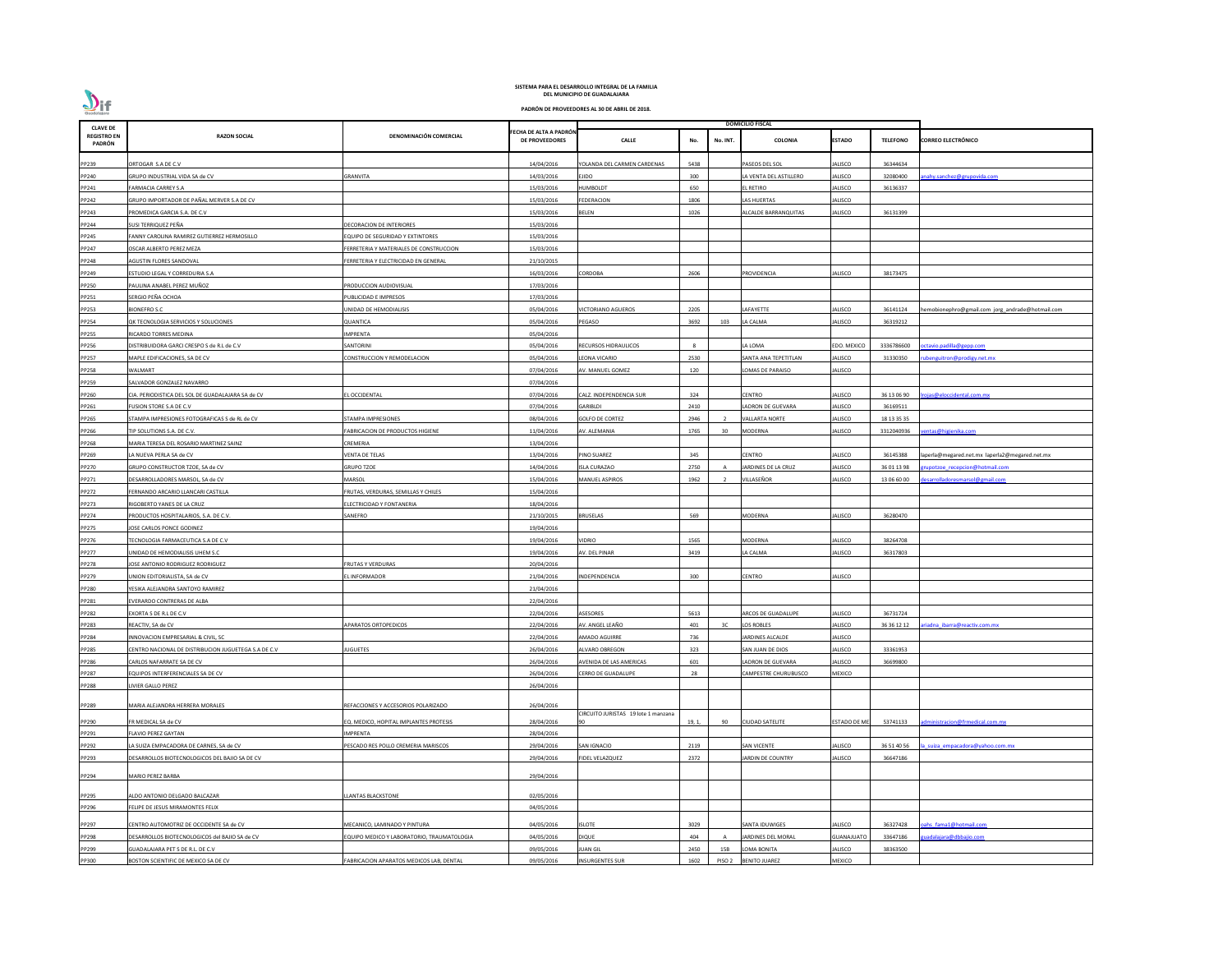| <b>CLAVE DE</b>              |                                                      |                                                   |                                          |                                     |              |                   | DOMICILIO FISCAL        |                     |                 |                                                  |
|------------------------------|------------------------------------------------------|---------------------------------------------------|------------------------------------------|-------------------------------------|--------------|-------------------|-------------------------|---------------------|-----------------|--------------------------------------------------|
| <b>REGISTRO EN</b><br>PADRÓN | <b>RAZON SOCIAL</b>                                  | DENOMINACIÓN COMERCIAL                            | FECHA DE ALTA A PADRÓN<br>DE PROVEEDORES | <b>CALLE</b>                        | No.          | No. INT.          | <b>COLONIA</b>          | <b>ESTADO</b>       | <b>TELEFONO</b> | <b>CORREO ELECTRÓNICO</b>                        |
| PP239                        | ORTOGAR S.A DE C.V                                   |                                                   | 14/04/2016                               | YOLANDA DEL CARMEN CARDENAS         | 5438         |                   | PASEOS DEL SOL          | ALISCO              | 36344634        |                                                  |
| PP240                        | GRUPO INDUSTRIAL VIDA SA de CV                       | GRANVITA                                          | 14/03/2016                               | EJIDO                               | 300          |                   | LA VENTA DEL ASTILLERO  | ALISCO              | 32080400        | nahy.sanchez@grupovida.com                       |
| PP241                        | FARMACIA CARREY S.A                                  |                                                   | 15/03/2016                               | <b>HUMBOLDT</b>                     | 650          |                   | L RETIRO                | ALISCO              | 36136337        |                                                  |
| PP242                        | GRUPO IMPORTADOR DE PAÑAL MERVER S.A DE CV           |                                                   | 15/03/2016                               | <b>FEDERACION</b>                   | 1806         |                   | LAS HUERTAS             | ALISCO              |                 |                                                  |
| PP243                        | PROMEDICA GARCIA S.A. DE C.V                         |                                                   | 15/03/2016                               | BELEN                               | 1026         |                   | ALCALDE BARRANQUITAS    | ALISCO              | 36131399        |                                                  |
| PP244                        | SUSI TERRIQUEZ PEÑA                                  | DECORACION DE INTERIORES                          | 15/03/2016                               |                                     |              |                   |                         |                     |                 |                                                  |
| PP245                        | FANNY CAROLINA RAMIREZ GUTIERREZ HERMOSILLO          | <b>EQUIPO DE SEGURIDAD Y EXTINTORES</b>           | 15/03/2016                               |                                     |              |                   |                         |                     |                 |                                                  |
| PP247                        | OSCAR ALBERTO PEREZ MEZA                             | ERRETERIA Y MATERIALES DE CONSTRUCCION            | 15/03/2016                               |                                     |              |                   |                         |                     |                 |                                                  |
| PP248                        | AGUSTIN FLORES SANDOVAL                              | ERRETERIA Y ELECTRICIDAD EN GENERAL               | 21/10/2015                               |                                     |              |                   |                         |                     |                 |                                                  |
| PP249                        | ESTUDIO LEGAL Y CORREDURIA S.A                       |                                                   | 16/03/2016                               | CORDOBA                             | 2606         |                   | PROVIDENCIA             | ALISCO              | 38173475        |                                                  |
| PP250                        | PAULINA ANABEL PEREZ MUÑOZ                           | <b>PRODUCCION AUDIOVISUAL</b>                     | 17/03/2016                               |                                     |              |                   |                         |                     |                 |                                                  |
| PP251                        | SERGIO PEÑA OCHOA                                    | PUBLICIDAD E IMPRESOS                             | 17/03/2016                               |                                     |              |                   |                         |                     |                 |                                                  |
| PP253                        | <b>BIONEFRO S.C</b>                                  | JNIDAD DE HEMODIALISIS                            | 05/04/2016                               | <b>VICTORIANO AGUEROS</b>           | 2205         |                   | AFAYETTE                | ALISCO              | 36141124        | hemobionephro@gmail.com jorg_andrade@hotmail.com |
| PP254                        | QK TECNOLOGIA SERVICIOS Y SOLUCIONES                 | QUANTICA                                          | 05/04/2016                               | PEGASO                              | 3692         | 103               | LA CALMA                | ALISCO              | 36319212        |                                                  |
| PP255                        | RICARDO TORRES MEDINA                                | MPRENTA                                           | 05/04/2016                               |                                     |              |                   |                         |                     |                 |                                                  |
| PP256                        | DISTRIBUIDORA GARCI CRESPO S de R.L de C.V           | SANTORINI                                         | 05/04/2016                               | RECURSOS HIDRAULICOS                | $\mathbf{R}$ |                   | LA LOMA                 | <b>EDO. MEXICO</b>  | 3336786600      | octavio.padilla@gepp.com                         |
| PP257                        | MAPLE EDIFICACIONES, SA DE CV                        | CONSTRUCCION Y REMODELACION                       | 05/04/2016                               | LEONA VICARIO                       | 2530         |                   | SANTA ANA TEPETITLAN    | ALISCO              | 31330350        | ubenguitron@prodigy.net.mx                       |
| PP258                        | <b>WALMART</b>                                       |                                                   | 07/04/2016                               | AV. MANUEL GOMEZ                    | 120          |                   | LOMAS DE PARAISO        | ALISCO              |                 |                                                  |
| PP259                        | SALVADOR GONZALEZ NAVARRO                            |                                                   | 07/04/2016                               |                                     |              |                   |                         |                     |                 |                                                  |
| PP260                        |                                                      | L OCCIDENTAL                                      | 07/04/2016                               | CALZ. INDEPENDENCIA SUR             | 324          |                   | CENTRO                  | ALISCO              | 36 13 06 90     |                                                  |
|                              | CIA. PERIODISTICA DEL SOL DE GUADALAJARA SA de CV    |                                                   |                                          |                                     |              |                   |                         |                     |                 | rojas@eloccidental.com.mx                        |
| PP261                        | FUSION STORE S.A DE C.V                              |                                                   | 07/04/2016                               | <b>GARIBLDI</b>                     | 2410         |                   | ADRON DE GUEVARA        | ALISCO              | 36169511        |                                                  |
| PP265                        | STAMPA IMPRESIONES FOTOGRAFICAS S de RL de CV        | <b>STAMPA IMPRESIONES</b>                         | 08/04/2016                               | <b>GOLFO DE CORTEZ</b>              | 2946         |                   | <b>VALLARTA NORTE</b>   | ALISCO              | 18 13 35 35     |                                                  |
| PP266                        | TIP SOLUTIONS S.A. DE C.V.                           | ABRICACION DE PRODUCTOS HIGIENE                   | 11/04/2016                               | AV. ALEMANIA                        | 1765         | 30                | <b>MODERNA</b>          | ALISCO              | 3312040936      | entas@higienika.com                              |
| PP268                        | MARIA TERESA DEL ROSARIO MARTINEZ SAINZ              | CREMERIA                                          | 13/04/2016                               |                                     |              |                   |                         |                     |                 |                                                  |
| PP269                        | LA NUEVA PERLA SA de CV                              | VENTA DE TELAS                                    | 13/04/2016                               | PINO SUAREZ                         | 345          |                   | <b>CENTRO</b>           | ALISCO              | 36145388        | laperla@megared.net.mx laperla2@megared.net.mx   |
| PP270                        | GRUPO CONSTRUCTOR TZOE, SA de CV                     | <b>GRUPO TZOE</b>                                 | 14/04/2016                               | <b>ISLA CURAZAO</b>                 | 2750         |                   | JARDINES DE LA CRUZ     | ALISCO              | 36 01 13 98     | upotzoe recepcion@hotmail.com                    |
| PP271                        | DESARROLLADORES MARSOL, SA de CV                     | VIARSOL                                           | 15/04/2016                               | MANUEL ASPIROS                      | 1962         |                   | VILLASEÑOR              | ALISCO              | 13 06 60 00     | esarrolladoresmarsol@gmail.com                   |
| PP272                        | FERNANDO ARCARIO LLANCARI CASTILLA                   | FRUTAS, VERDURAS, SEMILLAS Y CHILES               | 15/04/2016                               |                                     |              |                   |                         |                     |                 |                                                  |
| PP273                        | RIGOBERTO YANES DE LA CRUZ                           | ELECTRICIDAD Y FONTANERIA                         | 18/04/2016                               |                                     |              |                   |                         |                     |                 |                                                  |
| PP274                        | PRODUCTOS HOSPITALARIOS, S.A. DE C.V.                | SANEFRO                                           | 21/10/2015                               | <b>BRUSELAS</b>                     | 569          |                   | MODERNA                 | ALISCO              | 36280470        |                                                  |
| PP275                        | JOSE CARLOS PONCE GODINEZ                            |                                                   | 19/04/2016                               |                                     |              |                   |                         |                     |                 |                                                  |
| PP276                        | TECNOLOGIA FARMACEUTICA S.A DE C.V                   |                                                   | 19/04/2016                               | Vidrio                              | 1565         |                   | MODERNA                 | ALISCO              | 38264708        |                                                  |
| PP277                        | UNIDAD DE HEMODIALISIS UHEM S.C                      |                                                   | 19/04/2016                               | AV. DEL PINAR                       | 3419         |                   | LA CALMA                | ALISCO              | 36317803        |                                                  |
| PP278                        | JOSE ANTONIO RODRIGUEZ RODRIGUEZ                     | <b>RUTAS Y VERDURAS</b>                           | 20/04/2016                               |                                     |              |                   |                         |                     |                 |                                                  |
| PP279                        | UNION EDITORIALISTA, SA de CV                        | EL INFORMADOR                                     | 21/04/2016                               | INDEPENDENCIA                       | 300          |                   | <b>CENTRO</b>           | ALISCO              |                 |                                                  |
| PP280                        | YESIKA ALEJANDRA SANTOYO RAMIREZ                     |                                                   | 21/04/2016                               |                                     |              |                   |                         |                     |                 |                                                  |
| PP281                        | EVERARDO CONTRERAS DE ALBA                           |                                                   | 22/04/2016                               |                                     |              |                   |                         |                     |                 |                                                  |
| PP282                        | EXORTA S DE R.L DE C.V                               |                                                   | 22/04/2016                               | <b>ASESORES</b>                     | 5613         |                   | ARCOS DE GUADALUPE      | ALISCO              | 36731724        |                                                  |
| PP283                        | REACTIV, SA de CV                                    | <b>APARATOS ORTOPEDICOS</b>                       | 22/04/2016                               | AV. ANGEL LEAÑO                     | 401          | 3C                | <b>LOS ROBLES</b>       | ALISCO              | 36 36 12 12     | riadna ibarra@reactiv.com.mx                     |
| PP284                        | INNOVACION EMPRESARIAL & CIVIL, SC                   |                                                   | 22/04/2016                               | <b>AMADO AGUIRRE</b>                | 736          |                   | <b>JARDINES ALCALDE</b> | ALISCO              |                 |                                                  |
| PP285                        | CENTRO NACIONAL DE DISTRIBUCION JUGUETEGA S.A DE C.V | <b>UGUETES</b>                                    | 26/04/2016                               | ALVARO OBREGON                      | 323          |                   | SAN JUAN DE DIOS        | ALISCO              | 33361953        |                                                  |
| PP286                        | CARLOS NAFARRATE SA DE CV                            |                                                   | 26/04/2016                               | AVENIDA DE LAS AMERICAS             | 601          |                   | ADRON DE GUEVARA        | ALISCO              | 36699800        |                                                  |
| PP287                        | EQUIPOS INTERFERENCIALES SA DE CV                    |                                                   | 26/04/2016                               | CERRO DE GUADALUPE                  | 28           |                   | CAMPESTRE CHURUBUSCO    | MEXICO              |                 |                                                  |
| PP288                        | LIVIER GALLO PEREZ                                   |                                                   | 26/04/2016                               |                                     |              |                   |                         |                     |                 |                                                  |
| PP289                        | MARIA ALEJANDRA HERRERA MORALES                      | REFACCIONES Y ACCESORIOS POLARIZADO               | 26/04/2016                               |                                     |              |                   |                         |                     |                 |                                                  |
|                              |                                                      |                                                   |                                          | CIRCUITO JURISTAS 19 lote 1 manzana |              |                   |                         |                     |                 |                                                  |
| PP290                        | FR MEDICAL SA de CV                                  | EQ. MEDICO, HOPITAL IMPLANTES PROTESIS            | 28/04/2016                               |                                     | 19, 1,       | 90                | <b>CIUDAD SATELITE</b>  | <b>ESTADO DE ME</b> | 53741133        | dministracion@frmedical.com.mx                   |
| PP291                        | <b>FLAVIO PEREZ GAYTAN</b>                           | <b>MPRENTA</b>                                    | 28/04/2016                               |                                     |              |                   |                         |                     |                 |                                                  |
| PP292                        | LA SUIZA EMPACADORA DE CARNES, SA de CV              | PESCADO RES POLLO CREMERIA MARISCOS               | 29/04/2016                               | <b>SAN IGNACIO</b>                  | 2119         |                   | <b>SAN VICENTE</b>      | ALISCO              | 36 51 40 56     | a suiza empacadora@yahoo.com.mx                  |
| PP293                        | DESARROLLOS BIOTECNOLOGICOS DEL BAJIO SA DE CV       |                                                   | 29/04/2016                               | FIDEL VELAZQUEZ                     | 2372         |                   | JARDIN DE COUNTRY       | ALISCO              | 36647186        |                                                  |
| PP294                        | <b>MARIO PEREZ BARBA</b>                             |                                                   | 29/04/2016                               |                                     |              |                   |                         |                     |                 |                                                  |
| PP295                        | ALDO ANTONIO DELGADO BALCAZAR                        | <b>LANTAS BLACKSTONE</b>                          | 02/05/2016                               |                                     |              |                   |                         |                     |                 |                                                  |
| PP296                        | FELIPE DE JESUS MIRAMONTES FELIX                     |                                                   | 04/05/2016                               |                                     |              |                   |                         |                     |                 |                                                  |
|                              |                                                      |                                                   |                                          |                                     |              |                   |                         |                     |                 |                                                  |
| PP297                        | CENTRO AUTOMOTRIZ DE OCCIDENTE SA de CV              | <b>MECANICO, LAMINADO Y PINTURA</b>               | 04/05/2016                               | <b>ISLOTE</b>                       | 3029         |                   | SANTA IDUWIGES          | ALISCO              | 36327428        | pahs fama1@hotmail.com                           |
| PP298                        | DESARROLLOS BIOTECNOLOGICOS del BAJIO SA de CV       | <b>EQUIPO MEDICO Y LABORATORIO, TRAUMATOLOGIA</b> | 04/05/2016                               | DIQUE                               | 404          |                   | JARDINES DEL MORAL      | <b>GUANAJUATO</b>   | 33647186        | uadalajara@dbbajio.com                           |
| PP299                        | GUADALAJARA PET S DE R.L. DE C.V                     |                                                   | 09/05/2016                               | <b>JUAN GIL</b>                     | 2450         | 15B               | OMA BONITA              | ALISCO              | 38363500        |                                                  |
| PP300                        | BOSTON SCIENTIFIC DE MEXICO SA DE CV                 | ABRICACION APARATOS MEDICOS LAB, DENTAL           | 09/05/2016                               | <b>INSURGENTES SUR</b>              | 1602         | PISO <sub>2</sub> | <b>BENITO JUAREZ</b>    | MEXICO              |                 |                                                  |



**PADRÓN DE PROVEEDORES AL 30 DE ABRIL DE 2018.**

**DEL MUNICIPIO DE GUADALAJARA SISTEMA PARA EL DESARROLLO INTEGRAL DE LA FAMILIA**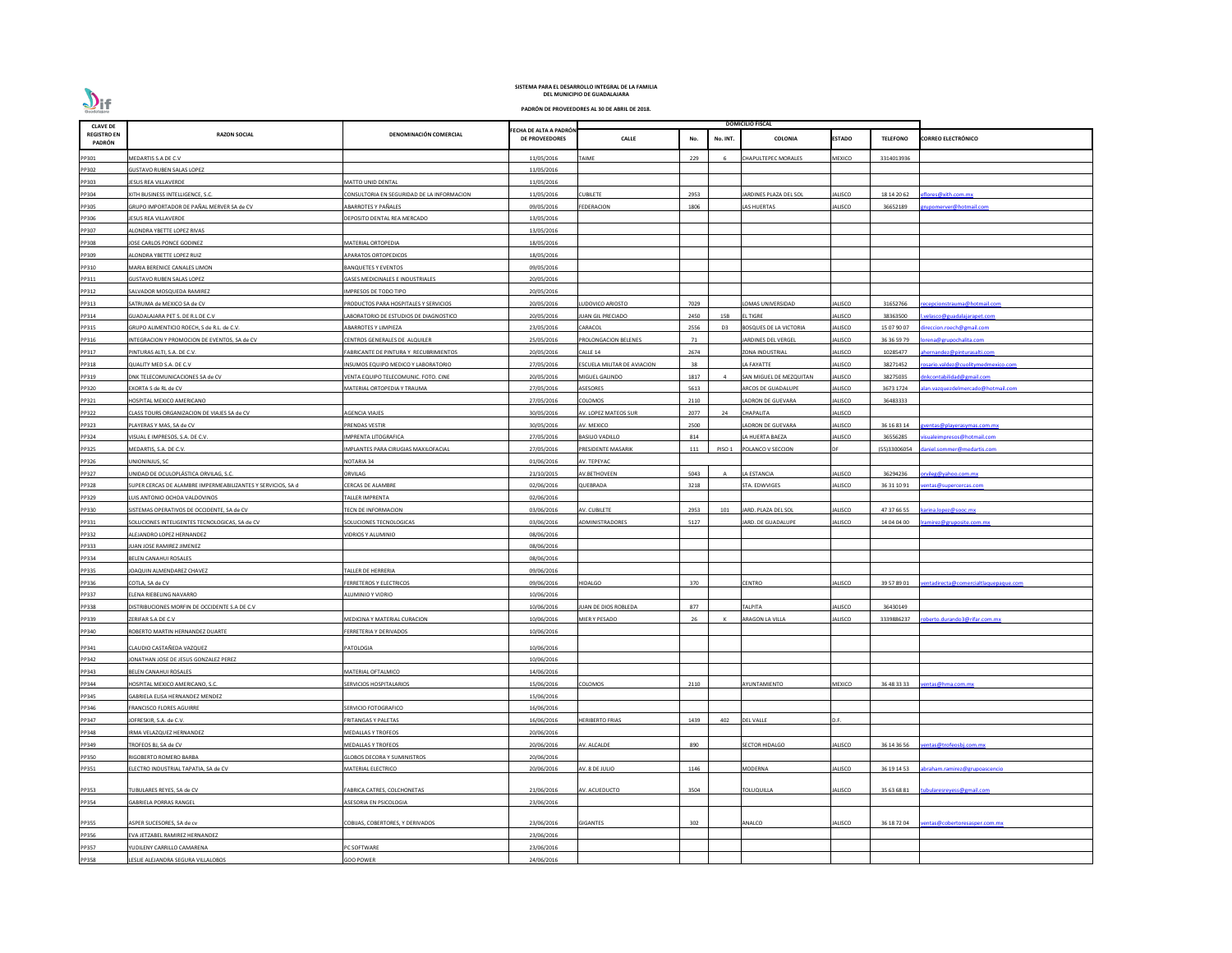

| <b>CLAVE DE</b>              |                                                              |                                            |                                                 |                             |      |                | <b>DOMICILIO FISCAL</b>       |                |                 |                                      |
|------------------------------|--------------------------------------------------------------|--------------------------------------------|-------------------------------------------------|-----------------------------|------|----------------|-------------------------------|----------------|-----------------|--------------------------------------|
| <b>REGISTRO EN</b><br>PADRÓN | <b>RAZON SOCIAL</b>                                          | DENOMINACIÓN COMERCIAL                     | FECHA DE ALTA A PADRÓN<br><b>DE PROVEEDORES</b> | <b>CALLE</b>                | No.  | No. INT.       | COLONIA                       | <b>ESTADO</b>  | <b>TELEFONO</b> | <b>CORREO ELECTRÓNICO</b>            |
| PP301                        | MEDARTIS S.A DE C.V                                          |                                            | 11/05/2016                                      | <b>TAIME</b>                | 229  |                | CHAPULTEPEC MORALES           | MEXICO         | 3314013936      |                                      |
| PP302                        | <b>GUSTAVO RUBEN SALAS LOPEZ</b>                             |                                            | 11/05/2016                                      |                             |      |                |                               |                |                 |                                      |
| PP303                        | JESUS REA VILLAVERDE                                         | MATTO UNID DENTAL                          | 11/05/2016                                      |                             |      |                |                               |                |                 |                                      |
| PP304                        | XITH BUSINESS INTELLIGENCE, S.C.                             | CONSULTORIA EN SEGURIDAD DE LA INFORMACION | 11/05/2016                                      | <b>CUBILETE</b>             | 2953 |                | ARDINES PLAZA DEL SOL         | JALISCO        | 18 14 20 62     | flores@xith.com.mx                   |
| PP305                        | GRUPO IMPORTADOR DE PAÑAL MERVER SA de CV                    | ABARROTES Y PAÑALES                        | 09/05/2016                                      | <b>FEDERACION</b>           | 1806 |                | AS HUERTAS                    | JALISCO        | 36652189        | rupomerver@hotmail.com               |
| PP306                        | JESUS REA VILLAVERDE                                         | DEPOSITO DENTAL REA MERCADO                | 13/05/2016                                      |                             |      |                |                               |                |                 |                                      |
| PP307                        | ALONDRA YBETTE LOPEZ RIVAS                                   |                                            | 13/05/2016                                      |                             |      |                |                               |                |                 |                                      |
| PP308                        | JOSE CARLOS PONCE GODINEZ                                    | MATERIAL ORTOPEDIA                         | 18/05/2016                                      |                             |      |                |                               |                |                 |                                      |
| PP309                        | ALONDRA YBETTE LOPEZ RUIZ                                    | APARATOS ORTOPEDICOS                       | 18/05/2016                                      |                             |      |                |                               |                |                 |                                      |
| PP310                        | MARIA BERENICE CANALES LIMON                                 | BANQUETES Y EVENTOS                        | 09/05/2016                                      |                             |      |                |                               |                |                 |                                      |
| PP311                        | <b>GUSTAVO RUBEN SALAS LOPEZ</b>                             | <b>GASES MEDICINALES E INDUSTRIALES</b>    | 20/05/2016                                      |                             |      |                |                               |                |                 |                                      |
| PP312                        | SALVADOR MOSQUEDA RAMIREZ                                    | <b>MPRESOS DE TODO TIPO</b>                | 20/05/2016                                      |                             |      |                |                               |                |                 |                                      |
| PP313                        | SATRUMA de MEXICO SA de CV                                   | PRODUCTOS PARA HOSPITALES Y SERVICIOS      | 20/05/2016                                      | LUDOVICO ARIOSTO            | 7029 |                | OMAS UNIVERSIDAD              | JALISCO        | 31652766        | recepcionstrauma@hotmail.com         |
| PP314                        | GUADALAJARA PET S. DE R.L DE C.V                             | LABORATORIO DE ESTUDIOS DE DIAGNOSTICO     | 20/05/2016                                      | JUAN GIL PRECIADO           | 2450 | 15B            | L TIGRE                       | JALISCO        | 38363500        | velasco@guadalajarapet.com           |
| PP315                        | GRUPO ALIMENTICIO ROECH, S de R.L. de C.V.                   | ABARROTES Y LIMPIEZA                       | 23/05/2016                                      | CARACOL                     | 2556 | D <sub>3</sub> | <b>BOSQUES DE LA VICTORIA</b> | <b>JALISCO</b> | 15 07 90 07     | ireccion.roech@gmail.com             |
| PP316                        | INTEGRACION Y PROMOCION DE EVENTOS, SA de CV                 | CENTROS GENERALES DE ALQUILER              | 25/05/2016                                      | PROLONGACION BELENES        | 71   |                | ARDINES DEL VERGEL            | JALISCO        | 36 36 59 79     | orena@grupochalita.com               |
| PP317                        | PINTURAS ALTI, S.A. DE C.V.                                  | FABRICANTE DE PINTURA Y RECUBRIMIENTOS     | 20/05/2016                                      | CALLE 14                    | 2674 |                | ZONA INDUSTRIAL               | JALISCO        | 10285477        | hernandez@pinturasalti.com           |
| PP318                        | QUALITY MED S.A. DE C.V                                      | NSUMOS EQUIPO MEDICO Y LABORATORIO         | 27/05/2016                                      | ESCUELA MILITAR DE AVIACION | 38   |                | A FAYATTE                     | JALISCO        | 38271452        | osario.valdez@cuolitymedmexico.com   |
| PP319                        | DNK TELECOMUNICACIONES SA de CV                              | VENTA EQUIPO TELECOMUNIC. FOTO. CINE       | 20/05/2016                                      | MIGUEL GALINDO              | 1817 |                | SAN MIGUEL DE MEZQUITAN       | JALISCO        | 38275035        | nkcontabilidad@gmail.com             |
| PP320                        | EXORTA S de RL de CV                                         | MATERIAL ORTOPEDIA Y TRAUMA                | 27/05/2016                                      | ASESORES                    | 5613 |                | ARCOS DE GUADALUPE            | JALISCO        | 3673 1724       | lan.vazquezdelmercado@hotmail.com    |
| PP321                        | HOSPITAL MEXICO AMERICANO                                    |                                            | 27/05/2016                                      | COLOMOS                     | 2110 |                | ADRON DE GUEVARA              | JALISCO        | 36483333        |                                      |
| PP322                        | CLASS TOURS ORGANIZACION DE VIAJES SA de CV                  | AGENCIA VIAJES                             | 30/05/2016                                      | AV. LOPEZ MATEOS SUR        | 2077 | 24             | CHAPALITA                     | JALISCO        |                 |                                      |
|                              | PLAYERAS Y MAS, SA de CV                                     | PRENDAS VESTIR                             | 30/05/2016                                      | AV. MEXICO                  | 2500 |                | ADRON DE GUEVARA              | <b>JALISCO</b> | 36 16 83 14     |                                      |
| PP323                        |                                                              |                                            |                                                 |                             |      |                |                               |                |                 | <u>ventas@playerasymas.com.mx</u>    |
| PP324                        | VISUAL E IMPRESOS, S.A. DE C.V.                              | <b>MPRENTA LITOGRAFICA</b>                 | 27/05/2016                                      | <b>BASILIO VADILLO</b>      | 814  |                | A HUERTA BAEZA                | JALISCO        | 36556285        | sualeimpresos@hotmail.com            |
| PP325                        | MEDARTIS, S.A. DE C.V.                                       | MPLANTES PARA CIRUGIAS MAXILOFACIAL        | 27/05/2016                                      | PRESIDENTE MASARIK          | 111  | PISO 1         | POLANCO V SECCION             |                | (55)33006054    | daniel.sommer@medartis.com           |
| PP326                        | UNIONINJUS, SC                                               | NOTARIA 34                                 | 01/06/2016                                      | AV. TEPEYAC                 |      |                |                               |                |                 |                                      |
| PP327                        | UNIDAD DE OCULOPLÁSTICA ORVILAG, S.C.                        | ORVILAG                                    | 21/10/2015                                      | AV.BETHOVEEN                | 5043 |                | A ESTANCIA                    | JALISCO        | 36294236        | rvileg@yahoo.com.mx                  |
| PP328                        | SUPER CERCAS DE ALAMBRE IMPERMEABILIZANTES Y SERVICIOS, SA d | CERCAS DE ALAMBRE                          | 02/06/2016                                      | QUEBRADA                    | 3218 |                | STA. EDWVIGES                 | JALISCO        | 36 31 10 91     | entas@supercercas.com                |
| PP329                        | LUIS ANTONIO OCHOA VALDOVINOS                                | TALLER IMPRENTA                            | 02/06/2016                                      |                             |      |                |                               |                |                 |                                      |
| PP330                        | SISTEMAS OPERATIVOS DE OCCIDENTE, SA de CV                   | TECN DE INFORMACION                        | 03/06/2016                                      | AV. CUBILETE                | 2953 | 101            | JARD. PLAZA DEL SOL           | JALISCO        |                 | 47 37 66 55 karina.lopez@sooc.mx     |
| PP331                        | SOLUCIONES INTELIGENTES TECNOLOGICAS, SA de CV               | SOLUCIONES TECNOLOGICAS                    | 03/06/2016                                      | ADMINISTRADORES             | 5127 |                | JARD. DE GUADALUPE            | JALISCO        | 14 04 04 00     | ramirez@gruposite.com.mx             |
| PP332                        | ALEJANDRO LOPEZ HERNANDEZ                                    | VIDRIOS Y ALUMINIO                         | 08/06/2016                                      |                             |      |                |                               |                |                 |                                      |
| PP333                        | IUAN JOSE RAMIREZ JIMENEZ                                    |                                            | 08/06/2016                                      |                             |      |                |                               |                |                 |                                      |
| PP334                        | BELEN CANAHUI ROSALES                                        |                                            | 08/06/2016                                      |                             |      |                |                               |                |                 |                                      |
| PP335                        | JOAQUIN ALMENDAREZ CHAVEZ                                    | TALLER DE HERRERIA                         | 09/06/2016                                      |                             |      |                |                               |                |                 |                                      |
| PP336                        | COTLA, SA de CV                                              | <b>ERRETEROS Y ELECTRICOS</b>              | 09/06/2016                                      | <b>HIDALGO</b>              | 370  |                | CENTRO                        | JALISCO        | 39 57 89 01     | entadirecta@comercialtlaquepaque.com |
| PP337                        | ELENA RIEBELING NAVARRO                                      | ALUMINIO Y VIDRIO                          | 10/06/2016                                      |                             |      |                |                               |                |                 |                                      |
| PP338                        | DISTRIBUCIONES MORFIN DE OCCIDENTE S.A DE C.V                |                                            | 10/06/2016                                      | JUAN DE DIOS ROBLEDA        | 877  |                | ΤΑΙΡΙΤΑ                       | JALISCO        | 36430149        |                                      |
| PP339                        | ZERIFAR S.A DE C.V                                           | MEDICINA Y MATERIAL CURACION               | 10/06/2016                                      | MIER Y PESADO               | 26   |                | ARAGON LA VILLA               | JALISCO        | 3339886237      | oberto.durando3@rifar.com.mx         |
| PP340                        | ROBERTO MARTIN HERNANDEZ DUARTE                              | ERRETERIA Y DERIVADOS                      | 10/06/2016                                      |                             |      |                |                               |                |                 |                                      |
| PP341                        | CLAUDIO CASTAÑEDA VAZQUEZ                                    | PATOLOGIA                                  | 10/06/2016                                      |                             |      |                |                               |                |                 |                                      |
| PP342                        | JONATHAN JOSE DE JESUS GONZALEZ PEREZ                        |                                            | 10/06/2016                                      |                             |      |                |                               |                |                 |                                      |
| PP343                        | BELEN CANAHUI ROSALES                                        | MATERIAL OFTALMICO                         | 14/06/2016                                      |                             |      |                |                               |                |                 |                                      |
| PP344                        | HOSPITAL MEXICO AMERICANO, S.C.                              | SERVICIOS HOSPITALARIOS                    | 15/06/2016                                      | COLOMOS                     | 2110 |                | AYUNTAMIENTO                  | <b>MEXICO</b>  | 36 48 33 33     | entas@hma.com.mx                     |
| PP345                        | GABRIELA ELISA HERNANDEZ MENDEZ                              |                                            | 15/06/2016                                      |                             |      |                |                               |                |                 |                                      |
| PP346                        | <b>FRANCISCO FLORES AGUIRRE</b>                              | SERVICIO FOTOGRAFICO                       | 16/06/2016                                      |                             |      |                |                               |                |                 |                                      |
| PP347                        | JOFRESKIR, S.A. de C.V.                                      | FRITANGAS Y PALETAS                        | 16/06/2016                                      | <b>HERIBERTO FRIAS</b>      | 1439 | 402            | <b>DEL VALLE</b>              | D.F.           |                 |                                      |
| PP348                        | IRMA VELAZQUEZ HERNANDEZ                                     | <b>MEDALLAS Y TROFEOS</b>                  | 20/06/2016                                      |                             |      |                |                               |                |                 |                                      |
|                              | TROFEOS BJ, SA de CV                                         | <b>MEDALLAS Y TROFEOS</b>                  | 20/06/2016                                      | AV. ALCALDE                 | 890  |                | <b>SECTOR HIDALGO</b>         | JALISCO        | 36 14 36 56     | entas@trofeosbj.com.mx               |
| PP349                        |                                                              |                                            |                                                 |                             |      |                |                               |                |                 |                                      |
| PP350                        | RIGOBERTO ROMERO BARBA                                       | GLOBOS DECORA Y SUMINISTROS                | 20/06/2016                                      |                             |      |                |                               |                |                 |                                      |
| PP351                        | ELECTRO INDUSTRIAL TAPATIA, SA de CV                         | <b>MATERIAL ELECTRICO</b>                  | 20/06/2016                                      | AV. 8 DE JULIO              | 1146 |                | MODERNA                       | JALISCO        | 36 19 14 53     | abraham.ramirez@grupoascencio        |
| PP353                        | TUBULARES REYES, SA de CV                                    | FABRICA CATRES, COLCHONETAS                | 21/06/2016                                      | AV. ACUEDUCTO               | 3504 |                | TOLUQUILLA                    | JALISCO        | 35 63 68 81     | :ubularesreyess@gmail.com            |
| PP354                        | <b>GABRIELA PORRAS RANGEL</b>                                | ASESORIA EN PSICOLOGIA                     | 23/06/2016                                      |                             |      |                |                               |                |                 |                                      |
|                              |                                                              |                                            |                                                 |                             |      |                |                               |                |                 |                                      |
| PP355                        | ASPER SUCESORES, SA de cv                                    | COBIJAS, COBERTORES, Y DERIVADOS           | 23/06/2016                                      | <b>GIGANTES</b>             | 302  |                | ANALCO                        | JALISCO        | 36 18 72 04     | entas@cobertoresasper.com.mx         |
| PP356                        | EVA JETZABEL RAMIREZ HERNANDEZ                               |                                            | 23/06/2016                                      |                             |      |                |                               |                |                 |                                      |
| PP357                        | YUDILENY CARRILLO CAMARENA                                   | <b>C SOFTWARE</b>                          | 23/06/2016                                      |                             |      |                |                               |                |                 |                                      |
| PP358                        | LESLIE ALEJANDRA SEGURA VILLALOBOS                           | <b>GOO POWER</b>                           | 24/06/2016                                      |                             |      |                |                               |                |                 |                                      |
|                              |                                                              |                                            |                                                 |                             |      |                |                               |                |                 |                                      |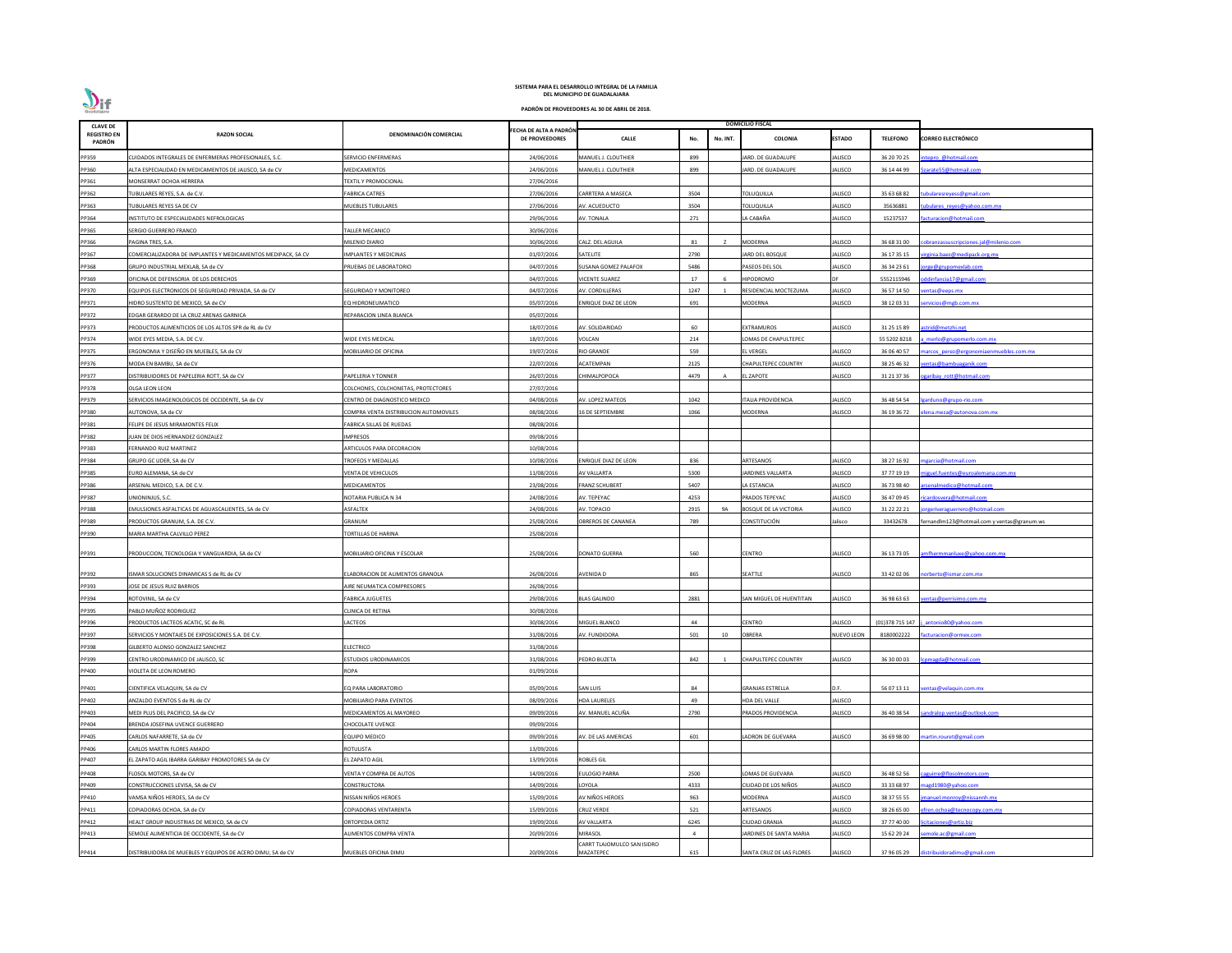| <b>CLAVE DE</b>              |                                                              |                                                 |                                                |                                        |                |          | <b>DOMICILIO FISCAL</b>       |                           |                            |                                             |
|------------------------------|--------------------------------------------------------------|-------------------------------------------------|------------------------------------------------|----------------------------------------|----------------|----------|-------------------------------|---------------------------|----------------------------|---------------------------------------------|
| <b>REGISTRO EN</b><br>PADRÓN | <b>RAZON SOCIAL</b>                                          | DENOMINACIÓN COMERCIAL                          | ECHA DE ALTA A PADRÓN<br><b>DE PROVEEDORES</b> | <b>CALLE</b>                           | No.            | No. INT. | <b>COLONIA</b>                | <b>ESTADO</b>             | <b>TELEFONO</b>            | <b>CORREO ELECTRÓNICO</b>                   |
| PP359                        | CUIDADOS INTEGRALES DE ENFERMERAS PROFESIONALES, S.C.        | SERVICIO ENFERMERAS                             | 24/06/2016                                     | MANUEL J. CLOUTHIER                    | 899            |          | ARD. DE GUADALUPE             | JALISCO                   | 36 20 70 25                | tepro @hotmail.com                          |
| PP360                        | ALTA ESPECIALIDAD EN MEDICAMENTOS DE JALISCO, SA de CV       | MEDICAMENTOS                                    | 24/06/2016                                     | MANUEL J. CLOUTHIER                    | 899            |          | ARD. DE GUADALUPE             | JALISCO                   | 36 14 44 99                | arate55@hotmail.com                         |
| PP361                        | MONSERRAT OCHOA HERRERA                                      | <b>FEXTIL Y PROMOCIONAL</b>                     | 27/06/2016                                     |                                        |                |          |                               |                           |                            |                                             |
| PP362                        | TUBULARES REYES, S.A. de C.V.                                | <b>ABRICA CATRES</b>                            | 27/06/2016                                     | CARRTERA A MASECA                      | 3504           |          | <b>TOLUQUILLA</b>             | JALISCO                   | 35 63 68 82                | ubulares reyess@gmail.com                   |
| PP363                        | TUBULARES REYES SA DE CV                                     | <b>MUEBLES TUBULARES</b>                        | 27/06/2016                                     | AV. ACUEDUCTO                          | 3504           |          | <b>TOLUQUILLA</b>             | <b>IALISCO</b>            | 35636881                   | ubulares reyes@yahoo.com.mx                 |
| PP364                        | INSTITUTO DE ESPECIALIDADES NEFROLOGICAS                     |                                                 | 29/06/2016                                     | AV. TONALA                             | 271            |          | LA CABAÑA                     | JALISCO                   | 15237537                   | acturacion@hotmail.com                      |
| PP365                        | SERGIO GUERRERO FRANCO                                       | <b>TALLER MECANICO</b>                          | 30/06/2016                                     |                                        |                |          |                               |                           |                            |                                             |
| PP366                        | PAGINA TRES, S.A.                                            | MILENIO DIARIO                                  | 30/06/2016                                     | CALZ. DEL AGUILA                       | 81             |          | <b>MODERNA</b>                | JALISCO                   | 36 68 31 00                | obranzassuscripciones.jal@milenio.com       |
| PP367                        | COMERCIALIZADORA DE IMPLANTES Y MEDICAMENTOS MEDIPACK, SA CV | <b>IMPLANTES Y MEDICINAS</b>                    | 01/07/2016                                     | SATELITE                               | 2790           |          | ARD DEL BOSQUE                | <b>JALISCO</b>            | 36 17 35 15                | irginia.baez@medipack.org.mx                |
| PP368                        | GRUPO INDUSTRIAL MEXLAB, SA de CV                            | PRUEBAS DE LABORATORIO                          | 04/07/2016                                     | SUSANA GOMEZ PALAFOX                   | 5486           |          | PASEOS DEL SOL                | JALISCO                   | 36 34 23 61                | orge@grupomexlab.com                        |
| PP369                        | OFICINA DE DEFENSORIA DE LOS DERECHOS                        |                                                 | 04/07/2016                                     | <b>VICENTE SUAREZ</b>                  | 17             |          | <b>HIPODROMO</b>              | DF                        | 5552115946                 | ddinfancia17@gmail.com                      |
| PP370                        | EQUIPOS ELECTRONICOS DE SEGURIDAD PRIVADA, SA de CV          | <b>SEGURIDAD Y MONITOREO</b>                    | 04/07/2016                                     | AV. CORDILLERAS                        | 1247           |          | RESIDENCIAL MOCTEZUMA         | JALISCO                   | 36 57 14 50                | entas@eeps.mx                               |
| PP371                        | HIDRO SUSTENTO DE MEXICO, SA de CV                           | EQ HIDRONEUMATICO                               | 05/07/2016                                     | <b>ENRIQUE DIAZ DE LEON</b>            | 691            |          | MODERNA                       | JALISCO                   | 38 12 03 31                | ervicios@mgb.com.mx                         |
| PP372                        | EDGAR GERARDO DE LA CRUZ ARENAS GARNICA                      | EPARACION LINEA BLANCA                          | 05/07/2016                                     |                                        |                |          |                               |                           |                            |                                             |
| PP373                        | PRODUCTOS ALIMENTICIOS DE LOS ALTOS SPR de RL de CV          |                                                 | 18/07/2016                                     | AV. SOLIDARIDAD                        | 60             |          | EXTRAMUROS                    | IALISCO                   | 31 25 15 89                | strid@metzhi.net                            |
| PP374                        | WIDE EYES MEDIA, S.A. DE C.V.                                | <b><i>NIDE EYES MEDICAL</i></b>                 | 18/07/2016                                     | VOLCAN                                 | 214            |          | OMAS DE CHAPULTEPEC           |                           | 55 5202 8218               | merlo@grupomerlo.com.mx                     |
| PP375                        | ERGONOMIA Y DISEÑO EN MUEBLES, SA de CV                      | <b><i>AOBILIARIO DE OFICINA</i></b>             | 19/07/2016                                     | <b>RIO GRANDE</b>                      | 559            |          | <b>L VERGEL</b>               | JALISCO                   | 36 06 40 57                | arcos perez@ergonomiaenmuebles.com.mx       |
| PP376                        | MODA EN BAMBU, SA de CV                                      |                                                 | 22/07/2016                                     | ACATEMPAN                              | 2125           |          | CHAPULTEPEC COUNTRY           | <b>IALISCO</b>            | 38 25 46 32                | entas@bambuaganik.com                       |
| PP377                        | DISTRIBUIDORES DE PAPELERIA ROTT, SA de CV                   | PAPELERIA Y TONNER                              | 26/07/2016                                     | CHIMALPOPOCA                           | 4479           | A        | L ZAPOTE                      | JALISCO                   | 31 21 37 36                | garibay rott@hotmail.com                    |
| PP378                        | OLGA LEON LEON                                               | COLCHONES, COLCHONETAS, PROTECTORES             | 27/07/2016                                     |                                        |                |          |                               |                           |                            |                                             |
| PP379                        | SERVICIOS IMAGENOLOGICOS DE OCCIDENTE, SA de CV              | CENTRO DE DIAGNOSTICO MEDICO                    | 04/08/2016                                     | AV. LOPEZ MATEOS                       | 1042           |          | TALIA PROVIDENCIA             | JALISCO                   | 36 48 54 54                | arduno@grupo-rio.com                        |
| PP380                        | AUTONOVA, SA de CV                                           | COMPRA VENTA DISTRIBUCION AUTOMOVILES           | 08/08/2016                                     | 16 DE SEPTIEMBRE                       | 1066           |          | MODERNA                       | JALISCO                   | 36 19 36 72                | lena.meza@autonova.com.mx                   |
| PP381                        | FELIPE DE JESUS MIRAMONTES FELIX                             | ABRICA SILLAS DE RUEDAS                         | 08/08/2016                                     |                                        |                |          |                               |                           |                            |                                             |
| PP382                        | JUAN DE DIOS HERNANDEZ GONZALEZ                              | <b>IMPRESOS</b>                                 | 09/08/2016                                     |                                        |                |          |                               |                           |                            |                                             |
| PP383                        | FERNANDO RUIZ MARTINEZ                                       | ARTICULOS PARA DECORACION                       | 10/08/2016                                     |                                        |                |          |                               |                           |                            |                                             |
|                              |                                                              |                                                 |                                                |                                        |                |          |                               |                           |                            |                                             |
| PP384                        | GRUPO GC LIDER, SA de CV                                     | <b>FROFEOS Y MEDALLAS</b><br>VENTA DE VEHICULOS | 10/08/2016                                     | ENRIQUE DIAZ DE LEON                   | 836<br>5300    |          | ARTESANOS                     | JALISCO                   | 38 27 16 92                | ngarcia@hotmail.com                         |
| PP385                        | EURO ALEMANA, SA de CV<br>ARSENAL MEDICO, S.A. DE C.V.       | <b><i>AEDICAMENTOS</i></b>                      | 11/08/2016<br>23/08/2016                       | AV VALLARTA<br>FRANZ SCHUBERT          | 5407           |          | ARDINES VALLARTA              | JALISCO                   | 37 77 19 19                | iguel.fuentes@euroalemana.com.mx            |
| PP386<br>PP387               |                                                              | <b>NOTARIA PUBLICA N 34</b>                     | 24/08/2016                                     | AV. TEPEYAC                            | 4253           |          | LA ESTANCIA<br>PRADOS TEPEYAC | JALISCO<br><b>JALISCO</b> | 36 73 98 40<br>36 47 09 45 | rsenalmedico@hotmail.com                    |
|                              | UNIONINJUS, S.C.                                             |                                                 |                                                |                                        |                |          |                               |                           |                            | icardosvera@hotmail.com                     |
| PP388                        | EMULSIONES ASFALTICAS DE AGUASCALIENTES, SA de CV            | ASFALTEK                                        | 24/08/2016                                     | AV. TOPACIO                            | 2915           | 9A       | <b>BOSQUE DE LA VICTORIA</b>  | <b>JALISCO</b>            | 31 22 22 21                | jorgeriveraguerrero@hotmail.com             |
| PP389                        | PRODUCTOS GRANUM, S.A. DE C.V.                               | GRANUM                                          | 25/08/2016                                     | OBREROS DE CANANEA                     | 789            |          | <b>CONSTITUCIÓN</b>           | Jalisco                   | 33432678                   | fernandlm123@hotmail.com y ventas@granum.ws |
| PP390                        | MARIA MARTHA CALVILLO PEREZ                                  | <b>FORTILLAS DE HARINA</b>                      | 25/08/2016                                     |                                        |                |          |                               |                           |                            |                                             |
| PP391                        | PRODUCCION, TECNOLOGIA Y VANGUARDIA, SA de CV                | MOBILIARIO OFICINA Y ESCOLAR                    | 25/08/2016                                     | <b>DONATO GUERRA</b>                   | 560            |          | <b>CENTRO</b>                 | <b>JALISCO</b>            | 36 13 73 05                | mfhermmanluxe@yahoo.com.mx                  |
|                              |                                                              |                                                 |                                                |                                        |                |          |                               |                           |                            |                                             |
| PP392                        | ISMAR SOLUCIONES DINAMICAS S de RL de CV                     | <b>ELABORACION DE ALIMENTOS GRANOLA</b>         | 26/08/2016                                     | AVENIDA D                              | 865            |          | SEATTLE                       | <b>JALISCO</b>            | 33 42 02 06                | norberto@ismar.com.mx                       |
| PP393                        | JOSE DE JESUS RUIZ BARRIOS                                   | AIRE NEUMATICA COMPRESORES                      | 26/08/2016                                     |                                        |                |          |                               |                           |                            |                                             |
| PP394                        | ROTOVINIL. SA de CV                                          | FABRICA JUGUETES                                | 29/08/2016                                     | <b>BLAS GALINDO</b>                    | 2881           |          | SAN MIGUEL DE HUENTITAN       | JALISCO                   | 36 98 63 63                | entas@perrisimo.com.mx                      |
| PP395                        | PABLO MUÑOZ RODRIGUEZ                                        | CLINICA DE RETINA                               | 30/08/2016                                     |                                        |                |          |                               |                           |                            |                                             |
| PP396                        | PRODUCTOS LACTEOS ACATIC, SC de RL                           | LACTEOS                                         | 30/08/2016                                     | MIGUEL BLANCO                          | 44             |          | CENTRO                        | <b>JALISCO</b>            | (01)378 715 147            | antonio80@yahoo.com                         |
| PP397                        | SERVICIOS Y MONTAJES DE EXPOSICIONES S.A. DE C.V.            |                                                 | 31/08/2016                                     | AV. FUNDIDORA                          | 501            | 10       | <b>OBRERA</b>                 | <b>NUEVO LEON</b>         | 8180002222                 | acturacion@ormex.com                        |
| PP398                        | GILBERTO ALONSO GONZALEZ SANCHEZ                             | <b>ELECTRICO</b>                                | 31/08/2016                                     |                                        |                |          |                               |                           |                            |                                             |
| PP399                        | CENTRO URODINAMICO DE JALISCO, SC                            | STUDIOS URODINAMICOS                            | 31/08/2016                                     | PEDRO BUZETA                           | 842            |          | CHAPULTEPEC COUNTRY           | JALISCO                   | 36 30 00 03                | omagda@hotmail.com                          |
| PP400                        | VIOLETA DE LEON ROMERO                                       | ROPA                                            | 01/09/2016                                     |                                        |                |          |                               |                           |                            |                                             |
| PP401                        | CIENTIFICA VELAQUIN, SA de CV                                | EQ PARA LABORATORIO                             | 05/09/2016                                     | <b>SAN LUIS</b>                        | 84             |          | <b>GRANJAS ESTRELLA</b>       | D.F.                      | 56 07 13 11                | entas@velaquin.com.mx                       |
| PP402                        | ANZALDO EVENTOS S de RL de CV                                | <b>MOBILIARIO PARA EVENTOS</b>                  | 08/09/2016                                     | <b>HDA LAURELES</b>                    | 49             |          | HDA DEL VALLE                 | <b>JALISCO</b>            |                            |                                             |
| PP403                        | MEDI PLUS DEL PACIFICO, SA de CV                             | <b>MEDICAMENTOS AL MAYOREO</b>                  | 09/09/2016                                     | AV. MANUEL ACUÑA                       | 2790           |          | PRADOS PROVIDENCIA            | <b>JALISCO</b>            | 36 40 38 54                | andralop.ventas@outlook.com                 |
| PP404                        | BRENDA JOSEFINA UVENCE GUERRERO                              | CHOCOLATE UVENCE                                | 09/09/2016                                     |                                        |                |          |                               |                           |                            |                                             |
| PP405                        | CARLOS NAFARRETE, SA de CV                                   | EQUIPO MEDICO                                   | 09/09/2016                                     | AV. DE LAS AMERICAS                    | 601            |          | LADRON DE GUEVARA             | <b>JALISCO</b>            | 36 69 98 00                | nartin.rouret@gmail.com                     |
| PP406                        | CARLOS MARTIN FLORES AMADO                                   | ROTULISTA                                       | 13/09/2016                                     |                                        |                |          |                               |                           |                            |                                             |
| PP407                        | EL ZAPATO AGIL IBARRA GARIBAY PROMOTORES SA de CV            | EL ZAPATO AGIL                                  | 13/09/2016                                     | <b>ROBLES GIL</b>                      |                |          |                               |                           |                            |                                             |
| PP408                        | FLOSOL MOTORS, SA de CV                                      | VENTA Y COMPRA DE AUTOS                         | 14/09/2016                                     | EULOGIO PARRA                          | 2500           |          | LOMAS DE GUEVARA              | JALISCO                   | 36 48 52 56                | aguirre@flosolmotors.com                    |
| PP409                        | CONSTRUCCIONES LEVISA, SA de CV                              | CONSTRUCTORA                                    | 14/09/2016                                     | LOYOLA                                 | 4333           |          | CIUDAD DE LOS NIÑOS           | <b>JALISCO</b>            | 33 33 68 97                | agd1980@yahoo.com                           |
|                              | VAMSA NIÑOS HEROES, SA de CV                                 | NISSAN NIÑOS HEROES                             |                                                | AV NIÑOS HEROES                        | 963            |          |                               |                           |                            |                                             |
| PP410                        |                                                              | COPIADORAS VENTARENTA                           | 15/09/2016                                     | <b>CRUZ VERDE</b>                      |                |          | MODERNA                       | JALISCO<br><b>JALISCO</b> | 38 37 55 55                | anuel.monroy@nissannh.mx                    |
| PP411                        | COPIADORAS OCHOA, SA de CV                                   |                                                 | 15/09/2016<br>19/09/2016                       | <b>AV VALLARTA</b>                     | 521<br>6245    |          | ARTESANOS                     | JALISCO                   | 38 26 65 00                | fren.ochoa@tecnocopy.com.mx                 |
| PP412                        | HEALT GROUP INDUSTRIAS DE MEXICO, SA de CV                   | ORTOPEDIA ORTIZ                                 |                                                |                                        |                |          | CIUDAD GRANJA                 |                           | 37 77 40 00                | citaciones@ortiz.biz                        |
| PP413                        | SEMOLE ALIMENTICIA DE OCCIDENTE, SA de CV                    | ALIMENTOS COMPRA VENTA                          | 20/09/2016                                     | MIRASOL<br>CARRT TLAJOMULCO SAN ISIDRO | $\overline{4}$ |          | <b>ARDINES DE SANTA MARIA</b> | <b>JALISCO</b>            | 15 62 29 24                | mole.ac@gmail.com                           |
| PP414                        | DISTRIBUIDORA DE MUEBLES Y EQUIPOS DE ACERO DIMU, SA de CV   | MUEBLES OFICINA DIMU                            | 20/09/2016                                     | MAZATEPEC                              | 615            |          | SANTA CRUZ DE LAS FLORES      | <b>JALISCO</b>            | 37 96 05 29                | listribuidoradimu@gmail.com                 |

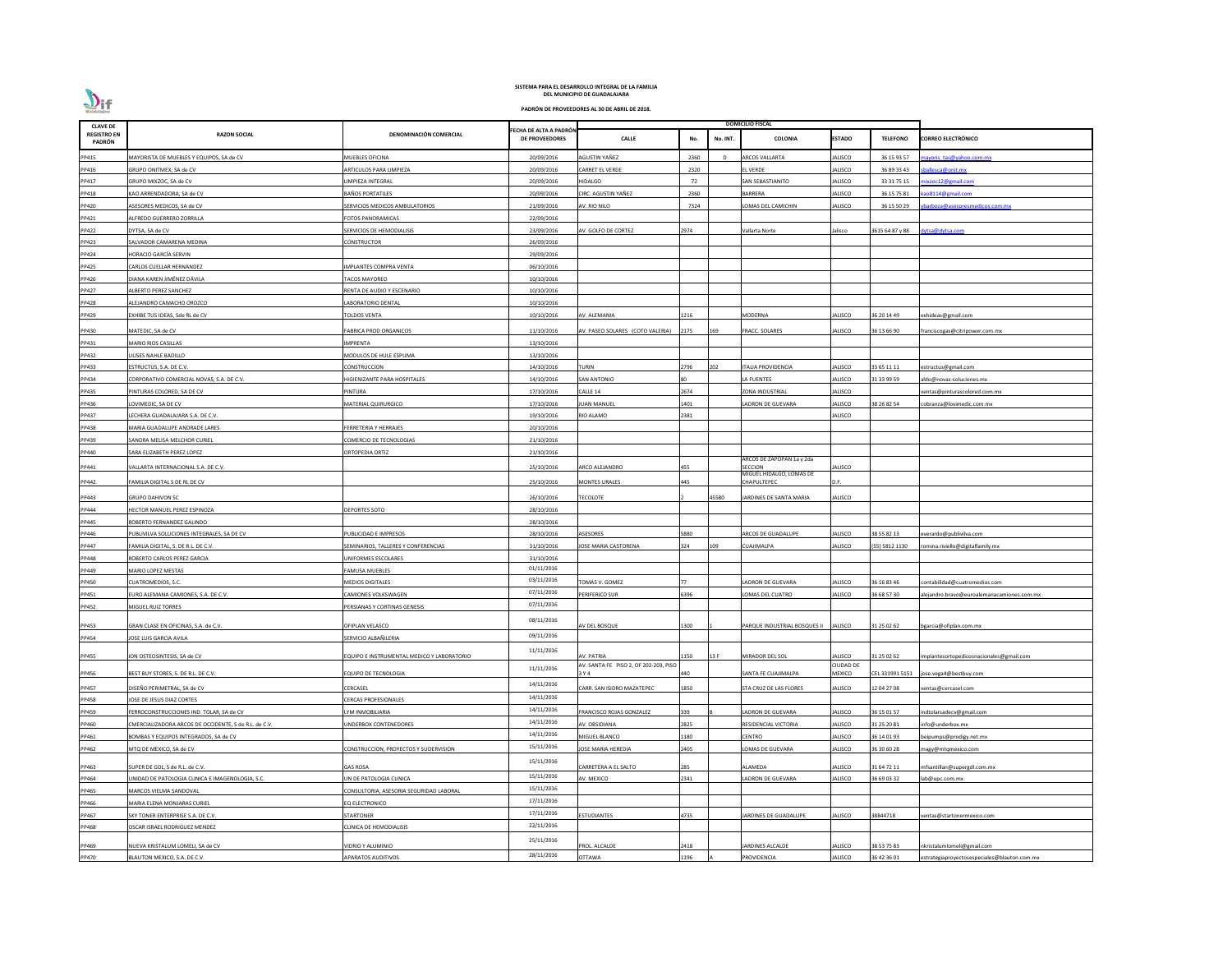| <b>CLAVE DE</b>              |                                                       |                                            |                                                |                                       |      |          | <b>DOMICILIO FISCAL</b>                    |                  |                 |                                              |
|------------------------------|-------------------------------------------------------|--------------------------------------------|------------------------------------------------|---------------------------------------|------|----------|--------------------------------------------|------------------|-----------------|----------------------------------------------|
| <b>REGISTRO EN</b><br>PADRÓN | <b>RAZON SOCIAL</b>                                   | DENOMINACIÓN COMERCIAL                     | ECHA DE ALTA A PADRÓN<br><b>DE PROVEEDORES</b> | <b>CALLE</b>                          | No.  | No. INT. | <b>COLONIA</b>                             | <b>ESTADO</b>    | <b>TELEFONO</b> | <b>CORREO ELECTRÓNICO</b>                    |
| PP415                        | MAYORISTA DE MUEBLES Y EQUIPOS, SA de CV              | MUEBLES OFICINA                            | 20/09/2016                                     | AGUSTIN YAÑEZ                         | 2360 |          | <b>ARCOS VALLARTA</b>                      | ALISCO           | 36 15 93 57     | ayoris tas@yahoo.com.mx                      |
| PP416                        | GRUPO ONITMEX, SA de CV                               | ARTICULOS PARA LIMPIEZA                    | 20/09/2016                                     | <b>CARRET EL VERDE</b>                | 2320 |          | <b>EL VERDE</b>                            | <b>JALISCO</b>   | 36 89 33 43     | allesca@onit.mx                              |
| PP417                        | GRUPO MIXZOC, SA de CV                                | LIMPIEZA INTEGRAL                          | 20/09/2016                                     | HIDALGO                               | 72   |          | SAN SEBASTIANITO                           | JALISCO          | 33 31 75 15     | ixzoc12@gmail.com                            |
| PP418                        | KAO ARRENDADORA, SA de CV                             | <b>BAÑOS PORTATILES</b>                    | 20/09/2016                                     | CIRC. AGUSTIN YAÑEZ                   | 2360 |          | <b>BARRERA</b>                             | JALISCO          | 36 15 75 81     | ao8114@gmail.com                             |
| PP420                        | ASESORES MEDICOS, SA de CV                            | SERVICIOS MEDICOS AMBULATORIOS             | 21/09/2016                                     | AV. RIO NILO                          | 7324 |          | OMAS DEL CAMICHIN                          | JALISCO          | 36 15 50 29     | parboza@asesoresmedicos.com.mx               |
| PP421                        | ALFREDO GUERRERO ZORRILLA                             | FOTOS PANORAMICAS                          | 22/09/2016                                     |                                       |      |          |                                            |                  |                 |                                              |
| PP422                        | DYTSA, SA de CV                                       | SERVICIOS DE HEMODIALISIS                  | 23/09/2016                                     | <b>NV. GOLFO DE CORTEZ</b>            | 2974 |          | Vallarta Norte                             | Jalisco          | 3615 64 87 y 88 | lytsa@dytsa.com                              |
| PP423                        | SALVADOR CAMARENA MEDINA                              | CONSTRUCTOR                                | 26/09/2016                                     |                                       |      |          |                                            |                  |                 |                                              |
| PP424                        | HORACIO GARCÍA SERVIN                                 |                                            | 29/09/2016                                     |                                       |      |          |                                            |                  |                 |                                              |
| PP425                        | CARLOS CUELLAR HERNANDEZ                              | IMPLANTES COMPRA VENTA                     | 06/10/2016                                     |                                       |      |          |                                            |                  |                 |                                              |
| PP426                        | DIANA KAREN JIMÉNEZ DÁVILA                            | <b>TACOS MAYOREO</b>                       | 10/10/2016                                     |                                       |      |          |                                            |                  |                 |                                              |
| PP427                        | ALBERTO PEREZ SANCHEZ                                 | RENTA DE AUDIO Y ESCENARIO                 | 10/10/2016                                     |                                       |      |          |                                            |                  |                 |                                              |
| PP428                        | ALEJANDRO CAMACHO OROZCO                              | ABORATORIO DENTAL                          | 10/10/2016                                     |                                       |      |          |                                            |                  |                 |                                              |
| PP429                        | EXHIBE TUS IDEAS, Sde RL de CV                        | TOLDOS VENTA                               | 10/10/2016                                     | AV. ALEMANIA                          | 1216 |          | <b>MODERNA</b>                             | <b>JALISCO</b>   | 36 20 14 49     | exhideas@gmail.com                           |
| PP430                        | MATEDIC, SA de CV                                     | <b>FABRICA PROD ORGANICOS</b>              | 11/10/2016                                     |                                       | 2175 | 169      | <b>FRACC. SOLARES</b>                      | JALISCO          | 36 13 66 90     |                                              |
|                              |                                                       |                                            |                                                | AV. PASEO SOLARES (COTO VALERIA)      |      |          |                                            |                  |                 | franciscogas@citripower.com.mx               |
| PP431                        | MARIO RIOS CASILLAS                                   | <b>IMPRENTA</b>                            | 13/10/2016                                     |                                       |      |          |                                            |                  |                 |                                              |
| PP432                        | JLISES NAHLE BADILLO                                  | MODULOS DE HULE ESPUMA                     | 13/10/2016                                     |                                       |      |          |                                            |                  |                 |                                              |
| PP433                        | ESTRUCTUS, S.A. DE C.V.                               | CONSTRUCCION                               | 14/10/2016                                     | <b>TURIN</b>                          | 2796 | 202      | <b>ITALIA PROVIDENCIA</b>                  | ALISCO           | 33 65 11 11     | estructus@gmail.com                          |
| PP434                        | CORPORATIVO COMERCIAL NOVAS, S.A. DE C.V.             | HIGIENIZANTE PARA HOSPITALES               | 14/10/2016                                     | SAN ANTONIO                           |      |          | LA FUENTES                                 | JALISCO          | 31 33 99 59     | aldo@novas-soluciones.mx                     |
| PP435                        | PINTURAS COLORED, SA DE CV                            | PINTURA                                    | 17/10/2016                                     | CALLE 14                              | 2674 |          | ZONA INDUSTRIAL                            | <b>JALISCO</b>   |                 | entas@pinturascolored.com.mx                 |
| PP436                        | LOVIMEDIC, SA DE CV                                   | MATERIAL QUIRURGICO                        | 17/10/2016                                     | <b>UAN MANUEL</b>                     | 401  |          | ADRON DE GUEVARA                           | JALISCO          | 38 26 82 54     | obranza@lovimedic.com.mx                     |
| PP437                        | ECHERA GUADALAJARA S.A. DE C.V.                       |                                            | 19/10/2016                                     | RIO ALAMO                             | 2381 |          |                                            | <b>JALISCO</b>   |                 |                                              |
| PP438                        | <b>MARIA GUADALUPE ANDRADE LARES</b>                  | FERRETERIA Y HERRAJES                      | 20/10/2016                                     |                                       |      |          |                                            |                  |                 |                                              |
| PP439                        | SANDRA MELISA MELCHOR CURIEL                          | COMERCIO DE TECNOLOGIAS                    | 21/10/2016                                     |                                       |      |          |                                            |                  |                 |                                              |
| PP440                        | SARA ELIZABETH PEREZ LOPEZ                            | ORTOPEDIA ORTIZ                            | 21/10/2016                                     |                                       |      |          | ARCOS DE ZAPOPAN 1a y 2da                  |                  |                 |                                              |
| PP441                        | VALLARTA INTERNACIONAL S.A. DE C.V.                   |                                            | 25/10/2016                                     | ARCO ALEJANDRO                        | 455  |          | <b>SECCION</b><br>MIGUEL HIDALGO, LOMAS DE | JALISCO          |                 |                                              |
| PP442                        | FAMILIA DIGITAL S DE RL DE CV                         |                                            | 25/10/2016                                     | <b>MONTES URALES</b>                  | 445  |          | CHAPULTEPEC                                | D.F.             |                 |                                              |
| PP443                        | <b>GRUPO DAHIVON SC</b>                               |                                            | 26/10/2016                                     | <b>TECOLOTE</b>                       |      | 45580    | JARDINES DE SANTA MARIA                    | JALISCO          |                 |                                              |
| PP444                        | HECTOR MANUEL PEREZ ESPINOZA                          | <b>DEPORTES SOTO</b>                       | 28/10/2016                                     |                                       |      |          |                                            |                  |                 |                                              |
| PP445                        | ROBERTO FERNANDEZ GALINDO                             |                                            | 28/10/2016                                     |                                       |      |          |                                            |                  |                 |                                              |
| PP446                        | PUBLIVILVA SOLUCIONES INTEGRALES, SA DE CV            | PUBLICIDAD E IMPRESOS                      | 28/10/2016                                     | ASESORES                              | 5880 |          | ARCOS DE GUADALUPE                         | ALISCO           | 38 55 82 13     | verardo@publivilva.com                       |
| PP447                        | AMILIA DIGITAL, S. DE R.L. DE C.V.                    | SEMINARIOS, TALLERES Y CONFERENCIAS        | 31/10/2016                                     | <b>JOSE MARIA CASTORENA</b>           | 324  | 109      | CUAJIMALPA                                 | <b>JALISCO</b>   | (55) 5812 1130  | omina.riviello@digitalfamily.mx              |
| PP448                        | ROBERTO CARLOS PEREZ GARCIA                           | UNIFORMES ESCOLARES                        | 31/10/2016                                     |                                       |      |          |                                            |                  |                 |                                              |
| PP449                        | MARIO LOPEZ MESTAS                                    | <b>FAMUSA MUEBLES</b>                      | 01/11/2016                                     |                                       |      |          |                                            |                  |                 |                                              |
| PP450                        | CUATROMEDIOS, S.C.                                    | <b>MEDIOS DIGITALES</b>                    | 03/11/2016                                     | TOMAS V. GOMEZ                        |      |          | ADRON DE GUEVARA                           | ALISCO           | 36 16 83 46     | :ontabilidad@cuatromedios.com                |
| PP451                        | EURO ALEMANA CAMIONES, S.A. DE C.V.                   | CAMIONES VOLKSWAGEN                        | 07/11/2016                                     | PERIFERICO SUR                        | 396  |          | OMAS DEL CUATRO                            | <b>JALISCO</b>   | 36 68 57 30     | alejandro.bravo@euroalemanacamiones.com.mx   |
| PP452                        | MIGUEL RUIZ TORRES                                    | <b>PERSIANAS Y CORTINAS GENESIS</b>        | 07/11/2016                                     |                                       |      |          |                                            |                  |                 |                                              |
|                              |                                                       |                                            | 08/11/2016                                     |                                       |      |          |                                            |                  |                 |                                              |
| PP453                        | GRAN CLASE EN OFICINAS, S.A. de C.V.                  | OFIPLAN VELASCO                            |                                                | AV DEL BOSQUE                         | 1300 |          | PARQUE INDUSTRIAL BOSQUES II               | <b>JALISCO</b>   | 31 25 02 62     | bgarcia@ofiplan.com.mx                       |
| PP454                        | JOSE LUIS GARCIA AVILA                                | SERVICIO ALBAÑILERIA                       | 09/11/2016                                     |                                       |      |          |                                            |                  |                 |                                              |
| PP455                        | ION OSTEOSINTESIS, SA de CV                           | EQUIPO E INSTRUMENTAL MEDICO Y LABORATORIO | 11/11/2016                                     | AV. PATRIA                            | .150 | 13 F     | MIRADOR DEL SOL                            | JALISCO          | 31 25 02 62     | implantesortopedicosnacionales@gmail.com     |
|                              |                                                       |                                            |                                                | AV. SANTA FE PISO 2, OF 202-203, PISO |      |          |                                            | <b>CIUDAD DE</b> |                 |                                              |
| PP456                        | BEST BUY STORES, S. DE R.L. DE C.V.                   | <b>EQUIPO DE TECNOLOGIA</b>                | 11/11/2016                                     | 3 Y 4                                 | 140  |          | SANTA FE CUAJIMALPA                        | MEXICO           | CEL 331991 5151 | jose.vega4@bestbuy.com                       |
| PP457                        | DISEÑO PERIMETRAL, SA de CV                           | CERCASEL                                   | 14/11/2016                                     | CARR. SAN ISIDRO MAZATEPEC            | 1850 |          | STA CRUZ DE LAS FLORES                     | JALISCO          | 12 04 27 08     | entas@cercasel.com                           |
| PP458                        | JOSE DE JESUS DIAZ CORTES                             | CERCAS PROFESIONALES                       | 14/11/2016                                     |                                       |      |          |                                            |                  |                 |                                              |
| PP459                        | FERROCONSTRUCCIONES IND. TOLAR, SA de CV              | YM INMOBILIARIA                            | 14/11/2016                                     | FRANCISCO ROJAS GONZALEZ              | 339  |          | LADRON DE GUEVARA                          | JALISCO          | 36 15 01 57     | indtolarsadecv@gmail.com                     |
| PP460                        | CMERCIALIZADORA ARCOS DE OCCIDENTE, S de R.L. de C.V. | <b>JNDERBOX CONTENEDORES</b>               | 14/11/2016                                     | AV. OBSIDIANA                         | 2825 |          | RESIDENCIAL VICTORIA                       | JALISCO          | 31 25 20 81     | nfo@underbox.mx                              |
| PP461                        | BOMBAS Y EQUIPOS INTEGRADOS, SA de CV                 |                                            | 14/11/2016                                     | MIGUEL BLANCO                         | 180  |          | CENTRO                                     | ALISCO           | 36 14 01 93     | eipumps@prodigy.net.mx                       |
| PP462                        | MTQ DE MEXICO, SA de CV                               | CONSTRUCCION, PROYECTOS Y SUOERVISION      | 15/11/2016                                     | <b>JOSE MARIA HEREDIA</b>             | 2405 |          | OMAS DE GUEVARA                            | <b>JALISCO</b>   | 36 30 60 28     | nagy@mtqmexico.com                           |
| PP463                        | SUPER DE GDL, S de R.L. de C.V.                       | <b>GAS ROSA</b>                            | 15/11/2016                                     | CARRETERA A EL SALTO                  | 285  |          | ALAMEDA                                    | <b>JALISCO</b>   | 31 64 72 11     | mfsantillan@supergdl.com.mx                  |
| PP464                        | UNIDAD DE PATOLOGIA CLINICA E IMAGENOLOGIA, S.C.      | UN DE PATOLOGIA CLINICA                    | 15/11/2016                                     | AV. MEXICO                            | 2341 |          | LADRON DE GUEVARA                          | JALISCO          | 36 69 03 32     | ab@upc.com.mx                                |
| PP465                        | MARCOS VIELMA SANDOVAL                                | CONSULTORIA, ASESORIA SEGURIDAD LABORAL    | 15/11/2016                                     |                                       |      |          |                                            |                  |                 |                                              |
| PP466                        | MARIA ELENA MONJARAS CURIEL                           | EQ ELECTRONICO                             | 17/11/2016                                     |                                       |      |          |                                            |                  |                 |                                              |
| PP467                        | SKY TONER ENTERPRISE S.A. DE C.V.                     | STARTONER                                  | 17/11/2016                                     | ESTUDIANTES                           | 1735 |          | <b>JARDINES DE GUADALUPE</b>               | ALISCO           | 38844718        | entas@startonermexico.com                    |
| PP468                        | OSCAR ISRAEL RODRIGUEZ MENDEZ                         | CLINICA DE HEMODIALISIS                    | 22/11/2016                                     |                                       |      |          |                                            |                  |                 |                                              |
|                              |                                                       |                                            | 25/11/2016                                     |                                       |      |          |                                            |                  |                 |                                              |
| PP469                        | NUEVA KRISTALUM LOMELI, SA de CV                      | <b>IDRIO Y ALUMINIO</b>                    | 28/11/2016                                     | PROL. ALCALDE                         | 418  |          | <b>JARDINES ALCALDE</b>                    | ALISCO           | 38 53 75 83     | nkristalumlomeli@gmail.com                   |
| PP470                        | BLAUTON MEXICO, S.A. DE C.V.                          | <b>APARATOS AUDITIVOS</b>                  |                                                | <b>OTTAWA</b>                         | 196  |          | PROVIDENCIA                                | ALISCO           | 36 42 36 01     | estrategiaproyectosespeciales@blauton.com.mx |

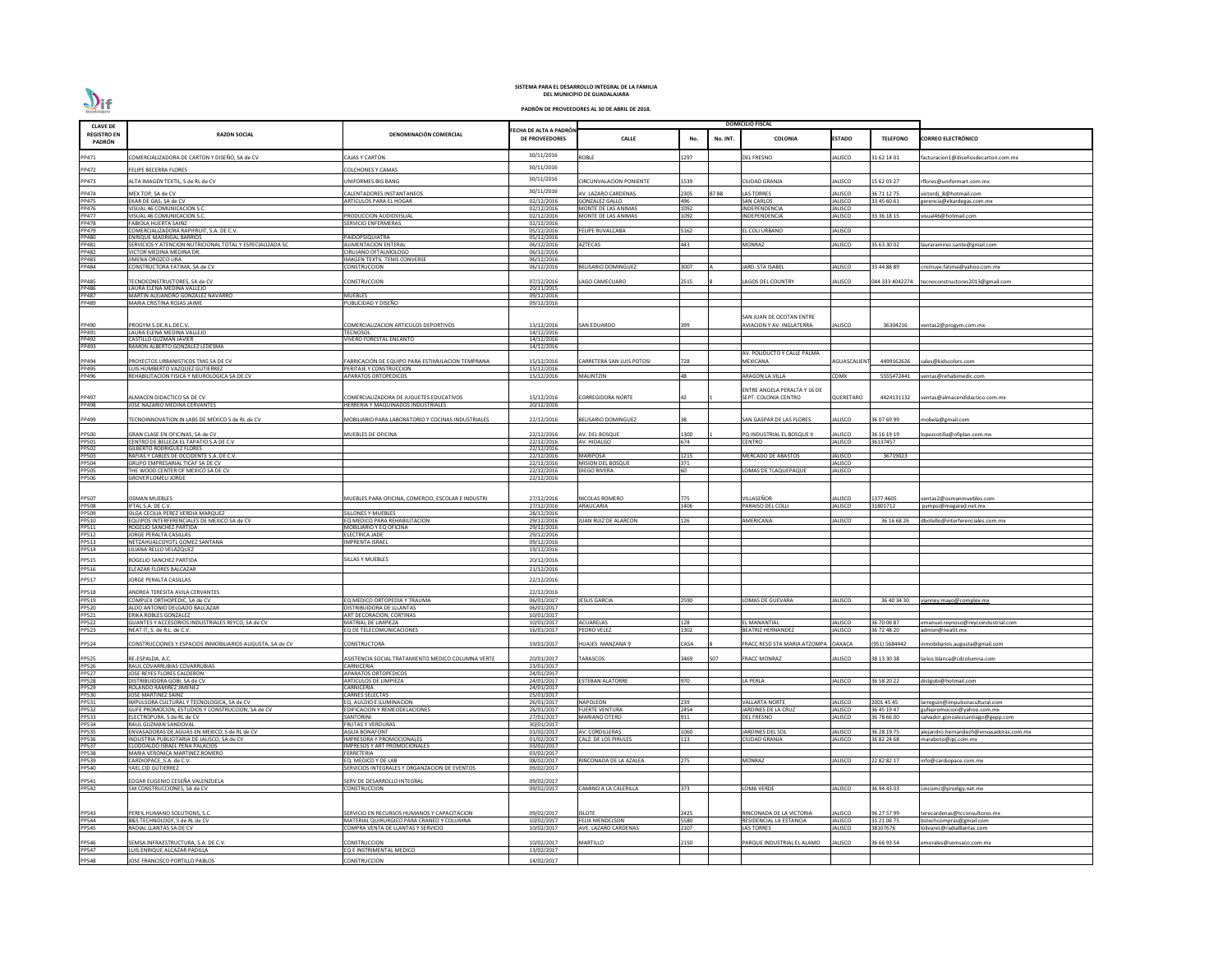| <b>CLAVE DE</b>              |                                                                                       |                                                                                 |                                                |                                                |              |             | <b>DOMICILIO FISCAL</b>                         |                           |                            |                                                                  |
|------------------------------|---------------------------------------------------------------------------------------|---------------------------------------------------------------------------------|------------------------------------------------|------------------------------------------------|--------------|-------------|-------------------------------------------------|---------------------------|----------------------------|------------------------------------------------------------------|
| <b>REGISTRO EN</b><br>PADRÓN | <b>RAZON SOCIAL</b>                                                                   | DENOMINACIÓN COMERCIAL                                                          | ECHA DE ALTA A PADRÓN<br><b>DE PROVEEDORES</b> | <b>CALLE</b>                                   | No.          | No. INT.    | COLONIA                                         | <b>ESTADO</b>             | <b>TELEFONO</b>            | <b>CORREO ELECTRÓNICO</b>                                        |
| PP471                        | COMERCIALIZADORA DE CARTON Y DISEÑO, SA de CV                                         | <b>CAJAS Y CARTON</b>                                                           | 30/11/2016                                     | <b>ROBLE</b>                                   | 1297         |             | EL FRESNO                                       | ALISCO                    | 31 62 14 01                | acturacion1@diseñosdecarton.com.mx                               |
| PP472                        | <b>ELIPE BECERRA FLORES</b>                                                           | COLCHONES Y CAMAS                                                               | 30/11/2016                                     |                                                |              |             |                                                 |                           |                            |                                                                  |
| PP473                        |                                                                                       | <b>JNIFORMES BIG BANG</b>                                                       | 30/11/2016                                     |                                                | 1539         |             | CIUDAD GRANJA                                   |                           |                            |                                                                  |
|                              | <b>ILTA IMAGEN TEXTIL, S de RL de CV</b>                                              |                                                                                 | 30/11/2016                                     | <b>CIRCUNVALACION PONIENTE</b>                 |              |             |                                                 | ALISCO                    | 15 62 03 27                | flores@uniformart.com.mx                                         |
| PP474<br>PP475               | MEX TOP, SA de CV<br>EKAR DE GAS, SA de CV                                            | CALENTADORES INSTANTANEOS<br>ARTICULOS PARA EL HOGAR                            | 02/12/2016                                     | AV. LAZARO CARDENAS<br><b>GONZALEZ GALLO</b>   | 2305<br>496  | <b>B7B8</b> | LAS TORRES<br><b>SAN CARLOS</b>                 | ALISCO<br>JALISCO         | 36 71 12 75<br>33 45 60 61 | victordj 8@hotmail.com<br>gerencia@ekardegas.com.mx              |
| PP476                        | VISUAL 46 COMUNICACION S.C.                                                           |                                                                                 | 02/12/2016                                     | MONTE DE LAS ANIMAS                            | 1092         |             | INDEPENDENCIA                                   | <b>JALISCO</b>            |                            |                                                                  |
| PP477<br><b>PP478</b>        | VISUAL 46 COMUNICACION S.C.                                                           | PRODUCCION AUDIOVISUAL                                                          | 02/12/2016                                     | MONTE DE LAS ANIMAS                            | 1092         |             | INDEPENDENCIA                                   | JALISCO                   | 33 36 18 15                | visual46@hotmail.com                                             |
| PP479                        | <b>FABIOLA HUERTA SAINZ</b><br>COMERCIALIZADORA RAPIFRUIT. S.A. DE C.V.               | SERVICIO ENFERMERAS                                                             | 02/12/2016<br>05/12/2016                       | <b>FELIPE RUVALCABA</b>                        | 5162         |             | EL COLI URBANO                                  | <b>JALISCO</b>            |                            |                                                                  |
| PP480                        | <b>ENRIQUE MADRIGAL BARRIOS</b>                                                       | PAIDOPSIQUIATRA                                                                 | 05/12/2016                                     |                                                |              |             |                                                 |                           |                            |                                                                  |
| PP481<br><b>PP482</b>        | SERVICIOS Y ATENCION NUTRICIONAL TOTAL Y ESPECIALIZADA SC<br>VICTOR MEDINA MEDINA DR. | <b>ALIMENTACION ENTERAL</b><br>CIRUJANO OFTALMOLOGO                             | 06/12/2016<br>06/12/2016                       | <b>AZTECAS</b>                                 | 443          |             | <b>MONRAZ</b>                                   | <b>JALISCO</b>            | 35 63 30 02                | lauraramirez.sante@gmail.com                                     |
| PP483                        | JIMENA OROZCO LIRA                                                                    | <b>IMAGEN TEXTIL TENIS CONVERSE</b>                                             | 06/12/2016                                     |                                                |              |             |                                                 |                           |                            |                                                                  |
| PP484                        | CONSTRUCTORA FATIMA, SA de CV                                                         | CONSTRUCCION                                                                    | 06/12/2016                                     | <b>BELISARIO DOMINGUEZ</b>                     | 3007         |             | <b>JARD. STA ISABEL</b>                         | <b>JALISCO</b>            | 33 44 88 89                | cnstruye.fatima@yahoo.com.mx                                     |
| PP485                        | <b>TECNOCONSTRUCTORES, SA de CV</b>                                                   | CONSTRUCCION                                                                    | 07/12/2016                                     | LAGO CAMECUARO                                 | 2515         |             | LAGOS DEL COUNTRY                               | <b>ALISCO</b>             |                            | 044 333 4042274 tecnoconstructores2013@gmail.com                 |
| PP486                        | LAURA ELENA MEDINA VALLEJO                                                            |                                                                                 | 20/11/2015                                     |                                                |              |             |                                                 |                           |                            |                                                                  |
| <b>PP487</b><br>PP489        | MARTIN ALEJANDRO GONZALEZ NAVARRO<br>MARIA CRISTINA ROJAS JAIME                       | MUEBLES<br>PUBLICIDAD Y DISEÑO                                                  | 09/12/2016<br>09/12/2016                       |                                                |              |             |                                                 |                           |                            |                                                                  |
|                              |                                                                                       |                                                                                 |                                                |                                                |              |             |                                                 |                           |                            |                                                                  |
|                              |                                                                                       |                                                                                 |                                                |                                                |              |             | SAN JUAN DE OCOTAN ENTRE                        |                           |                            |                                                                  |
| PP490<br>PP491               | PROGYM S.DE.R.L.DEC.V.<br>LAURA ELENA MEDINA VALLEJO                                  | COMERCIALIZACION ARTICULOS DEPORTIVOS<br><b>TECNOSOL</b>                        | 13/12/2016<br>$\frac{14}{12}{2016}$            | <b>SAN EDUARDO</b>                             | 399          |             | <b>AVIACION Y AV. INGLATERRA</b>                | ALISCO                    | 36304216                   | /entas2@progym.com.mx                                            |
| PP492                        | CASTILLO GUZMAN JAVIER                                                                | VIVERO FORESTAL ENCANTO                                                         | 14/12/2016                                     |                                                |              |             |                                                 |                           |                            |                                                                  |
| PP493                        | RAMON ALBERTO GONZALEZ LEDESMA                                                        |                                                                                 | 14/12/2016                                     |                                                |              |             | AV. POLIDUCTO Y CALLE PALMA                     |                           |                            |                                                                  |
| PP494                        | PROYECTOS URBANISTICOS TMG SA DE CV                                                   | FABRICACION DE EQUIPO PARA ESTIMULACION TEMPRANA                                | 15/12/2016                                     | <b>CARRETERA SAN LUIS POTOSI</b>               | 728          |             | MEXICANA                                        | <b>AGUASCALIEN</b>        | 4499162626                 | ales@kidscolors.com                                              |
| PP495                        | LUIS HUMBERTO VAZQUEZ GUTIERREZ                                                       | PERITAJE Y CONSTRUCCION                                                         | 15/12/2016                                     |                                                |              |             |                                                 |                           |                            |                                                                  |
| PP496                        | REHABILITACION FISICA Y NEUROLOGICA SA DE CV                                          | <b>APARATOS ORTOPEDICOS</b>                                                     | 15/12/2016                                     | <b>MALINTZIN</b>                               | 48           |             | ARAGON LA VILLA                                 | CDMX                      | 5555472441                 | ventas@rehabimedic.com                                           |
|                              |                                                                                       |                                                                                 |                                                |                                                |              |             | ENTRE ANGELA PERALTA Y 16 DE                    |                           |                            |                                                                  |
| PP497<br>PP498               | <b>ILMACEN DIDACTICO SA DE CV</b><br><b>OSE NAZARIO MEDINA CERVANTES</b>              | COMERCIALIZADORA DE JUGUETES EDUCATIVOS<br>HERRERIA Y MAQUINADOS INDUSTRIALES   | 15/12/2016<br>20/12/2016                       | <b>CORREGIDORA NORTE</b>                       |              |             | SEPT. COLONIA CENTRO                            | QUERETARO                 | 4424131132                 | ventas@almacendidactico.com.mx                                   |
|                              |                                                                                       |                                                                                 |                                                |                                                |              |             |                                                 |                           |                            |                                                                  |
| PP499                        | ECNOINNOVATION IN LABS DE MEXICO S de RL de CV                                        | MOBILIARIO PARA LABORATORIO Y COCINAS INDUSTRIALES                              | 22/12/2016                                     | <b>BELISARIO DOMINGUEZ</b>                     |              |             | SAN GASPAR DE LAS FLORES                        | JALISCO                   | 36 07 69 99                | nobela@gmail.com                                                 |
| PP500                        | GRAN CLASE EN OFICINAS, SA de CV                                                      | MUEBLES DE OFICINA                                                              | 22/12/2016                                     | AV. DEL BOSQUE                                 | 1300         |             | PQ INDUSTRIAL EL BOSQUE II                      | <b>JALISCO</b>            | 36 16 19 19                | opezcotilla@ofiplan.com.mx                                       |
| PP501                        | CENTRO DE BELLEZA EL TAPATIO S.A DE C.V                                               |                                                                                 | 22/12/2016                                     | AV. HIDALGO                                    | 674          |             | CENTRO                                          | <b>JALISCO</b>            | 36137457                   |                                                                  |
| PP502<br>PP503               | <b>GILBERTO RODRIGUEZ FLORES</b><br>RAFIAS Y CABLES DE OCCIDENTE S.A. DE C.V.         |                                                                                 | 22/12/2016<br>22/12/2016                       | <b>MARIPOSA</b>                                | 1215         |             | <b>MERCADO DE ABASTOS</b>                       | <b>JALISCO</b>            | 36719023                   |                                                                  |
| PP504                        | <b>GRUPO EMPRESARIAL TICAF SA DE CV</b>                                               |                                                                                 | 22/12/2016                                     | <b>MISION DEL BOSQUE</b>                       | 371          |             |                                                 | <b>JALISCO</b>            |                            |                                                                  |
| <b>PP505</b>                 | THE WOOD CENTER OF MEXICO SA DE CV                                                    |                                                                                 | 22/12/2016                                     | <b>DIEGO RIVERA</b>                            | <b>60</b>    |             | LOMAS DE TLAQUEPAQUE                            | <b>JALISCO</b>            |                            |                                                                  |
| <b>PP506</b>                 | <b>GROVER LOMELI JORGE</b>                                                            |                                                                                 | 22/12/2016                                     |                                                |              |             |                                                 |                           |                            |                                                                  |
|                              |                                                                                       |                                                                                 |                                                |                                                |              |             |                                                 |                           |                            |                                                                  |
| PP507                        | <b>OSMAN MUEBLES</b><br>IFTAL S.A. DE C.V.                                            | MUEBLES PARA OFICINA. COMERCIO. ESCOLAR E INDUSTRI                              | 27/12/2016<br>27/12/2016                       | NICOLAS ROMERO<br>ARAUCARIA                    | 775<br>1406  |             | /ILLASEÑOR<br>PARAISO DEL COLLI                 | JALISCO<br><b>JALISCO</b> | 1377 4605<br>31801712      | ventas2@osmanmuebles.com<br>pympsi@megared.net.mx                |
| PP508<br>PP509               | OLGA CECILIA PEREZ VERDIA MARQUEZ                                                     | SILLONES Y MUEBLES                                                              | 28/12/2016                                     |                                                |              |             |                                                 |                           |                            |                                                                  |
| PP510<br>PP511               | EQUIPOS INTERFERENCIALES DE MEXICO SA de CV                                           | EQ MEDICO PARA REHABILITACION                                                   | 29/12/2016                                     | JUAN RUIZ DE ALARCON                           | 126          |             | <b>MERICANA</b>                                 | JALISCO                   | 36 16 68 26                | dbotello@interferenciales.com.mx                                 |
| PP512                        | ROGELIO SANCHEZ PARTIDA<br>JORGE PERALTA CASILLAS                                     | MOBILIARIO Y EQ OFICINA<br><b>ELECTRICA JADE</b>                                | 29/12/2016<br>29/12/2016                       |                                                |              |             |                                                 |                           |                            |                                                                  |
| PP513                        | NETZAHUALCOYOTL GOMEZ SANTANA                                                         | <b>IMPRENTA ISRAEL</b>                                                          | 09/12/2016                                     |                                                |              |             |                                                 |                           |                            |                                                                  |
| PP514                        | ILIANA RELLO VELAZQUEZ                                                                |                                                                                 | 19/12/2016                                     |                                                |              |             |                                                 |                           |                            |                                                                  |
| PP515                        | ROGELIO SANCHEZ PARTIDA                                                               | SILLAS Y MUEBLES                                                                | 20/12/2016                                     |                                                |              |             |                                                 |                           |                            |                                                                  |
| PP516                        | ELEAZAR FLORES BALCAZAR                                                               |                                                                                 | 21/12/2016                                     |                                                |              |             |                                                 |                           |                            |                                                                  |
| PP517                        | JORGE PERALTA CASILLAS                                                                |                                                                                 | 22/12/2016                                     |                                                |              |             |                                                 |                           |                            |                                                                  |
| PP518                        | ANDREA TERESITA AVILA CERVANTES                                                       |                                                                                 | 22/12/2016                                     |                                                |              |             |                                                 |                           |                            |                                                                  |
| PP519<br><b>PP520</b>        | COMPLEX ORTHOPEDIC. SA de CV                                                          | EQ MEDICO ORTOPEDIA Y TRAUMA<br>DISTRIBUIDORA DE LLLANTAS                       | 06/01/2017<br>06/01/2017                       | <b>JESUS GARCIA</b>                            | 2590         |             | OMAS DE GUEVARA                                 | <b>JALISCO</b>            | 36 40 34 30                | vianney.mayo@complex.mx                                          |
| PP521                        | ALDO ANTONIO DELGADO BALCAZAR<br>ERIKA ROBLES GONZALEZ                                | ART DECORACION, CORTINAS                                                        | 10/01/2017                                     |                                                |              |             |                                                 |                           |                            |                                                                  |
| <b>PP522</b>                 | GUANTES Y ACCESORIOS INDUSTRIALES REYCO, SA de CV                                     | MATRIAL DE LIMPIEZA                                                             | 10/01/2017                                     | <b>ACUARELAS</b>                               | 128          |             | EL MANANTIAL                                    | <b>JALISCO</b>            | 36 70 06 87                | emanuel.reynoso@reycoindustrial.com                              |
| PP523                        | NEAT IT, S. de R.L. de C.V.                                                           | EQ DE TELECOMUNICACIONES                                                        | 16/01/2017                                     | PEDRO VELEZ                                    | 1302         |             | BEATRIZ HERNANDEZ                               | JALISCO                   | 36 72 48 20                | admon@neatit.mx                                                  |
| PP524                        | CONSTRUCCIONES Y ESPACIOS INMOBILIARIOS AUGUSTA, SA de CV                             | CONSTRUCTORA                                                                    | 19/01/2017                                     | <b>HUAJES MANZANA 9</b>                        | <b>CASA</b>  |             | FRACC RESD STA MARIA ATZOMPA                    | <b>OAXACA</b>             | 951) 5684442               | nmobiliarios.augusta@gmail.com                                   |
|                              | RE-ESPALDA, A.C.                                                                      | ASISTENCIA SOCIAL TRATAMIENTO MEDICO COLUMNA VERTE                              | 20/01/2017                                     | TARASCOS                                       | 3469         | 507         | <b>FRACC MONRAZ</b>                             | JALISCO                   | 38 13 30 38                |                                                                  |
| <b>PP525</b><br>PP526        | RAUL COVARRUBIAS COVARRUBIAS                                                          | CARNICERIA                                                                      | 23/01/2017                                     |                                                |              |             |                                                 |                           |                            | larios.blanca@cdcolumna.com                                      |
| <b>PP527</b>                 | JOSE REYES FLORES CALDERON                                                            | <b>APARATOS ORTOPEDICOS</b>                                                     | 24/01/2017                                     |                                                |              |             |                                                 |                           |                            |                                                                  |
| <b>PP528</b><br>PP529        | DISTRIBUIDORA GOBI, SA de CV<br>ROLANDO RAMIREZ JIMENEZ                               | ARTICULOS DE LIMPIEZA<br>CARNICERIA                                             | 24/01/2017<br>24/01/2017                       | <b>ESTEBAN ALATORRE</b>                        | 970          |             | LA PERLA                                        | JALISCO                   | 36 58 20 22                | distgobi@hotmail.com                                             |
| PP530                        | JOSE MARTINEZ SAINZ                                                                   | <b>CARNES SELECTAS</b>                                                          | 25/01/2017                                     |                                                |              |             |                                                 |                           |                            |                                                                  |
| PP531                        | IMPULSORA CULTURAL Y TECNOLOGICA, SA de CV                                            | EQ. AULDIO E ILUMINACION                                                        | 26/01/2017                                     | <b>NAPOLEON</b>                                | 239          |             | <b>VALLARTA NORTE</b>                           | <b>JALISCO</b>            | 2001 45 45                 | larreguin@impulsoracultural.com                                  |
| PP532<br>PP533               | GUFE PROMOCION, ESTUDIOS Y CONSTRUCCION, SA de CV<br>ELECTROPURA, S de RL de CV       | EDIFICACION Y REMEODELACIONES<br>SANTORINI                                      | 26/01/2017<br>27/01/2017                       | <b>FUERTE VENTURA</b><br><b>MARIANO OTERO</b>  | 2454<br>911  |             | <b>JARDINES DE LA CRUZ</b><br><b>DEL FRESNO</b> | JALISCO<br><b>JALISCO</b> | 36 45 19 47<br>36 78 66 00 | gufepromocion@yahoo.com.mx<br>salvador.gonzalezsantiago@gepp.com |
| PP534                        | RAUL GUZMAN SANDOVAL                                                                  | FRUTAS Y VERDURAS                                                               | 30/01/2017                                     |                                                |              |             |                                                 |                           |                            |                                                                  |
| <b>PP535</b>                 | ENVASADORAS DE AGUAS EN MEXICO, S de RL de CV                                         | <b>AGUA BONAFONT</b>                                                            | 01/02/2017                                     | AV. CORDILLERAS                                | 1060         |             | <b>JARDINES DEL SOL</b>                         | <b>JALISCO</b>            | 36 28 19 75                | alejandro.hernandezh@envasadoras.com.mx                          |
| PP536<br><b>PP537</b>        | INDUSTRIA PUBLICITARIA DE JALISCO, SA de CV<br>CLODOALDO ISRAEL PEÑA PALACIOS         | IMPRESORA Y PROMOCIONALES<br><b>IMPRESOS Y ART PROMOCIONALES</b>                | 01/02/2017<br>03/02/2017                       | CALZ. DE LOS PIRULES                           | 113          |             | CIUDAD GRANJA                                   | JALISCO                   | 36 82 24 68                | maraboto@ipj.com.mx                                              |
| <b>PP538</b>                 | MARIA VERONICA MARTINEZ ROMERO                                                        | FERRETERIA                                                                      | 03/02/2017                                     |                                                |              |             |                                                 |                           |                            |                                                                  |
| PP539<br>PP540               | CARDIOPACE, S.A. de C.V<br>YAEL CID GUTIERREZ                                         | EQ. MEDICO Y DE LAB<br>SERVICIOS INTEGRALES Y ORGANZACION DE EVENTOS            | 08/02/2017<br>09/02/2017                       | RINCONADA DE LA AZALEA                         | 275          |             | MONRAZ                                          | JALISCO                   | 22 82 82 17                | info@cardiopace.com.mx                                           |
|                              |                                                                                       |                                                                                 |                                                |                                                |              |             |                                                 |                           |                            |                                                                  |
| PP541<br><b>PP542</b>        | EDGAR EUGENIO CESEÑA VALENZUELA<br>5M CONSTRUCCIONES, SA de CV                        | SERV DE DESARROLLO INTEGRAL<br>CONSTRUCCION                                     | 09/02/2017<br>09/02/2017                       | CAMINO A LA CALERILLA                          | 373          |             | LOMA VERDE                                      | JALISCO                   | 36 94 43 03                | cincomc@prodigy.net.mx                                           |
|                              |                                                                                       |                                                                                 |                                                |                                                |              |             |                                                 |                           |                            |                                                                  |
|                              |                                                                                       |                                                                                 |                                                |                                                |              |             |                                                 |                           |                            |                                                                  |
| PP543                        | PERFIL HUMANO SOLUTIONS, S.C.                                                         | SERVICIO EN RECURSOS HUMANOS Y CAPACITACION                                     | 09/02/2017                                     | <b>ISLOTE</b>                                  | 2425         |             | RINCONADA DE LA VICTORIA                        | JALISCO                   | 96 27 57 99                | terecardenas@tcconsultores.mx                                    |
| PP544<br><b>PP545</b>        | B&S TECHNOLOGY, S de RL de CV<br>RADIAL LLANTAS SA DE CV                              | MATERIAL QUIRURGICO PARA CRANEO Y COLUMNA<br>COMPRA VENTA DE LLANTAS Y SERVICIO | 10/02/2017<br>10/02/2017                       | <b>FELIX MENDELSON</b><br>AVE. LAZARO CARDENAS | 5580<br>2107 |             | RESIDENCIAL LA ESTANCIA<br>LAS TORRES           | <b>JALISCO</b><br>JALISCO | 31 21 06 75<br>38107676    | bstechcompras@gmail.com<br>lolivares@radialllantas.com           |
|                              |                                                                                       |                                                                                 |                                                |                                                |              |             |                                                 |                           |                            |                                                                  |
| PP546<br>PP547               | SEMSA INFRAESTRUCTURA. S.A. DE C.V.                                                   | CONSTRUCCION                                                                    | 10/02/2017                                     | <b>MARTILLO</b>                                | 2150         |             | PARQUE INDUSTRIAL EL ALAMO                      | JALISCO                   | 36 66 93 54                | morales@semsaco.com.mx                                           |
|                              | UIS ENRIQUE ALCAZAR PADILLA                                                           | EQ E INSTRIMENTAL MEDICO                                                        | 13/02/2017                                     |                                                |              |             |                                                 |                           |                            |                                                                  |
| PP548                        | JOSE FRANCISCO PORTILLO PABLOS                                                        | CONSTRUCCION                                                                    | 14/02/2017                                     |                                                |              |             |                                                 |                           |                            |                                                                  |

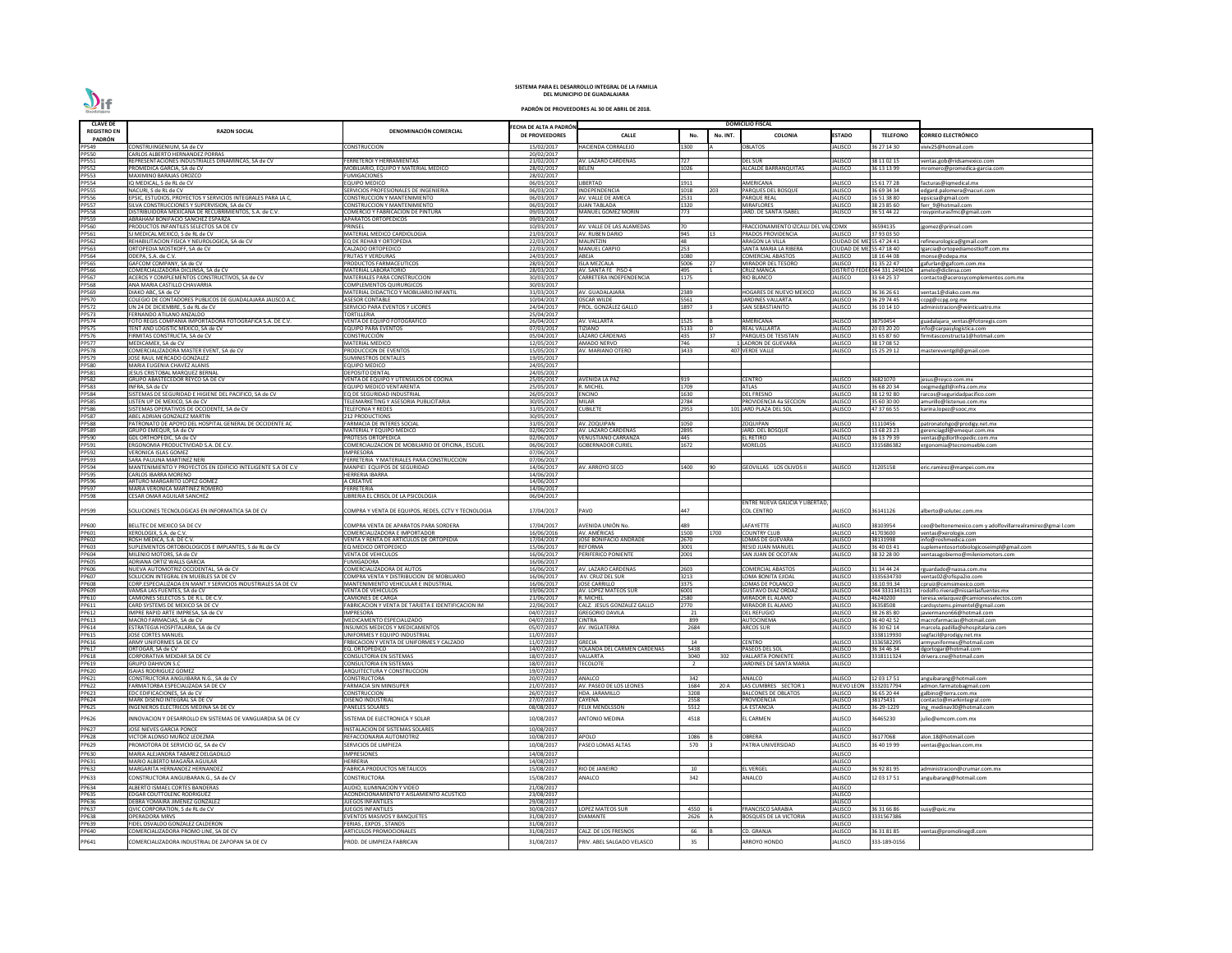| <b>CLAVE DE</b>              |                                                                                                        |                                                                                   |                                                |                                                      |                |          | <b>DOMICILIO FISCAL</b>                                    |                                      |                                |                                                                 |
|------------------------------|--------------------------------------------------------------------------------------------------------|-----------------------------------------------------------------------------------|------------------------------------------------|------------------------------------------------------|----------------|----------|------------------------------------------------------------|--------------------------------------|--------------------------------|-----------------------------------------------------------------|
| <b>REGISTRO EN</b>           | <b>RAZON SOCIAL</b>                                                                                    | DENOMINACIÓN COMERCIAL                                                            | ECHA DE ALTA A PADRÓN<br><b>DE PROVEEDORES</b> | <b>CALLE</b>                                         | No.            | No. INT. | <b>COLONIA</b>                                             | <b>ESTADO</b>                        | <b>TELEFONO</b>                | CORREO ELECTRÓNICO                                              |
| PADRÓN<br>PP549              | CONSTRUINGENIUM, SA de CV                                                                              | CONSTRUCCION                                                                      | 15/02/2017                                     | <b>HACIENDA CORRALEJO</b>                            | 1300           |          | <b>OBLATOS</b>                                             | JALISCO                              | 36 27 14 30                    | viviv25@hotmail.com                                             |
| PP550                        | CARLOS ALBERTO HERNANDEZ PORRAS                                                                        |                                                                                   | 20/02/2017                                     |                                                      |                |          |                                                            |                                      |                                |                                                                 |
| PP551                        | REPRESENTACIONES INDUSTRIALES DINAMINCAS, SA de CV                                                     | FERRETEROI Y HERRAMIENTAS                                                         | 21/02/2017                                     | AV. LAZARO CARDENAS                                  | 727            |          | DEL SUR                                                    | JALISCO                              | 38 11 02 15                    | entas.gob@ridsamexico.com                                       |
| PP552<br>PP553               | PROMEDICA GARCIA, SA de CV<br><b>MAXIMINO BARAJAS OROZCO</b>                                           | MOBILIARIO, EQUIPO Y MATERIAL MEDICO                                              | 28/02/2017                                     | <b>BELEN</b>                                         | 1026           |          | <b>ALCALDE BARRANQUITAS</b>                                | JALISCO                              | 36 13 13 99                    | mromero@promedica-garcia.com                                    |
| <b>PP554</b>                 | IQ MEDICAL, S de RL de CV                                                                              | <b>FUMIGACIONES</b><br>EQUIPO MEDICO                                              | 28/02/2017<br>06/03/2017                       | LIBERTAD                                             | 1911           |          | AMERICANA                                                  | JALISCO                              | 15 61 77 28                    | facturas@iqmedical.mx                                           |
| PP555<br>PP556               | NACURI, S de RL de CV                                                                                  | SERVICIOS PROFESIONALES DE INGENIERIA                                             | 06/03/2017                                     | INDEPENDENCIA                                        | 1018           | 203      | PARQUES DEL BOSQUE                                         | JALISCO                              | 36 69 34 34                    | edgard.palomera@nacuri.com                                      |
|                              | EPSIC, ESTUDIOS, PROYECTOS Y SERVICIOS INTEGRALES PARA LA C,                                           | CONSTRUCCION Y MANTENIMIENTO                                                      | 06/03/2017                                     | AV. VALLE DE AMECA                                   | 2531           |          | PARQUE REAL                                                | JALISCO                              | 6 51 38 80                     | epsicsa@gmail.com                                               |
| <b>PP557</b><br><b>PP558</b> | SILVA CONSTRUCCIONES Y SUPERVISION, SA de CV<br>DISTRIBUIDORA MEXICANA DE RECUBRIMIENTOS, S.A. de C.V. | CONSTRUCCION Y MANTENIMIENTO<br>COMERCIO Y FABRICACION DE PINTURA                 | 06/03/2017<br>09/03/2017                       | <b>JUAN TABLADA</b><br><b>MANUEL GOMEZ MORIN</b>     | 1320<br>773    |          | MIRAFLORES<br>JARD. DE SANTA ISABEL                        | JALISCO<br>JALISCO                   | 38 23 85 60<br>36 51 44 22     | ferr 9@hotmail.com<br>rosypinturasfmc@gmail.com                 |
| PP559                        | ABRAHAM BONIFACIO SANCHEZ ESPARZA                                                                      | <b>APARATOS ORTOPEDICOS</b>                                                       | 09/03/2017                                     |                                                      |                |          |                                                            |                                      |                                |                                                                 |
| PP560                        | PRODUCTOS INFANTILES SELECTOS SA DE CV                                                                 | PRINSEL                                                                           | 10/03/2017                                     | AV. VALLE DE LAS ALAMEDAS                            | I70            |          | FRACCIONAMIENTO IZCALLI DEL VALICDMX                       |                                      | 36594135                       | jgomez@prinsel.com                                              |
| PP561<br>PP562               | SJ MEDICAL MEXICO, S de RL de CV<br>REHABILITACION FISICA Y NEUROLOGICA, SA de CV                      | MATERIAL MEDICO CARDIOLOGIA<br>EQ DE REHAB Y ORTOPEDIA                            | 21/03/2017<br>22/03/2017                       | <b>AV. RUBEN DARIO</b><br><b>MALINTZIN</b>           | 945<br>48      |          | PRADOS PROVIDENCIA<br>ARAGON LA VILLA                      | JALISCO<br>CIUDAD DE MEJ 55 47 24 41 | 37 93 03 50                    | refineurologica@gmail.com                                       |
| PP563                        | ORTOPEDIA MOSTKOFF, SA de CV                                                                           | CALZADO ORTOPEDICO                                                                | 22/03/2017                                     | <b>MANUEL CARPIO</b>                                 | 253            |          | SANTA MARIA LA RIBERA                                      | <b>CIUDAD DE ME</b>                  | 155 47 18 40                   | lgarcia@ortopediamostkoff.com.mx                                |
| PP564                        | ODEPA, S.A. de C.V.                                                                                    | FRUTAS Y VERDURAS                                                                 | 24/03/2017                                     | ABEJA                                                | 1080           |          | COMERCIAL ABASTOS                                          | JALISCO                              | 18 16 44 08                    | monse@odepa.mx                                                  |
| PP565<br>PP566               | GAFCOM COMPANY, SA de CV<br>COMERCIALIZADORA DICLINSA, SA de CV                                        | PRODUCTOS FARMACEUTICOS<br><b>MATERIAL LABORATORIO</b>                            | 28/03/2017<br>28/03/2017                       | <b>ISLA MEZCALA</b><br>AV. SANTA FE PISO 4           | 5006<br>495    |          | MIRADOR DEL TESORO<br>CRUZ MANCA                           | JALISCO<br><b>DISTRITO FE</b>        | 31 35 22 47<br>044 331 2494104 | gafurlan@gafcom.com.mx                                          |
|                              | ACEROS Y COMPLEMENTOS CONSTRUCTIVOS, SA de CV                                                          | MATERIALES PARA CONSTRUCCION                                                      | 30/03/2017                                     | CARRETERA INDEPENDENCIA                              | 1175           |          | RIO BLANCO                                                 | JALISCO                              | 33 64 25 37                    | amelo@diclinsa.com<br>contacto@acerosycomplementos.com.mx       |
| PP567<br>PP568               | ANA MARIA CASTILLO CHAVARRIA                                                                           | COMPLEMENTOS QUIRURGICOS                                                          | 30/03/2017                                     |                                                      |                |          |                                                            |                                      |                                |                                                                 |
| PP569                        | DIAKO ABC. SA de CV                                                                                    | MATERIAL DIDACTICO Y MOBILIARIO INFANTIL<br><b>ASESOR CONTABLE</b>                | 31/03/2017                                     | AV. GUADALAJARA<br><b>OSCAR WILDE</b>                | 2389<br>5561   |          | <b>IOGARES DE NUEVO MEXICO</b><br><b>IARDINES VALLARTA</b> | JALISCO<br>JALISCO                   | 36 36 26 61                    | entas1@diako.com.mx                                             |
| PP570<br><b>PP572</b>        | COLEGIO DE CONTADORES PUBLICOS DE GUADALAJARA JALISCO A.C.<br>UN 24 DE DICIEMBRE, S de RL de CV        | SERVICIO PARA EVENTOS Y LICORES                                                   | 10/04/2017<br>24/04/2017                       | PROL. GONZÁLEZ GALLO                                 | 1897           |          | SAN SEBASTIANITO                                           | JALISCO                              | 36 29 74 45<br>36 10 14 10     | ccpg@ccpg.org.mx<br>administracion@veinticuatro.mx              |
| <b>PP573</b>                 | FERNANDO ATILANO ANZALDO                                                                               | TORTILLERIA                                                                       | 25/04/2017                                     |                                                      |                |          |                                                            |                                      |                                |                                                                 |
| PP574<br><b>PP575</b>        | FOTO REGIS COMPAÑIA IMPORTADORA FOTOGRAFICA S.A. DE C.V.                                               | VENTA DE EQUIPO FOTOGRAFICO                                                       | 26/04/2017                                     | AV. VALLARTA                                         | 1525           |          | AMERICANA                                                  | JALISCO                              | 38750454                       | guadalajara_ventas@fotoregis.com                                |
| <b>PP576</b>                 | TENT AND LOGISTIC MEXICO, SA de CV<br>FIRMITAS CONSTRUCTA, SA de CV                                    | <b>EQUIPO PARA EVENTOS</b><br>CONSTRUCCIÓN                                        | 07/03/2017<br>05/04/2017                       | TIZIANO<br>LÁZARO CÁRDENAS                           | 5133<br>435    |          | REAL VALLARTA<br>PARQUES DE TESISTAN                       | JALISCO<br>JALISCO                   | 20 03 20 20<br>1 65 87 60      | info@carpasylogistica.com<br>firmitasconstructa1@hotmail.com    |
| <b>PP577</b>                 | MEDICAMEX, SA de CV                                                                                    | MATERIAL MEDICO                                                                   | 12/05/2017                                     | AMADO NERVO                                          | 746            |          | LADRON DE GUEVARA                                          | JALISCO                              | 38 17 08 52                    |                                                                 |
| <b>PP578</b>                 | COMERCIALIZADORA MASTER EVENT, SA de CV                                                                | RODUCCION DE EVENTOS                                                              | 15/05/2017                                     | AV. MARIANO OTERO                                    | 3433           |          | 407 VERDE VALLE                                            | JALISCO                              | 5 25 29 12                     | mastereventgdl@gmail.com                                        |
| PP579<br><b>PP580</b>        | JOSE RAUL MERCADO GONZALEZ<br>MARIA EUGENIA CHAVEZ ALANIS                                              | SUMINISTROS DENTALES<br>EQUIPO MEDICO                                             | 19/05/2017<br>24/05/2017                       |                                                      |                |          |                                                            |                                      |                                |                                                                 |
| PP581                        | JESUS CRISTOBAL MARQUEZ BERNAL                                                                         | DEPOSITO DENTAL                                                                   | 24/05/2017                                     |                                                      |                |          |                                                            |                                      |                                |                                                                 |
| <b>PP582</b>                 | GRUPO ABASTECEDOR REYCO SA DE CV                                                                       | VENTA DE EQUIPO Y UTENSILIOS DE COCINA                                            | 25/05/2017                                     | <b>AVENIDA LA PAZ</b>                                | 919            |          | CENTRO                                                     | JALISCO                              | 16821070                       | jesus@reyco.com.mx                                              |
| PP583<br>PP584               | INFRA, SA de CV<br>SISTEMAS DE SEGURIDAD E HIGIENE DEL PACIFICO, SA de CV                              | EQUIPO MEDICO VENTARENTA<br>EQ DE SEGURIDAD INDUSTRIAI                            | 25/05/2017<br>26/05/2017                       | R. MICHEL<br><b>ENCINO</b>                           | 1709<br>1630   |          | ATLAS<br><b>DEL FRESNO</b>                                 | JALISCO<br>JALISCO                   | 36 68 20 34<br>38 12 92 80     | oxigmedgdl@infra.com.mx                                         |
| <b>PP585</b>                 | LISTEN UP DE MEXICO, SA de CV                                                                          | TELEMARKETING Y ASESORIA PUBLICITARIA                                             | 30/05/2017                                     | <b>MILAR</b>                                         | 2784           |          | PROVIDENCIA 4a SECCION                                     | JALISCO                              | 35 60 30 00                    | rarcos@seguridadpacifico.com<br>amurillo@listenuo.com.mx        |
| <b>PP586</b>                 | SISTEMAS OPERATIVOS DE OCCIDENTE, SA de CV                                                             | TELEFONIA Y REDES                                                                 | 31/05/2017                                     | <b>CUBILETE</b>                                      | 2953           |          | 101 JARD PLAZA DEL SOL                                     | JALISCO                              | 47 37 66 55                    | karina.lopez@sooc,mx                                            |
| PP587<br><b>PP588</b>        | ABEL ADRIAN GONZALEZ MARTIN                                                                            | <b>212 PRODUCTIONS</b>                                                            | 30/05/2017                                     |                                                      |                |          |                                                            |                                      |                                |                                                                 |
| PP589                        | PATRONATO DE APOYO DEL HOSPITAL GENERAL DE OCCIDENTE AC<br>GRUPO EMEQUR, SA de CV                      | FARMACIA DE INTERES SOCIAL<br>MATERIAL Y EQUIPO MEDICO                            | 31/05/2017<br>02/06/2017                       | AV. ZOQUIPAN<br>AV. LAZARO CARDENAS                  | 1050<br>2895   |          | ZOQUIPAN<br>IARD. DEL BOSQUE                               | JALISCO<br>JALISCO                   | 1110456<br>13 68 23 23         | patronatohgo@prodigy.net.mx<br>gerenciagdl@emequr.com.mx        |
| PP590                        | GDL ORTHOPEDIC, SA de CV                                                                               | <b>PROTESIS ORTOPEDICA</b>                                                        | 02/06/2017                                     | <b>VENUSTIANO CARRANZA</b>                           | 445            |          | E <b>L RETIRO</b>                                          | <b>JALISCO</b>                       | 36 13 79 39                    | entas@gdlorthopedic.com.mx                                      |
| PP591                        | ERGONOMIA PRODUCTIVIDAD S.A. DE C.V.                                                                   | COMERCIALIZACION DE MOBILIARIO DE OFICINA , ESCUEL                                | 06/06/2017                                     | <b>GOBERNADOR CURIEL</b>                             | 1672           |          | MORELOS                                                    | JALISCO                              | 315686382                      | ergonomia@tecnomueble.com                                       |
| PP592<br>PP593               | <b>VERONICA ISLAS GOMEZ</b><br>SARA PAULINA MARTINEZ NERI                                              | IMPRESORA<br>FERRETERIA Y MATERIALES PARA CONSTRUCCION                            | 07/06/2017<br>07/06/2017                       |                                                      |                |          |                                                            |                                      |                                |                                                                 |
| PP594                        | MANTENIMIENTO Y PROYECTOS EN EDIFICIO INTELIGENTE S.A DE C.V                                           | MANPIEI EQUIPOS DE SEGURIDAD                                                      | 14/06/2017                                     | AV. ARROYO SECO                                      | L400           |          | GEOVILLAS LOS OLIVOS II                                    | JALISCO                              | 1205158                        | eric.ramirez@manpei.com.mx                                      |
| <b>PP595</b>                 | CARLOS IBARRA MORENO                                                                                   | <b>HERRERIA IBARRA</b>                                                            | 14/06/2017                                     |                                                      |                |          |                                                            |                                      |                                |                                                                 |
| PP596                        | ARTURO MARGARITO LOPEZ GOMEZ<br>MARIA VERONICA MARTINEZ ROMERO                                         | A CREATIVE<br>FERRETERIA                                                          | 14/06/2017<br>14/06/2017                       |                                                      |                |          |                                                            |                                      |                                |                                                                 |
| PP597<br>PP598               | CESAR OMAR AGUILAR SANCHEZ                                                                             | LIBRERIA EL CRISOL DE LA PSICOLOGIA                                               | 06/04/2017                                     |                                                      |                |          |                                                            |                                      |                                |                                                                 |
|                              |                                                                                                        |                                                                                   |                                                |                                                      |                |          | ENTRE NUEVA GALICIA Y LIBERTAD,                            |                                      |                                |                                                                 |
| PP599                        | SOLUCIONES TECNOLOGICAS EN INFORMATICA SA DE CV                                                        | COMPRA Y VENTA DE EQUIPOS, REDES, CCTV Y TECNOLOGIA                               | 17/04/2017                                     | PAVO                                                 | 447            |          | COL CENTRO                                                 | JALISCO                              | 36141126                       | alberto@solutec.com.mx                                          |
| PP600                        | BELLTEC DE MEXICO SA DE CV                                                                             | COMPRA VENTA DE APARATOS PARA SORDERA                                             | 17/04/2017                                     | AVENIDA UNIÓN No.                                    | 489            |          | LAFAYETTE                                                  | <b>JALISCO</b>                       | 38103954                       | ceo@beltonemexico.com y adolfovillarrealramirez@gmai l.com      |
| PP601                        | XEROLOGIX, S.A. de C.V                                                                                 | COMERCIALIZADORA E IMPORTADOR                                                     | 16/06/2016                                     | AV. AMÉRICAS                                         | 1500           | 1700     | COUNTRY CLUB                                               | <b>JALISCO</b>                       | 41703600                       | ventas@xerologix.com                                            |
| PP602<br>PP603               | ROSH MEDICA, S.A. DE C.V.<br>SUPLEMENTOS ORTOBIOLOGICOS E IMPLANTES, S de RL de CV                     | VENTA Y RENTA DE ARTICULOS DE ORTOPEDIA<br>EQ MEDICO ORTOPEDICO                   | 17/04/2017<br>15/06/2017                       | JOSÉ BONIFACIO ANDRADE<br><b>REFORMA</b>             | 2670<br>3001   |          | LOMAS DE GUEVARA<br>RESID JUAN MANUEL                      | <b>JALISCO</b><br><b>JALISCO</b>     | 38131998<br>36 40 03 41        | info@roshmedica.com<br>suplementosortobiologicoseimpl@gmail.com |
| PP604                        | MILENIO MOTORS, SA de CV                                                                               | VENTA DE VEHICULOS                                                                | 16/06/2017                                     | PERIFERICO PONIENTE                                  | 2001           |          | SAN JUAN DE OCOTAN                                         | <b>JALISCO</b>                       | 38 32 28 00                    | ventasagobierno@mileniomotors.com                               |
| <b>PP605</b>                 | ADRIANA ORTIZ WALLS GARCIA                                                                             | <b>UMIGADORA</b>                                                                  | 16/06/2017                                     |                                                      |                |          |                                                            |                                      |                                |                                                                 |
| PP606                        | NUEVA AUTOMOTRIZ OCCIDENTAL. SA de CV                                                                  | COMERCIALIZADORA DE AUTOS                                                         | 16/06/2017                                     | <b>AV. LAZARO CARDENAS</b>                           | 2603           |          | COMERCIAL ABASTOS                                          | <b>JALISCO</b>                       | 31 34 44 24                    | rguardado@naosa.com.mx                                          |
| PP607<br>PP608               | SOLUCION INTEGRAL EN MUEBLES SA DE CV<br>CORP.ESPECIALIZADA EN MANT.Y SERVICIOS INDUSTRIALES SA DE CV  | COMPRA VENTA Y DISTRIBUCION DE MOBILIARIO<br>MANTENIMIENTO VEHICULAR E INDUSTRIAL | 16/06/2017<br>16/06/2017                       | AV. CRUZ DEL SUF<br><b>JOSE CARRILLO</b>             | 3213<br>3375   |          | LOMA BONITA EJIDAI<br>OMAS DE POLANCO                      | <b>JALISCO</b><br><b>JALISCO</b>     | 3335634730<br>38.10.93.34      | ventas02@ofispa2io.com<br>cpruiz@cemsimexico.com                |
| PP609                        | VAMSA LAS FUENTES, SA de CV                                                                            | VENTA DE VEHICULOS                                                                | 19/06/2017                                     | AV. LOPEZ MATEOS SUR                                 | 6001           |          | <b>GUSTAVO DIAZ ORDAZ</b>                                  | <b>JALISCO</b>                       | 044 333134313:                 | rodolfo.rivera@nissanlasfuentes.mx                              |
| PP610                        | CAMIONES SELECTOS S. DE R.L. DE C.V.                                                                   | CAMIONES DE CARGA                                                                 | 21/06/2017                                     | R. MICHEL                                            | 2580           |          | MIRADOR EL ALAMO                                           | <b>JALISCO</b>                       | 16240200                       | teresa.velazquez@camionesselectos.com                           |
| PP611<br>PP612               | CARD SYSTEMS DE MEXICO SA DE CV<br>IMPRE RAPID ARTE IMPRESA, SA de CV                                  | FABRICACION Y VENTA DE TARJETA E IDENTIFICACION IM<br><b>IMPRESORA</b>            | 22/06/2017<br>04/07/2017                       | CALZ. JESUS GONZALEZ GALLO<br><b>GREGORIO DAVILA</b> | 2770<br>- 21   |          | <b>MIRADOR EL ALAMO</b><br><b>DEL REFUGIO</b>              | <b>JALISCO</b><br><b>JALISCO</b>     | 6358508<br>38 26 85 80         | cardsystems.pimentel@gmail.com<br>javiermanon66@hotmail.com     |
| PP613                        | MACRO FARMACIAS, SA de CV                                                                              | MEDICAMENTO ESPECIALIZADO                                                         | 04/07/2017                                     | <b>CINTRA</b>                                        | 899            |          | AUTOCINEMA                                                 | <b>JALISCO</b>                       | 36 40 42 52                    | macrofarmacias@hotmail.com                                      |
| PP614                        | ESTRATEGIA HOSPITALARIA, SA de CV                                                                      | <b>INSUMOS MEDICOS Y MEDICAMENTOS</b>                                             | 05/07/2017                                     | AV. INGLATERRA                                       | 2684           |          | ARCOS SUR                                                  | <b>JALISCO</b>                       | 36 30 62 14                    | marcela.padilla@ehospitalaria.com                               |
| PP615<br>PP616               | <b>JOSE CORTES MANUEL</b><br>ARMY UNIFORMES SA DE CV                                                   | UNIFORMES Y EQUIPO INDUSTRIAL<br>FRBICACION Y VENTA DE UNIFORMES Y CALZADO        | 11/07/2017<br>11/07/2017                       | <b>GRECIA</b>                                        | 14             |          | CENTRO                                                     | <b>JALISCO</b>                       | 3338119930<br>3336582295       | segfacil@prodigy.net.mx<br>armyuniformes@hotmail.com            |
| PP617                        | ORTOGAR, SA de CV                                                                                      | EQ. ORTOPEDICO                                                                    | 14/07/2017                                     | YOLANDA DEL CARMEN CARDENAS                          | 5438           |          | PASEOS DEL SOL                                             | <b>JALISCO</b>                       | 6 34 46 34                     | lgortogar@hotmail.com                                           |
| PP618                        | CORPORATIVA MEXDAR SA DE CV                                                                            | CONSULTORIA EN SISTEMAS                                                           | 18/07/2017                                     | VALLARTA                                             | 3040           | 302      | <b>VALLARTA PONIENTE</b>                                   | <b>JALISCO</b>                       | 318111324                      | drivera.cne@hotmail.com                                         |
| PP619<br>PP620               | <b>GRUPO DAHIVON S.C</b><br><b>ISAIAS RODRIGUEZ GOMEZ</b>                                              | <b>CONSULTORIA EN SISTEMAS</b><br>ARQUITECTURA Y CONSTRUCCION                     | 18/07/2017<br>19/07/2017                       | <b>TECOLOTE</b>                                      | $\overline{2}$ |          | <b>ARDINES DE SANTA MARIA</b>                              | JALISCO                              |                                |                                                                 |
| PP621                        | CONSTRUCTORA ANGUIBARA N.G., SA de CV                                                                  | CONSTRUCTORA                                                                      | 20/07/2017                                     | ANALCO                                               | 342            |          | ANALCO                                                     | <b>JALISCO</b>                       | 12 03 17 51                    | anguibarang@hotmail.com                                         |
| PP622                        | FARMATORBA ESPECIALIZADA SA DE CV                                                                      | ARMACIA SIN MINISUPER                                                             | 21/07/2017                                     | AV. PASEO DE LOS LEONES                              | 1684           | 20 A     | LAS CUMBRES SECTOR 1                                       | <b>NUEVO LEON</b>                    | 332017794                      | admon.farmatobagmail.com                                        |
| PP623<br>PP624               | EDC EDIFICACIONES, SA de CV<br>MARK DISEÑO INTEGRAL SA DE CV                                           | CONSTRUCCION<br>DISEÑO INDUSTRIAL                                                 | 26/07/2017<br>27/07/2017                       | <b>HDA. JARAMILLC</b><br><b>CAYENA</b>               | 3208<br>2558   |          | <b>BALCONES DE OBLATOS</b><br>PROVIDENCIA                  | JALISCO<br><b>JALISCO</b>            | 36 65 20 44<br>38175431        | albino@terra.com.mx<br>:ontacto@markintegral.com                |
| <b>PP625</b>                 | INGENIEROS ELECTRICOS MEDINA SA DE CV                                                                  | <b>PANELES SOLARES</b>                                                            | 08/08/2017                                     | <b>FELIX MENDLSSON</b>                               | 5512           |          | LA ESTANCIA                                                | <b>JALISCO</b>                       | 36-29-1229                     | ing medinav30@hotmail.com                                       |
| PP626                        | INNOVACION Y DESARROLLO EN SISTEMAS DE VANGUARDIA SA DE CV                                             | SISTEMA DE ELECTRONICA Y SOLAR                                                    | 10/08/2017                                     | ANTONIO MEDINA                                       | 4518           |          | EL CARMEN                                                  | <b>JALISCO</b>                       | 16465230                       | julio@emcom.com.mx                                              |
|                              |                                                                                                        |                                                                                   |                                                |                                                      |                |          |                                                            |                                      |                                |                                                                 |
| PP627<br>PP628               | JOSE NIEVES GARCIA PONCE<br>VICTOR ALONSO MUÑOZ LEDEZMA                                                | INSTALACION DE SISTEMAS SOLARES<br>REFACCIONARIA AUTOMOTRIZ                       | 10/08/2017<br>10/08/2017                       | APOLO                                                | 1086           |          | OBRERA                                                     | <b>JALISCO</b><br><b>JALISCO</b>     | 36177068                       | alon.18@hotmail.com                                             |
| PP629                        | PROMOTORA DE SERVICIO GC, SA de CV                                                                     | SERVICIOS DE LIMPIEZA                                                             | 10/08/2017                                     | PASEO LOMAS ALTAS                                    | 570            |          | PATRIA UNIVERSIDAD                                         | <b>JALISCO</b>                       | 36 40 19 99                    | ventas@goclean.com.mx                                           |
| PP630                        | MARIA ALEJANDRA TABAREZ DELGADILLO                                                                     | <b>IMPRESIONES</b>                                                                | 14/08/2017                                     |                                                      |                |          |                                                            | JALISCO                              |                                |                                                                 |
| PP631                        | MARIO ALBERTO MAGAÑA AGUILAR                                                                           | HERRERIA                                                                          | 14/08/2017                                     |                                                      |                |          |                                                            | <b>JALISCO</b>                       |                                |                                                                 |
| PP632                        | MARGARITA HERNANDEZ HERNANDEZ                                                                          | FABRICA PRODUCTOS METALICOS                                                       | 15/08/2017                                     | RIO DE JANEIRO                                       | 10             |          | <b>EL VERGEL</b>                                           | <b>JALISCO</b>                       | 36 92 81 95                    | administracion@crumar.com.mx                                    |
| PP633                        | CONSTRUCTORA ANGUIBARAN.G., SA de CV                                                                   | CONSTRUCTORA                                                                      | 15/08/2017                                     | ANALCO                                               | 342            |          | ANALCO                                                     | <b>JALISCO</b>                       | 2 03 17 51                     | anguibarang@hotmail.com                                         |
| PP634<br>PP635               | ALBERTO ISMAEL CORTES BANDERAS<br><b>EDGAR COUTTOLENC RODRIGUEZ</b>                                    | AUDIO. ILUMINACION Y VIDEO<br>ACONDICIONAMIENTO Y AISLAMIENTO ACUSTICO            | 21/08/2017<br>23/08/2017                       |                                                      |                |          |                                                            | JALISCO<br><b>JALISCO</b>            |                                |                                                                 |
| PP636                        | DEBRA YOMAIRA JIMENEZ GONZALEZ                                                                         | <b>JUEGOS INFANTILES</b>                                                          | 29/08/2017                                     |                                                      |                |          |                                                            | <b>JALISCO</b>                       |                                |                                                                 |
| PP637                        | QVIC CORPORATION, S de RL de CV                                                                        | <b>JUEGOS INFANTILES</b>                                                          | 30/08/2017                                     | <b>LOPEZ MATEOS SUR</b>                              | 4550           |          | <b>FRANCISCO SARABIA</b>                                   | <b>JALISCO</b>                       | 36 31 66 86                    | susy@qvic.mx                                                    |
| PP638<br>PP639               | <b>OPERADORA MRVS</b><br>FIDEL OSVALDO GONZALEZ CALDERON                                               | EVENTOS MASIVOS Y BANQUETES<br>FERIAS, EXPOS, STANDS                              | 31/08/2017<br>31/08/2017                       | <b>DIAMANTE</b>                                      | 2626           |          | BOSQUES DE LA VICTORIA                                     | <b>JALISCO</b><br><b>JALISCO</b>     | 3331567386                     |                                                                 |
| PP640                        | COMERCIALIZADORA PROMO LINE, SA DE CV                                                                  | <b>ARTICULOS PROMOCIONALES</b>                                                    | 31/08/2017                                     | CALZ. DE LOS FRESNOS                                 | 66             |          | CD. GRANJA                                                 | <b>JALISCO</b>                       | 86 31 81 85                    | entas@promolinegdl.com                                          |
| PP641                        | COMERCIALIZADORA INDUSTRIAL DE ZAPOPAN SA DE CV                                                        | PROD. DE LIMPIEZA FABRICAN                                                        | 31/08/2017                                     | PRIV. ABEL SALGADO VELASCO                           | 35             |          | ARROYO HONDO                                               | JALISCO                              | 333-189-0156                   |                                                                 |
|                              |                                                                                                        |                                                                                   |                                                |                                                      |                |          |                                                            |                                      |                                |                                                                 |

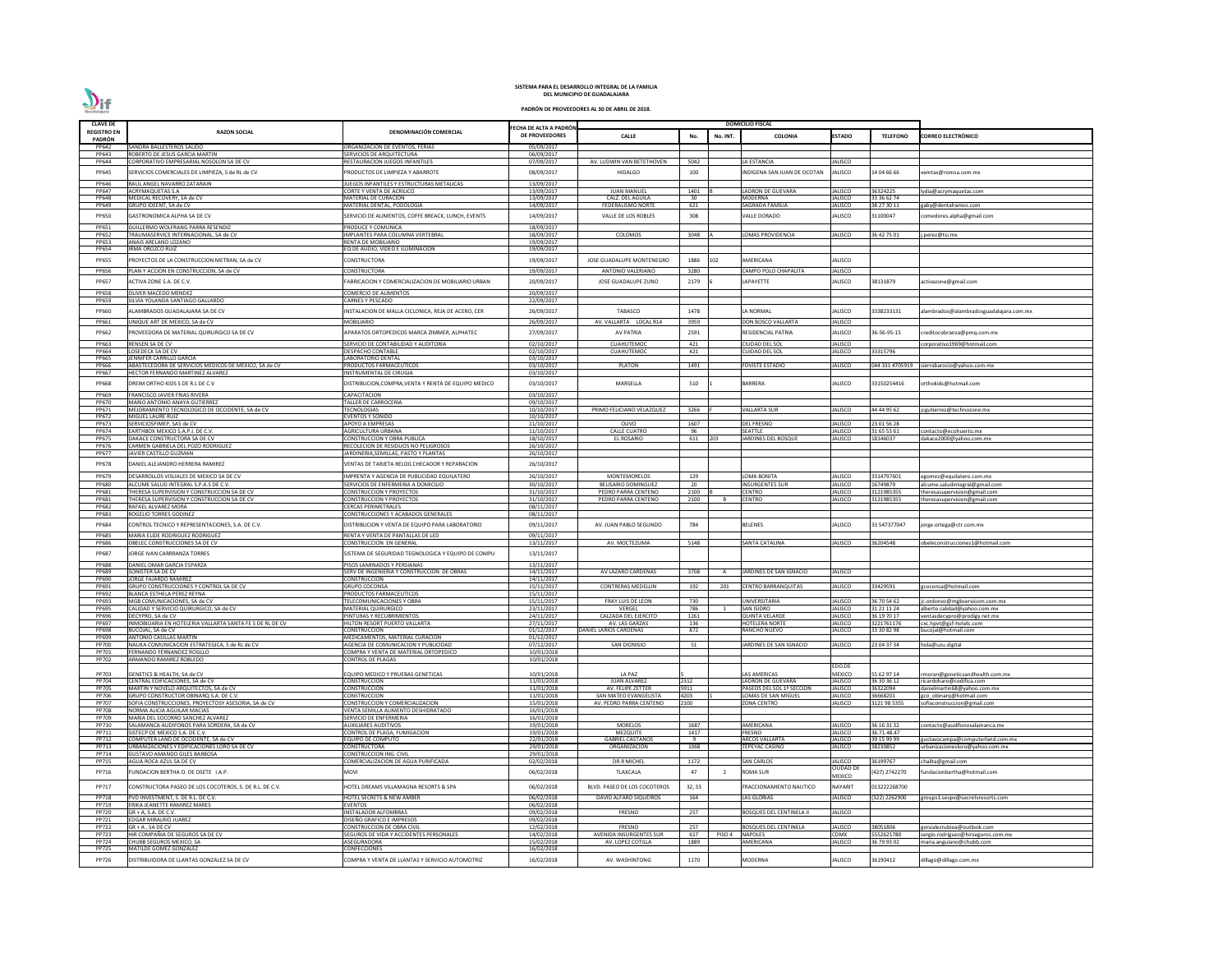| <b>CLAVE DE</b>       |                                                                                               |                                                                           |                                          |                                                   |               |                | <b>DOMICILIO FISCAL</b>                        |                           |                            |                                                                     |
|-----------------------|-----------------------------------------------------------------------------------------------|---------------------------------------------------------------------------|------------------------------------------|---------------------------------------------------|---------------|----------------|------------------------------------------------|---------------------------|----------------------------|---------------------------------------------------------------------|
| REGISTRO EN           | <b>RAZON SOCIAL</b>                                                                           | DENOMINACIÓN COMERCIAL                                                    | FECHA DE ALTA A PADRÓN<br>DE PROVEEDORES | <b>CALLE</b>                                      | No.           | No. INT.       | <b>COLONIA</b>                                 | <b>ESTADO</b>             | <b>TELEFONO</b>            | <b>CORREO ELECTRÓNICO</b>                                           |
| PADRÓN                |                                                                                               |                                                                           |                                          |                                                   |               |                |                                                |                           |                            |                                                                     |
| PP642                 | SANDRA BALLESTEROS SALIDO                                                                     | ORGANIZACION DE EVENTOS, FERIAS                                           | 05/09/2017                               |                                                   |               |                |                                                |                           |                            |                                                                     |
| PP643                 | ROBERTO DE JESUS GARCIA MARTIN                                                                | SERVICIOS DE ARQUITECTURA                                                 | 06/09/2017                               |                                                   |               |                |                                                |                           |                            |                                                                     |
| PP644                 | CORPORATIVO EMPRESARIAL NOSOLON SA DE CV                                                      | RESTAURACION JUEGOS INFANTILES                                            | 07/09/2017                               | AV. LUDWIN VAN BETETHOVEN                         | 5042          |                | LA ESTANCIA                                    | JALISCO                   |                            |                                                                     |
| PP645                 | SERVICIOS COMERCIALES DE LIMPIEZA, S de RL de CV                                              | PRODUCTOS DE LIMPIEZA Y ABARROTE                                          | 08/09/2017                               | <b>HIDALGO</b>                                    | 100           |                | INDIGENA SAN JUAN DE OCOTAN                    | ALISCO                    | 14 04 66 66                | /emtas@romsa.com.mx                                                 |
| PP646                 | RAUL ANGEL NAVARRO ZATARAIN                                                                   | JUEGOS INFANTILES Y ESTRUCTURAS METALICAS                                 | 13/09/2017                               |                                                   |               |                |                                                |                           |                            |                                                                     |
| PP647                 | <b>ACRYMAQUETAS S.A</b>                                                                       | CORTE Y VENTA DE ACRILICO                                                 | 13/09/2017                               | <b>JUAN MANUEL</b>                                | 1401          |                | ADRON DE GUEVARA                               | <b>ALISCO</b>             | 36324225                   | lydia@acrymaquetas.com                                              |
| PP648                 | MEDICAL RECOVERY, SA de CV                                                                    | <b>MATERIAL DE CURACION</b>                                               | 13/09/2017                               | CALZ. DEL AGUILA                                  | 30            |                | <b>MODERNA</b>                                 | <b>JALISCO</b>            | 33 36 62 74                |                                                                     |
| PP649                 | GRUPO IDEENT, SA de CV                                                                        | MATERIAL DENTAL, PODOLOGIA                                                | 14/09/2017                               | FEDERALISMO NORTE                                 | 621           |                | SAGRADA FAMILIA                                | JALISCO                   | 38 27 30 11                | gaby@dentalramos.com                                                |
| PP650                 | GASTRONOMICA ALPHA SA DE CV                                                                   | SERVICIO DE ALIMENTOS, COFFE BREACK, LUNCH, EVENTS                        | 14/09/2017                               | VALLE DE LOS ROBLES                               | 308           |                | VALLE DORADO                                   | ALISCO                    | 31100047                   | omedores.alpha@gmail.com                                            |
| PP651                 | GUILLERMO WOLFRANG PARRA RESENDIZ                                                             | PRODUCE Y COMUNICA                                                        | 18/09/2017                               |                                                   |               |                |                                                |                           |                            |                                                                     |
| PP652                 | TRAUMASERVICE INTERNACIONAL, SA de CV                                                         | IMPLANTES PARA COLUMNA VERTEBRAL                                          | 18/09/2017                               | COLOMOS                                           | 3048          |                | LOMAS PROVIDENCIA                              | JALISCO                   | 36 42 75 01                | j.perez@tsi.mx                                                      |
| PP653                 | ANAIS ARELANO LOZANO                                                                          | RENTA DE MOBILIARIO                                                       | 19/09/2017                               |                                                   |               |                |                                                |                           |                            |                                                                     |
| PP654                 | <b>IRMA OROZCO RUIZ</b>                                                                       | EQ DE AUDIO, VIDEO E ILUMINACION                                          | 19/09/2017                               |                                                   |               |                |                                                |                           |                            |                                                                     |
| PP655                 | PROYECTOS DE LA CONSTRUCCION METRAN, SA de CV                                                 | CONSTRUCTORA                                                              | 19/09/2017                               | JOSE GUADALUPE MONTENEGRO                         | 1886          | 102            | AMERICANA                                      | ALISCO                    |                            |                                                                     |
| PP656                 | PLAN Y ACCION EN CONSTRUCCION, SA de CV                                                       | CONSTRUCTORA                                                              | 19/09/2017                               | ANTONIO VALERIANO                                 | 3280          |                | CAMPO POLO CHAPALITA                           | JALISCO                   |                            |                                                                     |
| PP657                 | ACTIVA ZONE S.A. DE C.V.                                                                      | FABRICACION Y COMERCIALIZACION DE MOBILIARIO URBAN                        | 20/09/2017                               | JOSE GUADALUPE ZUNO                               | 2179          |                | LAPAYETTE                                      | JALISCO                   | 38131879                   | activazone@gmail.com                                                |
|                       |                                                                                               |                                                                           |                                          |                                                   |               |                |                                                |                           |                            |                                                                     |
| <b>PP658</b><br>PP659 | OLIVER MACEDO MENDEZ                                                                          | COMERCIO DE ALIMENTOS                                                     | 20/09/2017<br>22/09/2017                 |                                                   |               |                |                                                |                           |                            |                                                                     |
|                       | SILVIA YOLANDA SANTIAGO GALLARDO                                                              | CARNES Y PESCADO                                                          |                                          |                                                   |               |                |                                                |                           |                            |                                                                     |
| PP660                 | ALAMBRADOS GUADALAJARA SA DE CV                                                               | INSTALACION DE MALLA CICLONICA, REJA DE ACERO, CER                        | 26/09/2017                               | TABASCO                                           | 1478          |                | LA NORMAL                                      | ALISCO                    | 3338233131                 | alambrados@alambradosguadalajara.com.mx                             |
| PP661                 | UNIQUE ART DE MEXICO, SA de CV                                                                | MOBILIARIO                                                                | 26/09/2017                               | AV. VALLARTA LOCAL R14                            | 3959          |                | DON BOSCO VALLARTA                             | <b>JALISCO</b>            |                            |                                                                     |
| PP662                 | PROVEEDORA DE MATERIAL QUIRURGICO SA DE CV                                                    | APARATOS ORTOPEDICOS MARCA ZIMMER, ALPHATEC                               | 27/09/2017                               | <b>AV PATRIA</b>                                  | 2591          |                | RESIDENCIAL PATRIA                             | JALISCO                   | 36-56-95-15                | creditocobranza@pmq.com.mx                                          |
|                       |                                                                                               |                                                                           |                                          |                                                   |               |                |                                                |                           |                            |                                                                     |
| PP663<br>PP664        | <b>RENSEN SA DE CV</b><br>LOSEDECK SA DE CV                                                   | SERVICIO DE CONTABILIDAD Y AUDITORIA<br><b>DESPACHO CONTABLE</b>          | 02/10/2017<br>02/10/2017                 | <b>CUAHUTEMOC</b><br><b>CUAHUTEMOC</b>            | 421<br>421    |                | CIUDAD DEL SOL<br>CUIDAD DEL SOL               | <b>JALISCO</b><br>JALISCO | 33315796                   | corporativo1969@hotmail.com                                         |
| <b>PP665</b>          | JENNIFER CARRILLO GARCIA                                                                      | LABORATORIO DENTAL                                                        | 03/10/2017                               |                                                   |               |                |                                                |                           |                            |                                                                     |
| PP666                 | ABASTECEDORA DE SERVICIOS MEDICOS DE MEXICO, SA de CV                                         | PRODUCTOS FARMACEUTICOS                                                   | 03/10/2017                               | PLATON                                            | 1491          |                | <b>FOVISTE ESTADIO</b>                         | ALISCO                    |                            | 044 331 4705919 sierrabarocio@yahoo.com.mx                          |
| PP667                 | HECTOR FERNANDO MARTINEZ ALVAREZ                                                              | INSTRUMENTAL DE CIRUGIA                                                   | 03/10/2017                               |                                                   |               |                |                                                |                           |                            |                                                                     |
| PP668                 | DREIM ORTHO KIDS S DE R.L DE C.V                                                              | DISTRIBUCION,COMPRA,VENTA Y RENTA DE EQUIPO MEDICO                        | 03/10/2017                               | MARSELLA                                          | 510           |                | BARRERA                                        | ALISCO                    | 33150254416                | orthokids@hotmail.com                                               |
| PP669                 | FRANCISCO JAVIER FRIAS RIVERA                                                                 | CAPACITACION                                                              | 03/10/2017                               |                                                   |               |                |                                                |                           |                            |                                                                     |
| PP670                 | MARIO ANTONIO ANAYA GUTIERREZ                                                                 | TALLER DE CARROCERIA                                                      | 09/10/2017                               |                                                   |               |                |                                                |                           |                            |                                                                     |
| PP671                 | MEJORAMIENTO TECNOLOGICO DE OCCIDENTE, SA de CV                                               | <b>TECNOLOGIAS</b>                                                        | 10/10/2017                               | PRIMO FELICIANO VELAZQUEZ                         | 3266          |                | <b>VALLARTA SUR</b>                            | ALISCO                    | 44 44 95 62                | jcgutierrez@technozone.mx                                           |
| PP672                 | MIGUEL LAURE RUIZ                                                                             | EVENTOS Y SONIDO                                                          | 10/10/2017                               |                                                   |               |                |                                                |                           |                            |                                                                     |
| PP673                 | SERVICIOSFIMEP, SAS de CV                                                                     | APOYO A EMPRESAS                                                          | 11/10/2017                               | OLIVO                                             | 1607          |                | <b>DEL FRESNO</b>                              | <b>JALISCO</b>            | 23 01 56 28                |                                                                     |
| PP674<br><b>PP675</b> | EARTHBOX MEXICO S.A.P.I. DE C.V.<br>DAKACE CONSTRUCTORA SA DE CV                              | AGRICULTURA URBANA<br>CONSTRUCCION Y OBRA PUBLICA                         | 11/10/2017<br>18/10/2017                 | <b>CALLE CUATRO</b><br><b>EL ROSARIO</b>          | 96<br>611 203 |                | SEATTLE<br><b>ARDINES DEL BOSQUE</b>           | JALISCO<br>JALISCO        | 31 65 53 61<br>18146037    | contacto@ecohuerto.mx<br>dakace2000@yahoo.com.mx                    |
| PP676                 | CARMEN GABRIELA DEL POZO RODRIGUEZ                                                            | RECOLECION DE RESIDUOS NO PELIGROSOS                                      | 26/10/2017                               |                                                   |               |                |                                                |                           |                            |                                                                     |
| PP677                 | JAVIER CASTILLO GUZMAN                                                                        | <b>IARDINERIA, SEMILLAS, PASTO Y PLANTAS</b>                              | 26/10/2017                               |                                                   |               |                |                                                |                           |                            |                                                                     |
| <b>PP678</b>          | DANIEL ALEJANDRO HERRERA RAMIREZ                                                              | VENTAS DE TARJETA RELOG CHECADOR Y REPARACION                             | 26/10/2017                               |                                                   |               |                |                                                |                           |                            |                                                                     |
|                       |                                                                                               |                                                                           |                                          |                                                   |               |                |                                                |                           |                            |                                                                     |
| PP679                 | DESARROLLOS VISUALES DE MEXICO SA DE CV                                                       | IMPRENTA Y AGENCIA DE PUBLICIDAD EQUILATERO                               | 26/10/2017                               | MONTEMORELOS                                      | 129           |                | LOMA BONITA                                    | ALISCO                    | 3314797601                 | egomez@equilatero.com.mx                                            |
| PP680<br>PP681        | ALCUME SALUD INTEGRAL S.P.A.S DE C.V<br>THERESA SUPERVISION Y CONSTRUCCION SA DE CV           | SERVICIOS DE ENFERMERIA A DOMICILIO<br>CONSTRUCCION Y PROYECTOS           | 30/10/2017<br>31/10/2017                 | <b>BELISARIO DOMINGUEZ</b><br>PEDRO PARRA CENTENO | 20<br>2100    |                | <b>INSURGENTES SUR</b><br>CENTRO               | JALISCO<br><b>ALISCO</b>  | 16749879<br>3121985355     | alcume.saludintegral@gmail.com<br>theresasupervision@gmail.com      |
| PP681                 | THERESA SUPERVISION Y CONSTRUCCION SA DE CV                                                   | <b>CONSTRUCCION Y PROYECTOS</b>                                           | 31/10/2017                               | PEDRO PARRA CENTENO                               | 2100          |                | <b>CENTRO</b>                                  | <b>JALISCO</b>            | 3121985355                 | theresasupervision@gmail.com                                        |
| PP682                 | <b>RAFAEL ALVAREZ MORA</b>                                                                    | <b>CERCAS PERIMETRALES</b>                                                | 08/11/2017                               |                                                   |               |                |                                                |                           |                            |                                                                     |
| PP683                 | ROGELIO TORRES GODINEZ                                                                        | CONSTRUCCIONES Y ACABADOS GENERALES                                       | 08/11/2017                               |                                                   |               |                |                                                |                           |                            |                                                                     |
| PP684                 | CONTROL TECNICO Y REPRESENTACIONES, S.A. DE C.V.                                              | DISTRIBUCION Y VENTA DE EQUIPO PARA LABORATORIO                           | 09/11/2017                               | AV. JUAN PABLO SEGUNDO                            | 784           |                | <b>BELENES</b>                                 | ALISCO                    | 33 547377047               | orge.ortega@ctr.com.mx                                              |
| <b>PP685</b>          | MARIA ELIDE RODRIGUEZ RODRIGUEZ                                                               | RENTA Y VENTA DE PANTALLAS DE LED                                         | 09/11/2017                               |                                                   |               |                |                                                |                           |                            |                                                                     |
| PP686                 | OBELEC CONSTRUCCIONES SA DE CV                                                                | CONSTRUCCION EN GENERAL                                                   | 13/11/2017                               | AV. MOCTEZUMA                                     | 5148          |                | <b>SANTA CATALINA</b>                          | JALISCO                   | 36204548                   | obeleconstrucciones1@hotmail.com                                    |
| PP687                 | JORGE IVAN CARRRANZA TORRES                                                                   | SISTEMA DE SEGURIDAD TEGNOLOGICA Y EQUIPO DE COMPU                        | 13/11/2017                               |                                                   |               |                |                                                |                           |                            |                                                                     |
|                       |                                                                                               |                                                                           |                                          |                                                   |               |                |                                                |                           |                            |                                                                     |
| PP688                 | DANIEL OMAR GARCIA ESPARZA<br>SONISTER SA DE CV                                               | PISOS LAMINADOS Y PERSIANAS<br>SERV DE INGENIERIA Y CONSTRUCCION DE OBRAS | 13/11/2017                               | AV LAZARO CARDENAS                                |               | A              |                                                |                           |                            |                                                                     |
| PP689<br>PP690        | JORGE FAJARDO RAMIREZ                                                                         | CONSTRUCCION                                                              | 14/11/2017<br>14/11/2017                 |                                                   | 3708          |                | JARDINES DE SAN IGNACIO                        | <b>JALISCO</b>            |                            |                                                                     |
| PP691                 | <b>GRUPO CONSTRUCCIONES Y CONTROL SA DE CV</b>                                                | <b>GRUPO COCONSA</b>                                                      | 15/11/2017                               | <b>CONTRERAS MEDELLIN</b>                         | 192           | 201            | <b>CENTRO BARRANQUITAS</b>                     | <b>ALISCO</b>             | 33429591                   | gcoconsa@hotmail.com                                                |
| PP692                 | BLANCA ESTHELA PEREZ REYNA                                                                    | PRODUCTOS FARMACEUTICOS                                                   | 15/11/2017                               |                                                   |               |                |                                                |                           |                            |                                                                     |
| PP693                 | MGB COMUNICACIONES, SA de CV                                                                  | TELECOMUNICACIONES Y OBRA                                                 | 15/11/2017                               | <b>FRAY LUIS DE LEON</b>                          | 730           |                | UNIVERSITARIA                                  | JALISCO                   | 36 70 54 62                | jc.ordonez@mgbservicom.com.mx                                       |
| PP695<br>PP696        | CALIDAD Y SERVICIO QUIRURGICO, SA de CV<br>DECYPRO, SA de CV                                  | <b>MATERIAL QUIRURGICO</b><br>PINTURAS Y RECUBRIMIENTOS                   | 23/11/2017<br>24/11/2017                 | VERGEL<br>CALZADA DEL EJERCITO                    | 786<br>1261   | 1              | <b>SAN ISIDRO</b><br><b>QUINTA VELARDE</b>     | JALISCO<br>JALISCO        | 31 21 11 24<br>36 19 70 17 | alberto.calidad@yahoo.com.mx                                        |
| PP697                 | INMOBILIARIA EN HOTELERIA VALLARTA SANTA FE S DE RL DE CV                                     | HILTON RESORT PUERTO VALLARTA                                             | 27/11/2017                               | AV. LAS GARZAS                                    | 136           |                | <b>HOTELERA NORT</b>                           | <b>ALISCO</b>             | 3221761176                 | ventasdecypro@prodigy.net.mx<br>cxc.hpvt@gsf-hotels.com             |
| PP698                 | BUCOJAL, SA de CV                                                                             | <b>CONSTRUCCION</b>                                                       | 01/12/2017                               | DANIEL LARIOS CARDENAS                            | 872           |                | RANCHO NUEVO                                   | ALISCO                    | 33 30 82 98                | bucojal@hotmail.com                                                 |
| PP699                 | <b>ANTONIO CASILLAS MARTIN</b>                                                                | MEDICAMENTOS, MATERIAL CURACION                                           | 01/12/2017                               |                                                   |               |                |                                                |                           |                            |                                                                     |
| PP700                 | NAUKA COMUNICACION ESTRATEGICA, S de RL de CV                                                 | AGENCIA DE COMUNICACION Y PUBLICIDAD                                      | 07/12/2017                               | <b>SAN DIONISIO</b>                               | 51            |                | JARDINES DE SAN IGNACIO                        | <b>JALISCO</b>            | 23 04 37 34                | hola@uzu.digital                                                    |
| PP701<br>PP702        | FERNANDO FERNANDEZ ROSILLO<br>ARMANDO RAMIREZ ROBLEDO                                         | COMPRA Y VENTA DE MATERIAL ORTOPEDICO<br><b>CONTROL DE PLAGAS</b>         | 10/01/2018<br>10/01/2018                 |                                                   |               |                |                                                |                           |                            |                                                                     |
|                       |                                                                                               |                                                                           |                                          |                                                   |               |                |                                                | EDO.DE                    |                            |                                                                     |
| PP703                 | GENETICS & HEALTH, SA de CV                                                                   | EQUIPO MEDICO Y PRUEBAS GENETICAS                                         | 10/01/2018                               | LA PAZ                                            |               |                | LAS AMERICAS                                   | <b>MEXICO</b>             | 55 62 97 14                | moran@geneticsandhealth.com.mx                                      |
| PP704                 | CENTRAL EDIFICACIONES, SA de CV                                                               | CONSTRUCCION                                                              | 11/01/2018                               | <b>JUAN ALVAREZ</b>                               | 2312          |                | LADRON DE GUEVARA                              | ALISCO                    | 36 30 36 12                | ricardoharo@cedifica.com                                            |
| <b>PP705</b>          | MARTIN Y NOVELO ARQUITECTOS, SA de CV                                                         | <b>CONSTRUCCION</b>                                                       | 11/01/2018                               | AV. FELIPE ZETTER                                 | 5911          |                | PASEOS DEL SOL 1ª SECCION                      | <b>JALISCO</b>            | 36322094                   | danielmartin68@yahoo.com.mx                                         |
| PP706<br>PP707        | GRUPO CONSTRUCTOR OBINARQ S.A. DE C.V.<br>SOFIA CONSTRUCCIONES, PROYECTOSY ASESORIA, SA de CV | <b>CONSTRUCCION</b><br>CONSTRUCCION Y COMERCIALIZACION                    | 11/01/2018<br>15/01/2018                 | SAN MATEO EVANGELISTA<br>AV. PEDRO PARRA CENTENO  | 4203<br>100   |                | LOMAS DE SAN MIGUEL<br>ZONA CENTRO             | <b>JALISCO</b><br>ALISCO  | 36668201<br>3121 98 5355   | gco obinarg@hotmail.com<br>sofiaconstruccion@gmail.com              |
| <b>PP708</b>          | NORMA ALICIA AGUILAR MACIAS                                                                   | VENTA SEMILLA ALIMENTO DESHIDRATADO                                       | 16/01/2018                               |                                                   |               |                |                                                |                           |                            |                                                                     |
| PP709                 | MARIA DEL SOCORRO SANCHEZ ALVAREZ                                                             | SERVICIO DE ENFERMERIA                                                    | 16/01/2018                               |                                                   |               |                |                                                |                           |                            |                                                                     |
| PP710                 | SALAMANCA AUDIFONOS PARA SORDERA, SA de CV                                                    | <b>AUXILIARES AUDITIVOS</b>                                               | 19/01/2018                               | <b>MORELOS</b>                                    | 1687          |                | AMERICANA                                      | <b>ALISCO</b>             | 36 16 31 32                | contacto@audifonosalamanca.mx                                       |
| PP711                 | SISTECP DE MEXICO S.A. DE C.V.                                                                | CONTROL DE PLAGA, FUMIGACION                                              | 19/01/2018                               | <b>MEZQUITE</b>                                   | 1417          |                | <b>FRESNO</b>                                  | <b>JALISCO</b>            | 36.71.48.47                |                                                                     |
| PP712<br>PP713        | COMPUTER LAND DE OCCIDENTE, SA de CV<br>URBANIZACIONES Y EDIFICACIONES LORO SA DE CV          | EQUIPO DE COMPUTO<br><b>CONSTRUCTORA</b>                                  | 22/01/2018<br>29/01/2018                 | <b>GABRIEL CASTAÑOS</b><br>ORGANIZACION           | - 9<br>1068   |                | <b>ARCOS VALLARTA</b><br>TEPEYAC CASINO        | <b>JALISCO</b><br>JALISCO | 39 15 99 99<br>38230852    | gustavocampa@computerland.com.mx<br>urbanizacionesloro@yahoo.com.mx |
| PP714                 | <b>GUSTAVO AMANDO GILES BARBOSA</b>                                                           | CONSTRUCCION ING. CIVIL                                                   | 29/01/2018                               |                                                   |               |                |                                                |                           |                            |                                                                     |
| PP715                 | AGUA ROCA AZUL SA DE CV                                                                       | COMERCIALIZACION DE AGUA PURIFICADA                                       | 02/02/2018                               | <b>DR.R MICHEL</b>                                | 1172          |                | <b>SAN CARLOS</b>                              | ALISCO                    | 36199767                   | chalita@gmail.com                                                   |
| PP716                 | FUNDACION BERTHA O. DE OSETE I.A.P.                                                           | NOVI                                                                      | 06/02/2018                               | TLAXCALA                                          | 47            | $\overline{2}$ | <b>ROMA SUR</b>                                | CIUDAD DE                 | 427) 2742270               | undacionbertha@hotmail.com                                          |
|                       |                                                                                               |                                                                           |                                          |                                                   |               |                |                                                | <b>MEXICO</b>             |                            |                                                                     |
| PP717                 | CONSTRUCTORA PASEO DE LOS COCOTEROS, S. DE R.L. DE C.V.                                       | HOTEL DREAMS VILLAMAGNA RESORTS & SPA                                     | 06/02/2018                               | BLVD. PASEO DE LOS COCOTEROS                      | 32, 33        |                | FRACCIONAMIENTO NAUTICO                        | <b>NAYARIT</b>            | 013222268700               |                                                                     |
| PP718                 | PVD INVESTMENT, S. DE R.L. DE C.V.                                                            | <b>HOTEL SECRETS &amp; NEW AMBER</b>                                      | 06/02/2018                               | <b>DAVID ALFARO SIQUEIROS</b>                     | 164           |                | LAS GLORIAS                                    | JALISCO                   | 322) 2262900               | groups1.sevpv@secretsresorts.com                                    |
| PP719                 | <b>ERIKA JEANETTE RAMIREZ MARES</b>                                                           | <b>EVENTOS</b>                                                            | 06/02/2018                               |                                                   |               |                |                                                |                           |                            |                                                                     |
| PP720                 | GR + A, S.A. DE C.V.                                                                          | INSTALADOR ALFOMBRAS                                                      | 09/02/2018                               | <b>FRESNO</b>                                     | 257           |                | <b>BOSQUES DEL CENTINELA II</b>                | <b>ALISCO</b>             |                            |                                                                     |
| PP721                 | EDGAR MIRALRIO JUAREZ                                                                         | DISEÑO GRAFICO E IMPRESOS                                                 | 09/02/2018                               |                                                   |               |                |                                                |                           |                            |                                                                     |
| <b>PP722</b><br>PP723 | $GR + A$ , SA DE CV<br>HIR COMPAÑIA DE SEGUROS SA DE CV                                       | CONSTRUCCION DE OBRA CIVIL<br>SEGUROS DE VIDA Y ACCIDENTES PERSONALES     | 12/02/2018<br>14/02/2018                 | FRESNO<br>AVENIDA INSURGENTES SUR                 | 257<br>617    | PISO 4         | <b>BOSQUES DEL CENTINELA</b><br><b>NAPOLES</b> | JALISCO<br><b>CDMX</b>    | 38051806<br>5552621780     | gonzalezrubioa@outlook.com<br>sergio.rodriguez@hirseguros.com.mx    |
| PP724                 | CHUBB SEGUROS MEXICO, SA                                                                      | ASEGURADORA                                                               | 15/02/2018                               | AV. LOPEZ COTILLA                                 | 1889          |                | AMERICANA                                      | <b>ALISCO</b>             | 36 79 93 02                | maria.anguiano@chubb.com                                            |
| <b>PP725</b>          | <b>MATILDE GOMEZ GONZALEZ</b>                                                                 | CONFECCIONES                                                              | 16/02/2018                               |                                                   |               |                |                                                |                           |                            |                                                                     |
| PP726                 | DISTRIBUIDORA DE LLANTAS GONZALEZ SA DE CV                                                    | COMPRA Y VENTA DE LLANTAS Y SERVICIO AUTOMOTRIZ                           | 16/02/2018                               | AV. WASHINTONG                                    | 1170          |                | MODERNA                                        | ALISCO                    | 36190412                   | dillago@dillago.com.mx                                              |
|                       |                                                                                               |                                                                           |                                          |                                                   |               |                |                                                |                           |                            |                                                                     |